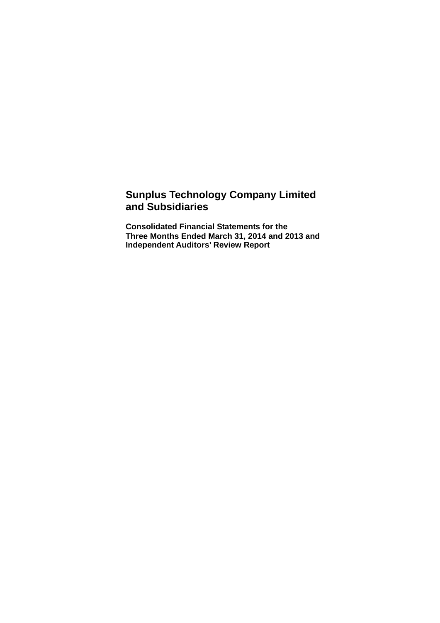### **Sunplus Technology Company Limited and Subsidiaries**

**Consolidated Financial Statements for the Three Months Ended March 31, 2014 and 2013 and Independent Auditors' Review Report**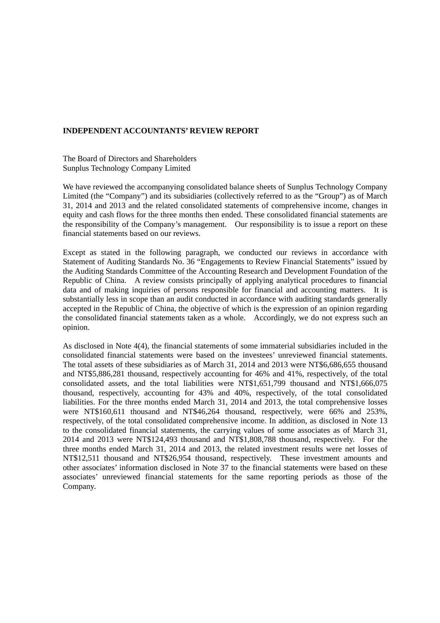#### **INDEPENDENT ACCOUNTANTS' REVIEW REPORT**

The Board of Directors and Shareholders Sunplus Technology Company Limited

We have reviewed the accompanying consolidated balance sheets of Sunplus Technology Company Limited (the "Company") and its subsidiaries (collectively referred to as the "Group") as of March 31, 2014 and 2013 and the related consolidated statements of comprehensive income, changes in equity and cash flows for the three months then ended. These consolidated financial statements are the responsibility of the Company's management. Our responsibility is to issue a report on these financial statements based on our reviews.

Except as stated in the following paragraph, we conducted our reviews in accordance with Statement of Auditing Standards No. 36 "Engagements to Review Financial Statements" issued by the Auditing Standards Committee of the Accounting Research and Development Foundation of the Republic of China. A review consists principally of applying analytical procedures to financial data and of making inquiries of persons responsible for financial and accounting matters. It is substantially less in scope than an audit conducted in accordance with auditing standards generally accepted in the Republic of China, the objective of which is the expression of an opinion regarding the consolidated financial statements taken as a whole. Accordingly, we do not express such an opinion.

As disclosed in Note 4(4), the financial statements of some immaterial subsidiaries included in the consolidated financial statements were based on the investees' unreviewed financial statements. The total assets of these subsidiaries as of March 31, 2014 and 2013 were NT\$6,686,655 thousand and NT\$5,886,281 thousand, respectively accounting for 46% and 41%, respectively, of the total consolidated assets, and the total liabilities were NT\$1,651,799 thousand and NT\$1,666,075 thousand, respectively, accounting for 43% and 40%, respectively, of the total consolidated liabilities. For the three months ended March 31, 2014 and 2013, the total comprehensive losses were NT\$160,611 thousand and NT\$46,264 thousand, respectively, were 66% and 253%, respectively, of the total consolidated comprehensive income. In addition, as disclosed in Note 13 to the consolidated financial statements, the carrying values of some associates as of March 31, 2014 and 2013 were NT\$124,493 thousand and NT\$1,808,788 thousand, respectively. For the three months ended March 31, 2014 and 2013, the related investment results were net losses of NT\$12,511 thousand and NT\$26,954 thousand, respectively. These investment amounts and other associates' information disclosed in Note 37 to the financial statements were based on these associates' unreviewed financial statements for the same reporting periods as those of the Company.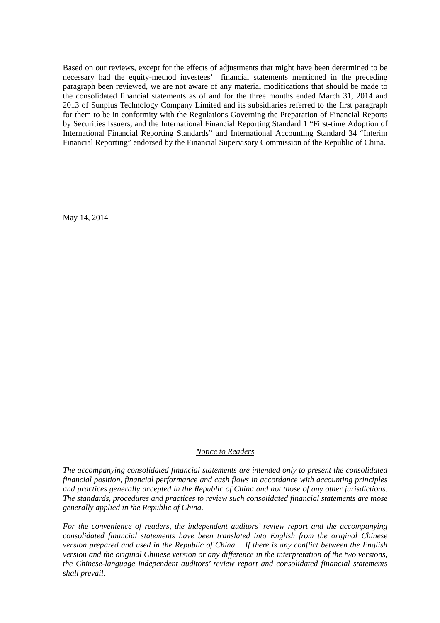Based on our reviews, except for the effects of adjustments that might have been determined to be necessary had the equity-method investees' financial statements mentioned in the preceding paragraph been reviewed, we are not aware of any material modifications that should be made to the consolidated financial statements as of and for the three months ended March 31, 2014 and 2013 of Sunplus Technology Company Limited and its subsidiaries referred to the first paragraph for them to be in conformity with the Regulations Governing the Preparation of Financial Reports by Securities Issuers, and the International Financial Reporting Standard 1 "First-time Adoption of International Financial Reporting Standards" and International Accounting Standard 34 "Interim Financial Reporting" endorsed by the Financial Supervisory Commission of the Republic of China.

May 14, 2014

#### *Notice to Readers*

*The accompanying consolidated financial statements are intended only to present the consolidated financial position, financial performance and cash flows in accordance with accounting principles and practices generally accepted in the Republic of China and not those of any other jurisdictions. The standards, procedures and practices to review such consolidated financial statements are those generally applied in the Republic of China.* 

*For the convenience of readers, the independent auditors' review report and the accompanying consolidated financial statements have been translated into English from the original Chinese version prepared and used in the Republic of China. If there is any conflict between the English version and the original Chinese version or any difference in the interpretation of the two versions, the Chinese-language independent auditors' review report and consolidated financial statements shall prevail.*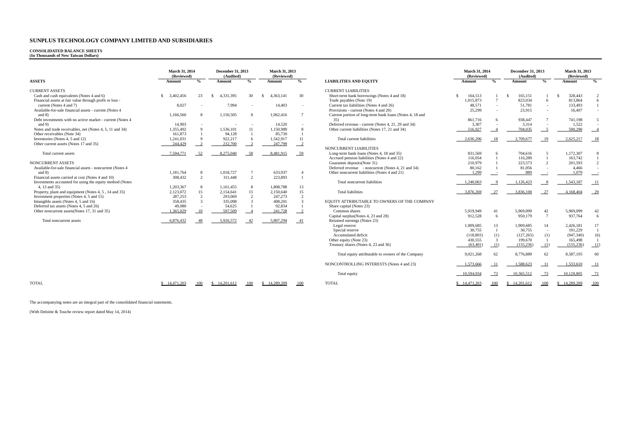#### **CONSOLIDATED BALANCE SHEETS (In Thousands of New Taiwan Dollars)**

|                                                           | <b>March 31, 2014</b><br>(Reviewed) |                    | December 31, 2013<br>(Audited) |                | March 31, 2013<br>(Reviewed) |                            |                                                          | <b>March 31, 2014</b><br>(Reviewed) |                 | December 31, 2013<br>(Audited) |                          | March 31, 2013<br>(Reviewed) |                |
|-----------------------------------------------------------|-------------------------------------|--------------------|--------------------------------|----------------|------------------------------|----------------------------|----------------------------------------------------------|-------------------------------------|-----------------|--------------------------------|--------------------------|------------------------------|----------------|
| <b>ASSETS</b>                                             | Amount                              | $\frac{0}{\alpha}$ | Amount                         | $\frac{0}{2}$  | Amount                       | $\frac{0}{0}$              | <b>LIABILITIES AND EQUITY</b>                            | Amount                              | $\frac{0}{2}$   | Amount                         | $\%$                     | Amount                       | $\frac{6}{9}$  |
| <b>CURRENT ASSETS</b>                                     |                                     |                    |                                |                |                              |                            | <b>CURRENT LIABILITIES</b>                               |                                     |                 |                                |                          |                              |                |
| Cash and cash equivalents (Notes 4 and 6)                 | 3.402.456<br>S.                     | 23                 | 4.331.395<br>-8                | 30             | 4,363,141<br>-8              | 30                         | Short-term bank borrowings (Notes 4 and 18)              | 164,513                             |                 | 165,151<br>- \$                |                          | 328,443<br>- \$              |                |
| Financial assets at fair value through profit or loss -   |                                     |                    |                                |                |                              |                            | Trade payables (Note 19)                                 | 1,015,873                           | $7\overline{ }$ | 823,034                        | 6                        | 813,864                      | 6              |
| current (Notes 4 and 7)                                   | 8,027                               |                    | 7,994                          |                | 14,403                       |                            | Current tax liabilities (Notes 4 and 26)                 | 48,571                              | $\sim$          | 51.781                         | $\sim$                   | 133,493                      |                |
| Available-for-sale financial assets - current (Notes 4    |                                     |                    |                                |                |                              |                            | Provisions - current (Notes 4 and 20)                    | 25,299                              |                 | 23.915                         |                          | 16,407                       | $\sim$         |
| and $8$ )                                                 | 1,166,560                           | 8                  | 1,150,505                      | 8              | 1,062,416                    | $\overline{7}$             | Current portion of long-term bank loans (Notes 4, 18 and |                                     |                 |                                |                          |                              |                |
| Debt investments with no active market - current (Notes 4 |                                     |                    |                                |                |                              |                            | 35)                                                      | 861,716                             | -6              | 938,447                        |                          | 741,198                      |                |
| and $9$ )                                                 | 14,903                              |                    |                                |                | 14.520                       |                            | Deferred revenue - current (Notes 4, 21, 29 and 34)      | 3.307                               |                 | 3,314                          |                          | 1,522                        |                |
| Notes and trade receivables, net (Notes 4, 5, 11 and 34)  | 1,355,492                           | $\overline{9}$     | 1,536,101                      | 11             | 1,150,989                    | 8                          | Other current liabilities (Notes 17, 21 and 34)          | 516,927                             |                 | 704,035                        |                          | 590,290                      |                |
| Other receivables (Note 34)                               | 161,873                             |                    | 94,128                         |                | 85,730                       |                            |                                                          |                                     |                 |                                |                          |                              |                |
| Inventories (Notes 4, 5 and 12)                           | 1,241,031                           | $\mathbf Q$        | 922,217                        | 6              | 1,542,917                    | 11                         | Total current liabilities                                | 2,636,206                           | 18              | 2,709,677                      | -19                      | 2.625,217                    | 18             |
| Other current assets (Notes 17 and 35)                    | 244,429                             | 2                  | 232,700                        |                | 247,799                      | $\overline{\phantom{0}}^2$ |                                                          |                                     |                 |                                |                          |                              |                |
|                                                           |                                     |                    |                                |                |                              |                            | NONCURRENT LIABILITIES                                   |                                     |                 |                                |                          |                              |                |
| Total current assets                                      | 7,594,771                           | 52                 | 8,275,040                      | 58             | 8,481,915                    | $-59$                      | Long-term bank loans (Notes 4, 18 and 35)                | 831,569                             | -6              | 704,616                        | $\overline{\phantom{0}}$ | 1,172,307                    |                |
|                                                           |                                     |                    |                                |                |                              |                            | Accrued pension liabilities (Notes 4 and 22)             | 116,054                             |                 | 116,289                        |                          | 163,742                      | $\mathbf{1}$   |
| NONCURRENT ASSETS                                         |                                     |                    |                                |                |                              |                            | Guarantee deposits(Note 31)                              | 210,979                             |                 | 223,573                        | $\mathcal{D}$            | 201,593                      |                |
| Available-for-sale financial assets - noncurrent (Notes 4 |                                     |                    |                                |                |                              |                            | Deferred revenue - noncurrent (Notes 4, 21 and 34)       | 80,162                              |                 | 81,056                         |                          | 4,466                        |                |
| and $8$ )                                                 | 1,181,764                           | 8                  | 1,018,727                      |                | 633,937                      | $\overline{4}$             | Other noncurrent liabilities (Notes 4 and 21)            | 1,299                               |                 | 889                            |                          | 1.079                        |                |
| Financial assets carried at cost (Notes 4 and 10)         | 308,432                             | 2                  | 311,448                        | $\overline{2}$ | 223,893                      |                            |                                                          |                                     |                 |                                |                          |                              |                |
| Investments accounted for using the equity method (Notes  |                                     |                    |                                |                |                              |                            | Total noncurrent liabilities                             | 1,240,063                           |                 | 1,126,423                      |                          | 1.543.187                    | 11             |
| 4, 13 and 35)                                             | 1.203.367                           | 8                  | 1,161,455                      | 8              | 1,808,788                    | 13                         |                                                          |                                     |                 |                                |                          |                              |                |
| Property, plant and equipment (Notes 4, 5, 14 and 35)     | 2,123,072                           | 15                 | 2,154,641                      | 15             | 2.150.640                    | 15                         | <b>Total liabilities</b>                                 | 3,876,269                           | 27              | 3,836,100                      | 27                       | 4,168,404                    | $-29$          |
| Investment properties (Notes 4, 5 and 15)                 | 287,253                             | 2                  | 293,069                        | $\overline{2}$ | 247,273                      | $\overline{2}$             |                                                          |                                     |                 |                                |                          |                              |                |
| Intangible assets (Notes 4, 5 and 16)                     | 358,435                             | $\overline{3}$     | 335,098                        | $\mathbf{R}$   | 408,201                      | 3                          | EQUITY ATTRIBUTABLE TO OWNERS OF THE COMPANY             |                                     |                 |                                |                          |                              |                |
| Deferred tax assets (Notes 4, 5 and 26)                   | 49,080                              | $\sim$             | 54,625                         |                | 92,834                       |                            | Share capital (Notes 23)                                 |                                     |                 |                                |                          |                              |                |
| Other noncurrent assets (Notes 17, 31 and 35)             | .365.029                            | 10                 | 597,509                        |                | 241,728                      | $-2$                       | Common shares                                            | 5,919,949                           | 41              | 5,969,099                      | 42                       | 5,969,099                    | 42             |
|                                                           |                                     |                    |                                |                |                              |                            | Capital surplus(Notes 4, 23 and 28)                      | 912,528                             | - 6             | 950,179                        | $\overline{7}$           | 937,764                      | 6              |
| Total noncurrent assets                                   | 6.876.432                           | 48                 | 5,926,572                      | 42             | 5,807,294                    | -41                        | Retained earnings (Notes 23)                             |                                     |                 |                                |                          |                              |                |
|                                                           |                                     |                    |                                |                |                              |                            | Legal reserve                                            | 1,909,685                           | 13              | 1.909.685                      | 14                       | 2,426,181                    | 17             |
|                                                           |                                     |                    |                                |                |                              |                            | Special reserve                                          | 30,755                              | $\overline{1}$  | 30,755                         | $\sim$                   | 191,229                      | $\overline{1}$ |
|                                                           |                                     |                    |                                |                |                              |                            | Accumulated deficit                                      | (118, 803)                          | (1)             | (127, 263)                     | (1)                      | (947, 340)                   | (6)            |
|                                                           |                                     |                    |                                |                |                              |                            | Other equity (Note 23)                                   | 430,555                             | -3              | 199,670                        |                          | 165,498                      |                |
|                                                           |                                     |                    |                                |                |                              |                            | Treasury shares (Notes 4, 23 and 36)                     | (63, 401)                           | (1)             | (155, 236)                     | (1)                      | (155, 236)                   | (1)            |
|                                                           |                                     |                    |                                |                |                              |                            | Total equity attributable to owners of the Company       | 9,021,268                           | 62              | 8,776,889                      | 62                       | 8,587,195                    | 60             |
|                                                           |                                     |                    |                                |                |                              |                            |                                                          |                                     |                 |                                |                          |                              |                |
|                                                           |                                     |                    |                                |                |                              |                            | NONCONTROLLING INTERESTS (Notes 4 and 23)                | 1,573,666                           | - 11            | 1.588.623                      |                          | 1.533.610                    | $_{11}$        |
|                                                           |                                     |                    |                                |                |                              |                            | Total equity                                             | 10,594,934                          | 73              | 10,365,512                     | 73                       | 10,120,805                   | 71             |
| <b>TOTAL</b>                                              | \$14,471,203                        | 100                | \$14,201,612                   | 100            | \$14,289,209                 | 100                        | <b>TOTAL</b>                                             | \$14,471,203                        | 100             | \$14,201,612                   | 100                      | \$14,289,209                 | 100            |

|                                                                          | March 31, 2014<br>(Reviewed) |                          | December 31, 2013<br>(Audited) |                          | March 31, 2013<br>(Reviewed) |                |  |
|--------------------------------------------------------------------------|------------------------------|--------------------------|--------------------------------|--------------------------|------------------------------|----------------|--|
| <b>LIABILITIES AND EQUITY</b>                                            | Amount                       | $\frac{0}{0}$            | Amount                         | $\frac{0}{0}$            | Amount                       | $\%$           |  |
| <b>CURRENT LIABILITIES</b>                                               |                              |                          |                                |                          |                              |                |  |
| Short-term bank borrowings (Notes 4 and 18)                              | \$<br>164,513                | 1                        | \$<br>165,151                  | 1                        | \$<br>328,443                | 2              |  |
| Trade payables (Note 19)                                                 | 1,015,873                    | $\overline{7}$           | 823,034                        | 6                        | 813,864                      | 6              |  |
| Current tax liabilities (Notes 4 and 26)                                 | 48,571                       | $\sim$                   | 51.781                         | ä,                       | 133,493                      | $\mathbf{1}$   |  |
| Provisions - current (Notes 4 and 20)                                    | 25,299                       | $\bar{a}$                | 23,915                         | ÷.                       | 16,407                       | ×.             |  |
| Current portion of long-term bank loans (Notes 4, 18 and                 |                              |                          |                                |                          |                              |                |  |
| 35)                                                                      | 861,716                      | 6                        | 938,447                        | $\overline{7}$           | 741,198                      | 5              |  |
| Deferred revenue - current (Notes 4, 21, 29 and 34)                      | 3,307                        | ä,                       | 3,314                          | ä,                       | 1,522                        |                |  |
| Other current liabilities (Notes 17, 21 and 34)                          | 516,927                      | $\sqrt{4}$               | 704,035                        | 5                        | 590,290                      | $\overline{4}$ |  |
| Total current liabilities                                                | 2,636,206                    | 18                       | 2,709,677                      | 19                       | 2,625,217                    | -18            |  |
| NONCURRENT LIABILITIES                                                   |                              |                          |                                |                          |                              |                |  |
| Long-term bank loans (Notes 4, 18 and 35)                                | 831,569                      | 6                        | 704.616                        | 5                        | 1,172,307                    | 8              |  |
| Accrued pension liabilities (Notes 4 and 22)                             | 116,054                      | $\mathbf{1}$             | 116,289                        | 1                        | 163,742                      | 1              |  |
| Guarantee deposits(Note 31)                                              | 210,979                      | $\mathbf{1}$             | 223,573                        | $\overline{c}$           | 201,593                      | 2              |  |
| Deferred revenue - noncurrent (Notes 4, 21 and 34)                       | 80,162                       | 1                        | 81,056                         | $\sim$                   | 4,466                        |                |  |
| Other noncurrent liabilities (Notes 4 and 21)                            | 1,299                        | $\overline{\phantom{a}}$ | 889                            | $\overline{\phantom{a}}$ | 1,079                        | $\equiv$       |  |
| Total noncurrent liabilities                                             | 1,240,063                    | 9                        | 1,126,423                      | $_{8}$                   | 1,543,187                    | - 11           |  |
| <b>Total liabilities</b>                                                 | 3,876,269                    | $-27$                    | 3,836,100                      | $-27$                    | 4,168,404                    | $-29$          |  |
| EQUITY ATTRIBUTABLE TO OWNERS OF THE COMPANY<br>Share capital (Notes 23) |                              |                          |                                |                          |                              |                |  |
| Common shares                                                            | 5,919,949                    | 41                       | 5,969,099                      | 42                       | 5,969,099                    | 42             |  |
| Capital surplus(Notes 4, 23 and 28)                                      | 912,528                      | 6                        | 950,179                        | 7                        | 937,764                      | 6              |  |
| Retained earnings (Notes 23)                                             |                              |                          |                                |                          |                              |                |  |
| Legal reserve                                                            | 1,909,685                    | 13                       | 1.909.685                      | 14                       | 2,426,181                    | 17             |  |
| Special reserve                                                          | 30,755                       | $\mathbf{1}$             | 30,755                         | $\sim$                   | 191,229                      | 1              |  |
| Accumulated deficit                                                      | (118, 803)                   | (1)                      | (127, 263)                     | (1)                      | (947, 340)                   | (6)            |  |
| Other equity (Note 23)                                                   | 430,555                      | 3                        | 199,670                        | $\mathbf{1}$             | 165,498                      | 1              |  |
| Treasury shares (Notes 4, 23 and 36)                                     | (63, 401)                    | (1)                      | (155, 236)                     | (1)                      | (155, 236)                   | (1)            |  |
| Total equity attributable to owners of the Company                       | 9,021,268                    | 62                       | 8,776,889                      | 62                       | 8,587,195                    | 60             |  |
| NONCONTROLLING INTERESTS (Notes 4 and 23)                                | 1,573,666                    | 11                       | 1,588,623                      | 11                       | 1,533,610                    | $_{11}$        |  |
| Total equity                                                             | 10,594,934                   | 73                       | 10,365,512                     | 73                       | 10,120,805                   | 71             |  |
| <b>TOTAL</b>                                                             | \$14.471.203                 | 100                      | 14,201,612<br>\$               | 100                      | 14.289.209<br>\$             | 100            |  |

The accompanying notes are an integral part of the consolidated financial statements.

(With Deloitte & Touche review report dated May 14, 2014)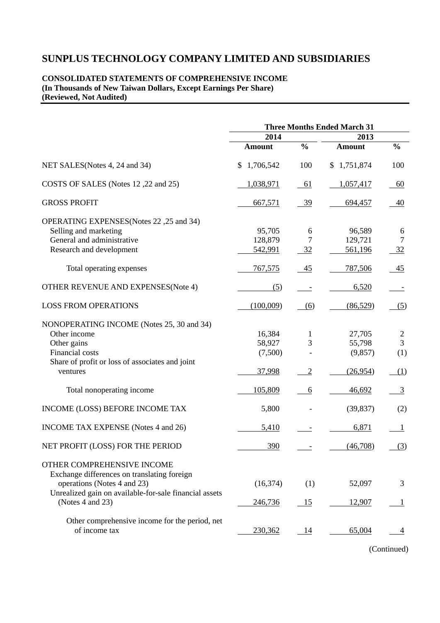#### **CONSOLIDATED STATEMENTS OF COMPREHENSIVE INCOME (In Thousands of New Taiwan Dollars, Except Earnings Per Share) (Reviewed, Not Audited)**

|                                                                                                                                                                                        |                                       | <b>Three Months Ended March 31</b> |                                         |                                   |  |
|----------------------------------------------------------------------------------------------------------------------------------------------------------------------------------------|---------------------------------------|------------------------------------|-----------------------------------------|-----------------------------------|--|
|                                                                                                                                                                                        | 2014                                  |                                    | 2013                                    |                                   |  |
|                                                                                                                                                                                        | <b>Amount</b>                         | $\frac{0}{0}$                      | <b>Amount</b>                           | $\frac{6}{6}$                     |  |
| NET SALES (Notes 4, 24 and 34)                                                                                                                                                         | 1,706,542<br>\$                       | 100                                | \$1,751,874                             | 100                               |  |
| COSTS OF SALES (Notes 12,22 and 25)                                                                                                                                                    | 1,038,971                             | <u>61</u>                          | 1,057,417                               | 60                                |  |
| <b>GROSS PROFIT</b>                                                                                                                                                                    | 667,571                               | 39                                 | 694,457                                 | 40                                |  |
| OPERATING EXPENSES (Notes 22, 25 and 34)<br>Selling and marketing<br>General and administrative<br>Research and development                                                            | 95,705<br>128,879<br>542,991          | 6<br>7<br>32                       | 96,589<br>129,721<br>561,196            | 6<br>7<br>32                      |  |
| Total operating expenses                                                                                                                                                               | 767,575                               | 45                                 | 787,506                                 | 45                                |  |
| OTHER REVENUE AND EXPENSES(Note 4)                                                                                                                                                     | (5)                                   |                                    | 6,520                                   |                                   |  |
| <b>LOSS FROM OPERATIONS</b>                                                                                                                                                            | (100,009)                             | (6)                                | (86,529)                                | (5)                               |  |
| NONOPERATING INCOME (Notes 25, 30 and 34)<br>Other income<br>Other gains<br>Financial costs<br>Share of profit or loss of associates and joint<br>ventures                             | 16,384<br>58,927<br>(7,500)<br>37,998 | 1<br>3<br>$\overline{2}$           | 27,705<br>55,798<br>(9,857)<br>(26,954) | $\overline{c}$<br>3<br>(1)<br>(1) |  |
| Total nonoperating income                                                                                                                                                              | 105,809                               | 6                                  | 46,692                                  | $\overline{3}$                    |  |
| INCOME (LOSS) BEFORE INCOME TAX                                                                                                                                                        | 5,800                                 |                                    | (39, 837)                               | (2)                               |  |
| INCOME TAX EXPENSE (Notes 4 and 26)                                                                                                                                                    | 5,410                                 |                                    | 6,871                                   | 1                                 |  |
| NET PROFIT (LOSS) FOR THE PERIOD                                                                                                                                                       | 390                                   |                                    | (46,708)                                | (3)                               |  |
| OTHER COMPREHENSIVE INCOME<br>Exchange differences on translating foreign<br>operations (Notes 4 and 23)<br>Unrealized gain on available-for-sale financial assets<br>(Notes 4 and 23) | (16, 374)<br>246,736                  | (1)<br>15                          | 52,097<br>12,907                        | 3                                 |  |
| Other comprehensive income for the period, net<br>of income tax                                                                                                                        | 230,362                               | <u>14</u>                          | 65,004                                  |                                   |  |

(Continued)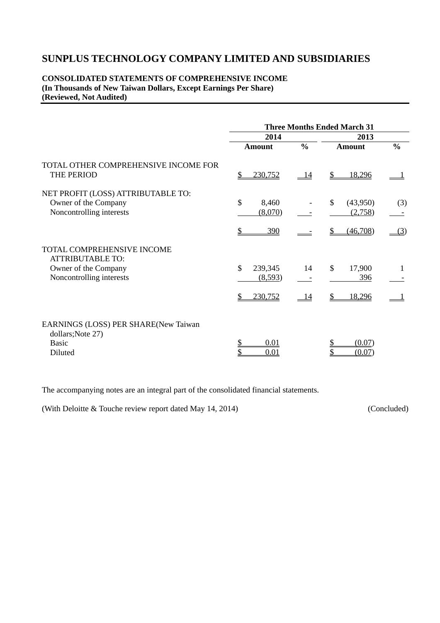### **CONSOLIDATED STATEMENTS OF COMPREHENSIVE INCOME (In Thousands of New Taiwan Dollars, Except Earnings Per Share) (Reviewed, Not Audited)**

|                                                                                                                  | <b>Three Months Ended March 31</b>                  |               |                                                |               |  |  |  |
|------------------------------------------------------------------------------------------------------------------|-----------------------------------------------------|---------------|------------------------------------------------|---------------|--|--|--|
|                                                                                                                  | 2014                                                |               | 2013                                           |               |  |  |  |
|                                                                                                                  | <b>Amount</b>                                       | $\frac{0}{0}$ | <b>Amount</b>                                  | $\frac{6}{6}$ |  |  |  |
| TOTAL OTHER COMPREHENSIVE INCOME FOR<br>THE PERIOD                                                               | 230,752<br>\$                                       | <u>14</u>     | 18,296<br>\$                                   |               |  |  |  |
| NET PROFIT (LOSS) ATTRIBUTABLE TO:<br>Owner of the Company<br>Noncontrolling interests                           | \$<br>8,460<br>(8,070)                              |               | $\mathcal{S}$<br>(43,950)<br>(2,758)           | (3)           |  |  |  |
|                                                                                                                  | \$<br>390                                           |               | (46,708)<br>S                                  | (3)           |  |  |  |
| <b>TOTAL COMPREHENSIVE INCOME</b><br><b>ATTRIBUTABLE TO:</b><br>Owner of the Company<br>Noncontrolling interests | $\mathbb{S}$<br>239,345<br>(8,593)<br>\$<br>230,752 | 14<br>14      | $\mathcal{S}$<br>17,900<br>396<br>\$<br>18,296 | -1            |  |  |  |
| EARNINGS (LOSS) PER SHARE(New Taiwan<br>dollars; Note 27)<br><b>Basic</b><br>Diluted                             | \$<br>0.01<br>\$<br>0.01                            |               | (0.07)<br>(0.07)                               |               |  |  |  |

The accompanying notes are an integral part of the consolidated financial statements.

(With Deloitte & Touche review report dated May 14, 2014) (Concluded)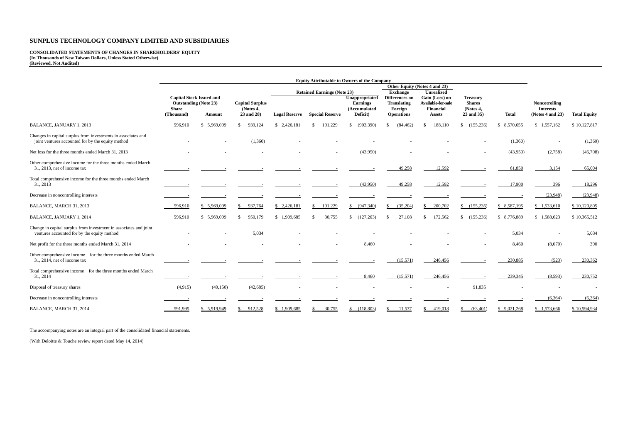# **CONSOLIDATED STATEMENTS OF CHANGES IN SHAREHOLDERS' EQUITY (In Thousands of New Taiwan Dollars, Unless Stated Otherwise) (Reviewed, Not Audited)**

|                                                                                                                    | <b>Equity Attributable to Owners of the Company</b>             |              |                                                       |                      |                                             |                                                   |                                      |                                             |                                               |                 |                                      |                     |
|--------------------------------------------------------------------------------------------------------------------|-----------------------------------------------------------------|--------------|-------------------------------------------------------|----------------------|---------------------------------------------|---------------------------------------------------|--------------------------------------|---------------------------------------------|-----------------------------------------------|-----------------|--------------------------------------|---------------------|
|                                                                                                                    | <b>Capital Stock Issued and</b><br><b>Outstanding (Note 23)</b> |              | <b>Retained Earnings (Note 23)</b><br><b>Exchange</b> |                      | Other Equity (Notes 4 and 23)<br>Unrealized |                                                   |                                      |                                             |                                               |                 |                                      |                     |
|                                                                                                                    |                                                                 |              | <b>Capital Surplus</b>                                |                      |                                             | Unappropriated<br><b>Earnings</b><br>(Accumulated | Differences on<br><b>Translating</b> | Gain (Loss) on<br><b>Available for sale</b> | <b>Treasury</b><br><b>Shares</b><br>(Notes 4, |                 | Noncotrolling                        |                     |
|                                                                                                                    | <b>Share</b><br>(Thousand)                                      | Amount       | (Notes 4,<br>23 and 28)                               | <b>Legal Reserve</b> | <b>Special Reserve</b>                      |                                                   | Foreign<br><b>Operations</b>         | <b>Financial</b><br>Assets                  |                                               | <b>Total</b>    | <b>Interests</b><br>(Notes 4 and 23) | <b>Total Equity</b> |
| BALANCE, JANUARY 1, 2013                                                                                           | 596,910                                                         | \$ 5,969,099 | 939,124<br><sup>\$</sup>                              | \$2,426,181          | 191,229<br>\$.                              | (903, 390)<br>$\mathbf{s}$                        | (84, 462)<br>\$.                     | 188,110                                     | \$(155,236)                                   | 8,570,655<br>-S | \$1,557,162                          | \$10,127,817        |
| Changes in capital surplus from investments in associates and<br>joint ventures accounted for by the equity method |                                                                 |              | (1,360)                                               |                      |                                             |                                                   |                                      |                                             |                                               | (1,360)         |                                      | (1,360)             |
| Net loss for the three months ended March 31, 2013                                                                 |                                                                 |              |                                                       |                      |                                             | (43,950)                                          |                                      |                                             |                                               | (43,950)        | (2,758)                              | (46,708)            |
| Other comprehensive income for the three months ended March<br>31, 2013, net of income tax                         |                                                                 |              |                                                       |                      |                                             |                                                   | 49,258                               | 12,592                                      |                                               | 61,850          | 3,154                                | 65,004              |
| Total comprehensive income for the three months ended March<br>31, 2013                                            |                                                                 |              |                                                       |                      |                                             | (43,950)                                          | 49,258                               | 12,592                                      |                                               | 17,900          | 396                                  | 18,296              |
| Decrease in noncontrolling interests                                                                               |                                                                 |              |                                                       |                      |                                             |                                                   |                                      |                                             |                                               |                 | (23,948)                             | (23,948)            |
| BALANCE, MARCH 31, 2013                                                                                            | 596,910                                                         | \$5,969,099  | 937,764                                               | \$2,426,181          | 191,229                                     | (947,340)                                         | (35,204)<br>S.                       | 200,702                                     | \$ (155,236)                                  | \$ 8,587,195    | \$1,533,610                          | \$10,120,805        |
| BALANCE, JANUARY 1, 2014                                                                                           | 596,910                                                         | \$ 5,969,099 | 950,179<br>\$.                                        | \$1.909,685          | 30,755<br>\$.                               | (127,263)                                         | 27.108<br>\$.                        | 172,562                                     | \$(155, 236)                                  | 8,776,889<br>S. | \$1.588,623                          | \$10,365,512        |
| Change in capital surplus from investment in associates and joint<br>ventures accounted for by the equity method   |                                                                 |              | 5,034                                                 |                      |                                             |                                                   |                                      |                                             |                                               | 5,034           |                                      | 5,034               |
| Net profit for the three months ended March 31, 2014                                                               |                                                                 |              |                                                       |                      |                                             | 8.460                                             |                                      |                                             |                                               | 8,460           | (8,070)                              | 390                 |
| Other comprehensive income for the three months ended March<br>31, 2014, net of income tax                         |                                                                 |              |                                                       |                      |                                             |                                                   | (15,571)                             | 246,456                                     |                                               | 230,885         | (523)                                | 230,362             |
| Total comprehensive income for the three months ended March<br>31, 2014                                            |                                                                 |              |                                                       |                      |                                             | 8,460                                             | (15,571)                             | 246,456                                     |                                               | 239,345         | (8,593)                              | 230,752             |
| Disposal of treasury shares                                                                                        | (4,915)                                                         | (49, 150)    | (42, 685)                                             |                      |                                             |                                                   |                                      |                                             | 91,835                                        |                 |                                      |                     |
| Decrease in noncontrolling interests                                                                               |                                                                 |              |                                                       |                      |                                             |                                                   |                                      |                                             |                                               |                 | (6,364)                              | (6, 364)            |
| BALANCE, MARCH 31, 2014                                                                                            | 591,995                                                         | \$ 5,919,949 | 912,528                                               | \$1,909,685          | 30,755                                      | (118,803)<br>S.                                   | 11,537                               | 419,018                                     | (63, 401)                                     | \$9,021,268     | \$1,573,666                          | \$10,594,934        |

The accompanying notes are an integral part of the consolidated financial statements.

(With Deloitte & Touche review report dated May 14, 2014)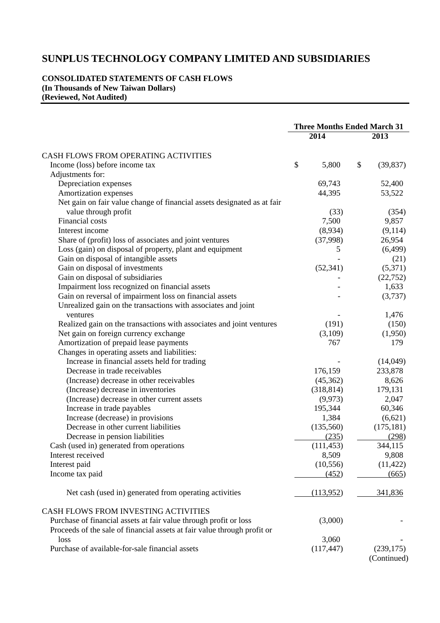### **CONSOLIDATED STATEMENTS OF CASH FLOWS (In Thousands of New Taiwan Dollars) (Reviewed, Not Audited)**

|                                                                          | <b>Three Months Ended March 31</b> |            |    |             |
|--------------------------------------------------------------------------|------------------------------------|------------|----|-------------|
|                                                                          |                                    | 2014       |    | 2013        |
| CASH FLOWS FROM OPERATING ACTIVITIES                                     |                                    |            |    |             |
| Income (loss) before income tax                                          | \$                                 | 5,800      | \$ | (39, 837)   |
| Adjustments for:                                                         |                                    |            |    |             |
| Depreciation expenses                                                    |                                    | 69,743     |    | 52,400      |
| Amortization expenses                                                    |                                    | 44,395     |    | 53,522      |
| Net gain on fair value change of financial assets designated as at fair  |                                    |            |    |             |
| value through profit                                                     |                                    | (33)       |    | (354)       |
| <b>Financial</b> costs                                                   |                                    | 7,500      |    | 9,857       |
| Interest income                                                          |                                    | (8,934)    |    | (9,114)     |
| Share of (profit) loss of associates and joint ventures                  |                                    | (37,998)   |    | 26,954      |
| Loss (gain) on disposal of property, plant and equipment                 |                                    | 5          |    | (6,499)     |
| Gain on disposal of intangible assets                                    |                                    |            |    | (21)        |
| Gain on disposal of investments                                          |                                    | (52, 341)  |    | (5,371)     |
| Gain on disposal of subsidiaries                                         |                                    |            |    | (22, 752)   |
| Impairment loss recognized on financial assets                           |                                    |            |    | 1,633       |
| Gain on reversal of impairment loss on financial assets                  |                                    |            |    | (3,737)     |
| Unrealized gain on the transactions with associates and joint            |                                    |            |    |             |
| ventures                                                                 |                                    |            |    | 1,476       |
| Realized gain on the transactions with associates and joint ventures     |                                    | (191)      |    | (150)       |
| Net gain on foreign currency exchange                                    |                                    | (3,109)    |    | (1,950)     |
| Amortization of prepaid lease payments                                   |                                    | 767        |    | 179         |
| Changes in operating assets and liabilities:                             |                                    |            |    |             |
| Increase in financial assets held for trading                            |                                    |            |    | (14,049)    |
| Decrease in trade receivables                                            |                                    | 176,159    |    | 233,878     |
| (Increase) decrease in other receivables                                 |                                    | (45,362)   |    | 8,626       |
| (Increase) decrease in inventories                                       |                                    | (318, 814) |    | 179,131     |
| (Increase) decrease in other current assets                              |                                    | (9,973)    |    | 2,047       |
| Increase in trade payables                                               |                                    | 195,344    |    | 60,346      |
| Increase (decrease) in provisions                                        |                                    | 1,384      |    | (6,621)     |
| Decrease in other current liabilities                                    |                                    | (135,560)  |    | (175, 181)  |
| Decrease in pension liabilities                                          |                                    | (235)      |    | (298)       |
| Cash (used in) generated from operations                                 |                                    | (111, 453) |    | 344,115     |
| Interest received                                                        |                                    | 8,509      |    | 9,808       |
| Interest paid                                                            |                                    | (10, 556)  |    | (11, 422)   |
| Income tax paid                                                          |                                    | (452)      |    | (665)       |
| Net cash (used in) generated from operating activities                   |                                    | (113,952)  |    | 341,836     |
| CASH FLOWS FROM INVESTING ACTIVITIES                                     |                                    |            |    |             |
| Purchase of financial assets at fair value through profit or loss        |                                    | (3,000)    |    |             |
| Proceeds of the sale of financial assets at fair value through profit or |                                    |            |    |             |
| loss                                                                     |                                    | 3,060      |    |             |
| Purchase of available-for-sale financial assets                          |                                    | (117, 447) |    | (239, 175)  |
|                                                                          |                                    |            |    | (Continued) |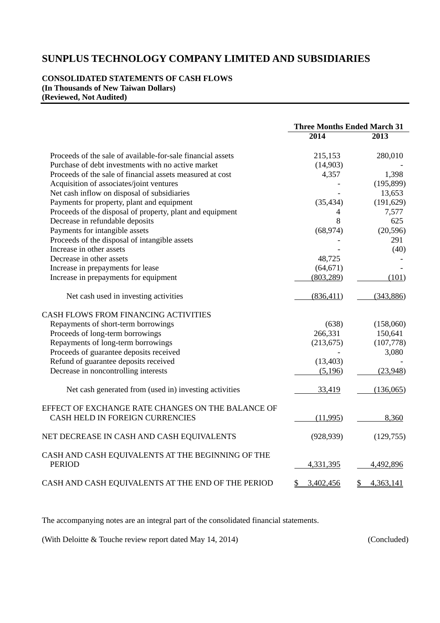### **CONSOLIDATED STATEMENTS OF CASH FLOWS (In Thousands of New Taiwan Dollars) (Reviewed, Not Audited)**

|                                                                    | <b>Three Months Ended March 31</b> |                            |
|--------------------------------------------------------------------|------------------------------------|----------------------------|
|                                                                    | 2014                               | 2013                       |
| Proceeds of the sale of available-for-sale financial assets        | 215,153                            | 280,010                    |
| Purchase of debt investments with no active market                 | (14,903)                           |                            |
| Proceeds of the sale of financial assets measured at cost          | 4,357                              | 1,398                      |
| Acquisition of associates/joint ventures                           |                                    | (195, 899)                 |
| Net cash inflow on disposal of subsidiaries                        |                                    | 13,653                     |
| Payments for property, plant and equipment                         | (35, 434)                          | (191, 629)                 |
| Proceeds of the disposal of property, plant and equipment          | 4                                  | 7,577                      |
| Decrease in refundable deposits                                    | 8                                  | 625                        |
| Payments for intangible assets                                     | (68, 974)                          | (20, 596)                  |
| Proceeds of the disposal of intangible assets                      |                                    | 291                        |
| Increase in other assets                                           |                                    | (40)                       |
| Decrease in other assets                                           | 48,725                             |                            |
| Increase in prepayments for lease                                  | (64, 671)                          |                            |
| Increase in prepayments for equipment                              | (803, 289)                         | (101)                      |
| Net cash used in investing activities                              | (836, 411)                         | (343, 886)                 |
| <b>CASH FLOWS FROM FINANCING ACTIVITIES</b>                        |                                    |                            |
| Repayments of short-term borrowings                                | (638)                              | (158,060)                  |
| Proceeds of long-term borrowings                                   | 266,331                            | 150,641                    |
| Repayments of long-term borrowings                                 | (213, 675)                         | (107,778)                  |
| Proceeds of guarantee deposits received                            |                                    | 3,080                      |
| Refund of guarantee deposits received                              | (13, 403)                          |                            |
| Decrease in noncontrolling interests                               | (5,196)                            | (23,948)                   |
| Net cash generated from (used in) investing activities             | 33,419                             | (136,065)                  |
| EFFECT OF EXCHANGE RATE CHANGES ON THE BALANCE OF                  |                                    |                            |
| CASH HELD IN FOREIGN CURRENCIES                                    | (11,995)                           | 8,360                      |
| NET DECREASE IN CASH AND CASH EQUIVALENTS                          | (928, 939)                         | (129, 755)                 |
| CASH AND CASH EQUIVALENTS AT THE BEGINNING OF THE<br><b>PERIOD</b> | 4,331,395                          | 4,492,896                  |
|                                                                    |                                    |                            |
| CASH AND CASH EQUIVALENTS AT THE END OF THE PERIOD                 | 3,402,456<br>\$                    | 4,363,141<br>$\frac{1}{2}$ |

The accompanying notes are an integral part of the consolidated financial statements.

(With Deloitte & Touche review report dated May 14, 2014) (Concluded)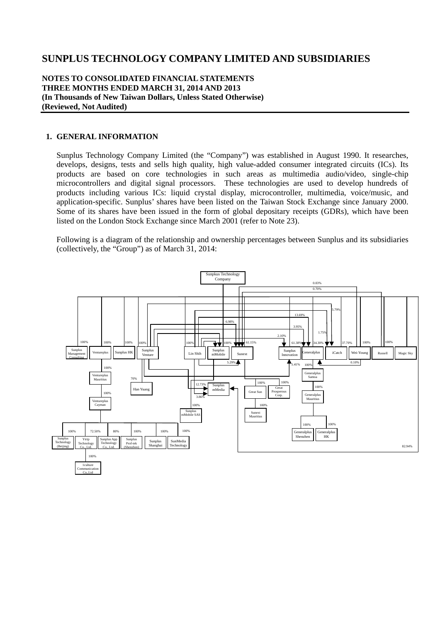#### **NOTES TO CONSOLIDATED FINANCIAL STATEMENTS THREE MONTHS ENDED MARCH 31, 2014 AND 2013 (In Thousands of New Taiwan Dollars, Unless Stated Otherwise) (Reviewed, Not Audited)**

#### **1. GENERAL INFORMATION**

Sunplus Technology Company Limited (the "Company") was established in August 1990. It researches, develops, designs, tests and sells high quality, high value-added consumer integrated circuits (ICs). Its products are based on core technologies in such areas as multimedia audio/video, single-chip microcontrollers and digital signal processors. These technologies are used to develop hundreds of products including various ICs: liquid crystal display, microcontroller, multimedia, voice/music, and application-specific. Sunplus' shares have been listed on the Taiwan Stock Exchange since January 2000. Some of its shares have been issued in the form of global depositary receipts (GDRs), which have been listed on the London Stock Exchange since March 2001 (refer to Note 23).

Following is a diagram of the relationship and ownership percentages between Sunplus and its subsidiaries (collectively, the "Group") as of March 31, 2014:

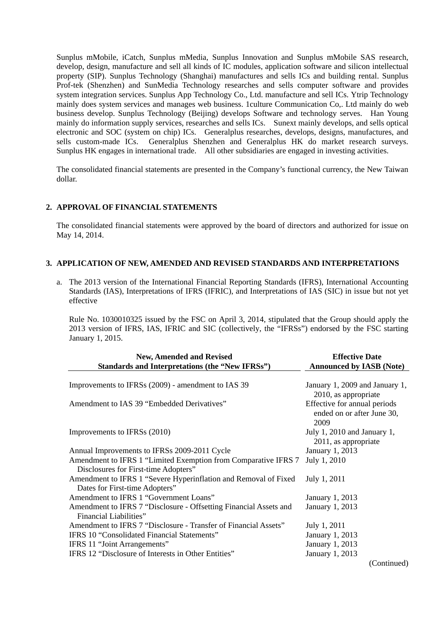Sunplus mMobile, iCatch, Sunplus mMedia, Sunplus Innovation and Sunplus mMobile SAS research, develop, design, manufacture and sell all kinds of IC modules, application software and silicon intellectual property (SIP). Sunplus Technology (Shanghai) manufactures and sells ICs and building rental. Sunplus Prof-tek (Shenzhen) and SunMedia Technology researches and sells computer software and provides system integration services. Sunplus App Technology Co., Ltd. manufacture and sell ICs. Ytrip Technology mainly does system services and manages web business. 1culture Communication Co,. Ltd mainly do web business develop. Sunplus Technology (Beijing) develops Software and technology serves. Han Young mainly do information supply services, researches and sells ICs. Sunext mainly develops, and sells optical electronic and SOC (system on chip) ICs. Generalplus researches, develops, designs, manufactures, and sells custom-made ICs. Generalplus Shenzhen and Generalplus HK do market research surveys. Sunplus HK engages in international trade. All other subsidiaries are engaged in investing activities.

The consolidated financial statements are presented in the Company's functional currency, the New Taiwan dollar.

#### **2. APPROVAL OF FINANCIAL STATEMENTS**

The consolidated financial statements were approved by the board of directors and authorized for issue on May 14, 2014.

#### **3. APPLICATION OF NEW, AMENDED AND REVISED STANDARDS AND INTERPRETATIONS**

a. The 2013 version of the International Financial Reporting Standards (IFRS), International Accounting Standards (IAS), Interpretations of IFRS (IFRIC), and Interpretations of IAS (SIC) in issue but not yet effective

Rule No. 1030010325 issued by the FSC on April 3, 2014, stipulated that the Group should apply the 2013 version of IFRS, IAS, IFRIC and SIC (collectively, the "IFRSs") endorsed by the FSC starting January 1, 2015.

| <b>New, Amended and Revised</b><br>Standards and Interpretations (the "New IFRSs")                     | <b>Effective Date</b><br><b>Announced by IASB (Note)</b>           |
|--------------------------------------------------------------------------------------------------------|--------------------------------------------------------------------|
|                                                                                                        |                                                                    |
| Improvements to IFRSs (2009) - amendment to IAS 39                                                     | January 1, 2009 and January 1,<br>2010, as appropriate             |
| Amendment to IAS 39 "Embedded Derivatives"                                                             | Effective for annual periods<br>ended on or after June 30,<br>2009 |
| Improvements to IFRSs (2010)                                                                           | July 1, 2010 and January 1,<br>2011, as appropriate                |
| Annual Improvements to IFRSs 2009-2011 Cycle                                                           | January 1, 2013                                                    |
| Amendment to IFRS 1 "Limited Exemption from Comparative IFRS 7<br>Disclosures for First-time Adopters" | July 1, 2010                                                       |
| Amendment to IFRS 1 "Severe Hyperinflation and Removal of Fixed<br>Dates for First-time Adopters"      | July 1, 2011                                                       |
| Amendment to IFRS 1 "Government Loans"                                                                 | January 1, 2013                                                    |
| Amendment to IFRS 7 "Disclosure - Offsetting Financial Assets and<br>Financial Liabilities"            | January 1, 2013                                                    |
| Amendment to IFRS 7 "Disclosure - Transfer of Financial Assets"                                        | July 1, 2011                                                       |
| <b>IFRS 10 "Consolidated Financial Statements"</b>                                                     | January 1, 2013                                                    |
| IFRS 11 "Joint Arrangements"                                                                           | January 1, 2013                                                    |
| IFRS 12 "Disclosure of Interests in Other Entities"                                                    | <b>January 1, 2013</b>                                             |
|                                                                                                        | (Continued)                                                        |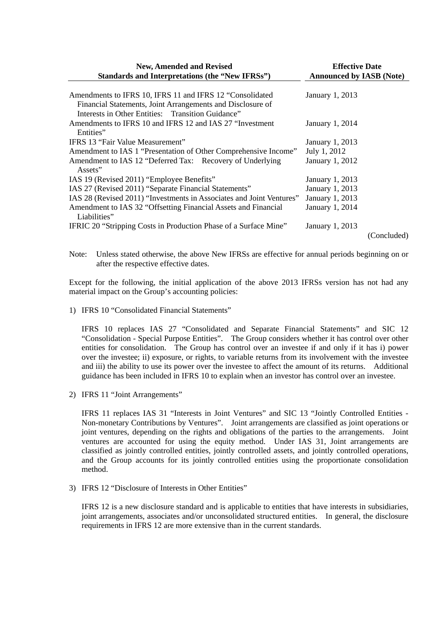| <b>New, Amended and Revised</b>                                                                                             | <b>Effective Date</b>           |             |  |  |  |
|-----------------------------------------------------------------------------------------------------------------------------|---------------------------------|-------------|--|--|--|
| Standards and Interpretations (the "New IFRSs")                                                                             | <b>Announced by IASB (Note)</b> |             |  |  |  |
| Amendments to IFRS 10, IFRS 11 and IFRS 12 "Consolidated<br>Financial Statements, Joint Arrangements and Disclosure of      | January 1, 2013                 |             |  |  |  |
| Interests in Other Entities: Transition Guidance"<br>Amendments to IFRS 10 and IFRS 12 and IAS 27 "Investment"<br>Entities" | January 1, 2014                 |             |  |  |  |
| IFRS 13 "Fair Value Measurement"                                                                                            | January 1, 2013                 |             |  |  |  |
| Amendment to IAS 1 "Presentation of Other Comprehensive Income"                                                             | July 1, 2012                    |             |  |  |  |
| Amendment to IAS 12 "Deferred Tax: Recovery of Underlying<br>Assets"                                                        | January 1, 2012                 |             |  |  |  |
| IAS 19 (Revised 2011) "Employee Benefits"                                                                                   | January 1, 2013                 |             |  |  |  |
| IAS 27 (Revised 2011) "Separate Financial Statements"                                                                       | January 1, 2013                 |             |  |  |  |
| IAS 28 (Revised 2011) "Investments in Associates and Joint Ventures"                                                        | January 1, 2013                 |             |  |  |  |
| Amendment to IAS 32 "Offsetting Financial Assets and Financial<br>Liabilities"                                              | January 1, 2014                 |             |  |  |  |
| IFRIC 20 "Stripping Costs in Production Phase of a Surface Mine"                                                            | January 1, 2013                 |             |  |  |  |
|                                                                                                                             |                                 | (Concluded) |  |  |  |

Note: Unless stated otherwise, the above New IFRSs are effective for annual periods beginning on or after the respective effective dates.

Except for the following, the initial application of the above 2013 IFRSs version has not had any material impact on the Group's accounting policies:

1) IFRS 10 "Consolidated Financial Statements"

IFRS 10 replaces IAS 27 "Consolidated and Separate Financial Statements" and SIC 12 "Consolidation - Special Purpose Entities". The Group considers whether it has control over other entities for consolidation. The Group has control over an investee if and only if it has i) power over the investee; ii) exposure, or rights, to variable returns from its involvement with the investee and iii) the ability to use its power over the investee to affect the amount of its returns. Additional guidance has been included in IFRS 10 to explain when an investor has control over an investee.

2) IFRS 11 "Joint Arrangements"

IFRS 11 replaces IAS 31 "Interests in Joint Ventures" and SIC 13 "Jointly Controlled Entities - Non-monetary Contributions by Ventures". Joint arrangements are classified as joint operations or joint ventures, depending on the rights and obligations of the parties to the arrangements. Joint ventures are accounted for using the equity method. Under IAS 31, Joint arrangements are classified as jointly controlled entities, jointly controlled assets, and jointly controlled operations, and the Group accounts for its jointly controlled entities using the proportionate consolidation method.

3) IFRS 12 "Disclosure of Interests in Other Entities"

IFRS 12 is a new disclosure standard and is applicable to entities that have interests in subsidiaries, joint arrangements, associates and/or unconsolidated structured entities. In general, the disclosure requirements in IFRS 12 are more extensive than in the current standards.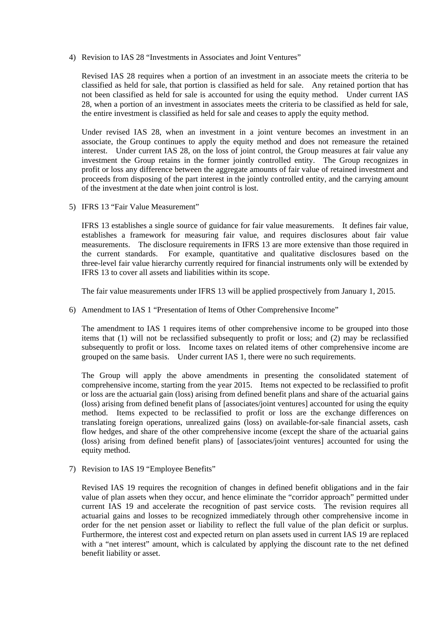4) Revision to IAS 28 "Investments in Associates and Joint Ventures"

Revised IAS 28 requires when a portion of an investment in an associate meets the criteria to be classified as held for sale, that portion is classified as held for sale. Any retained portion that has not been classified as held for sale is accounted for using the equity method. Under current IAS 28, when a portion of an investment in associates meets the criteria to be classified as held for sale, the entire investment is classified as held for sale and ceases to apply the equity method.

Under revised IAS 28, when an investment in a joint venture becomes an investment in an associate, the Group continues to apply the equity method and does not remeasure the retained interest. Under current IAS 28, on the loss of joint control, the Group measures at fair value any investment the Group retains in the former jointly controlled entity. The Group recognizes in profit or loss any difference between the aggregate amounts of fair value of retained investment and proceeds from disposing of the part interest in the jointly controlled entity, and the carrying amount of the investment at the date when joint control is lost.

5) IFRS 13 "Fair Value Measurement"

IFRS 13 establishes a single source of guidance for fair value measurements. It defines fair value, establishes a framework for measuring fair value, and requires disclosures about fair value measurements. The disclosure requirements in IFRS 13 are more extensive than those required in the current standards. For example, quantitative and qualitative disclosures based on the three-level fair value hierarchy currently required for financial instruments only will be extended by IFRS 13 to cover all assets and liabilities within its scope.

The fair value measurements under IFRS 13 will be applied prospectively from January 1, 2015.

6) Amendment to IAS 1 "Presentation of Items of Other Comprehensive Income"

The amendment to IAS 1 requires items of other comprehensive income to be grouped into those items that (1) will not be reclassified subsequently to profit or loss; and (2) may be reclassified subsequently to profit or loss. Income taxes on related items of other comprehensive income are grouped on the same basis. Under current IAS 1, there were no such requirements.

The Group will apply the above amendments in presenting the consolidated statement of comprehensive income, starting from the year 2015. Items not expected to be reclassified to profit or loss are the actuarial gain (loss) arising from defined benefit plans and share of the actuarial gains (loss) arising from defined benefit plans of [associates/joint ventures] accounted for using the equity method. Items expected to be reclassified to profit or loss are the exchange differences on translating foreign operations, unrealized gains (loss) on available-for-sale financial assets, cash flow hedges, and share of the other comprehensive income (except the share of the actuarial gains (loss) arising from defined benefit plans) of [associates/joint ventures] accounted for using the equity method.

7) Revision to IAS 19 "Employee Benefits"

Revised IAS 19 requires the recognition of changes in defined benefit obligations and in the fair value of plan assets when they occur, and hence eliminate the "corridor approach" permitted under current IAS 19 and accelerate the recognition of past service costs. The revision requires all actuarial gains and losses to be recognized immediately through other comprehensive income in order for the net pension asset or liability to reflect the full value of the plan deficit or surplus. Furthermore, the interest cost and expected return on plan assets used in current IAS 19 are replaced with a "net interest" amount, which is calculated by applying the discount rate to the net defined benefit liability or asset.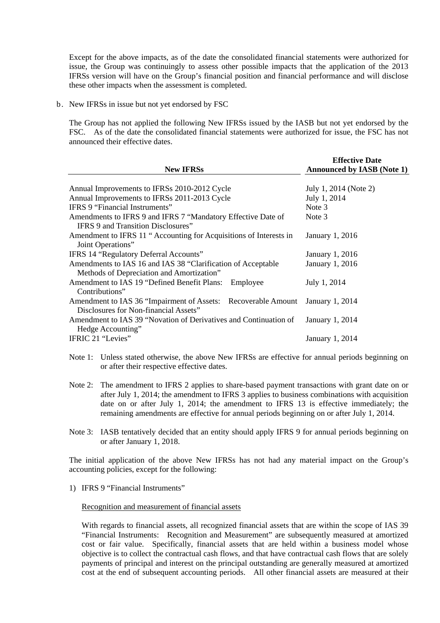Except for the above impacts, as of the date the consolidated financial statements were authorized for issue, the Group was continuingly to assess other possible impacts that the application of the 2013 IFRSs version will have on the Group's financial position and financial performance and will disclose these other impacts when the assessment is completed.

b. New IFRSs in issue but not yet endorsed by FSC

The Group has not applied the following New IFRSs issued by the IASB but not yet endorsed by the FSC. As of the date the consolidated financial statements were authorized for issue, the FSC has not announced their effective dates.

|                                                                   | <b>Effective Date</b>             |
|-------------------------------------------------------------------|-----------------------------------|
| <b>New IFRSs</b>                                                  | <b>Announced by IASB (Note 1)</b> |
|                                                                   |                                   |
| Annual Improvements to IFRSs 2010-2012 Cycle                      | July 1, 2014 (Note 2)             |
| Annual Improvements to IFRSs 2011-2013 Cycle                      | July 1, 2014                      |
| <b>IFRS 9 "Financial Instruments"</b>                             | Note 3                            |
| Amendments to IFRS 9 and IFRS 7 "Mandatory Effective Date of      | Note 3                            |
| <b>IFRS 9 and Transition Disclosures</b> "                        |                                   |
| Amendment to IFRS 11 "Accounting for Acquisitions of Interests in | January 1, 2016                   |
| Joint Operations"                                                 |                                   |
| IFRS 14 "Regulatory Deferral Accounts"                            | January 1, 2016                   |
| Amendments to IAS 16 and IAS 38 "Clarification of Acceptable      | January 1, 2016                   |
| Methods of Depreciation and Amortization"                         |                                   |
| Amendment to IAS 19 "Defined Benefit Plans:<br>Employee           | July 1, 2014                      |
| Contributions"                                                    |                                   |
| Amendment to IAS 36 "Impairment of Assets: Recoverable Amount     | January 1, 2014                   |
| Disclosures for Non-financial Assets"                             |                                   |
| Amendment to IAS 39 "Novation of Derivatives and Continuation of  | January 1, 2014                   |
| Hedge Accounting"                                                 |                                   |
| IFRIC 21 "Levies"                                                 | January 1, 2014                   |

- Note 1: Unless stated otherwise, the above New IFRSs are effective for annual periods beginning on or after their respective effective dates.
- Note 2: The amendment to IFRS 2 applies to share-based payment transactions with grant date on or after July 1, 2014; the amendment to IFRS 3 applies to business combinations with acquisition date on or after July 1, 2014; the amendment to IFRS 13 is effective immediately; the remaining amendments are effective for annual periods beginning on or after July 1, 2014.
- Note 3: IASB tentatively decided that an entity should apply IFRS 9 for annual periods beginning on or after January 1, 2018.

The initial application of the above New IFRSs has not had any material impact on the Group's accounting policies, except for the following:

1) IFRS 9 "Financial Instruments"

#### Recognition and measurement of financial assets

With regards to financial assets, all recognized financial assets that are within the scope of IAS 39 "Financial Instruments: Recognition and Measurement" are subsequently measured at amortized cost or fair value. Specifically, financial assets that are held within a business model whose objective is to collect the contractual cash flows, and that have contractual cash flows that are solely payments of principal and interest on the principal outstanding are generally measured at amortized cost at the end of subsequent accounting periods. All other financial assets are measured at their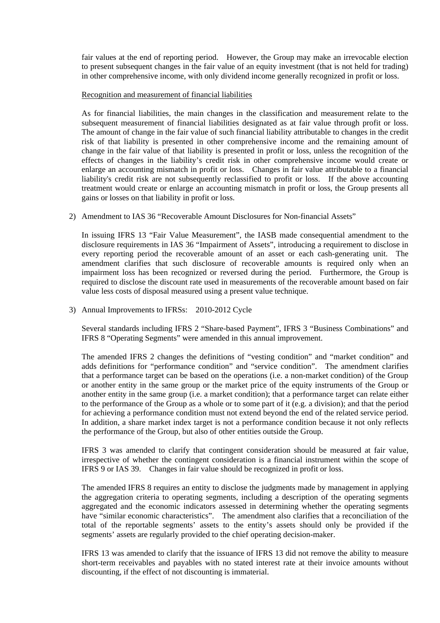fair values at the end of reporting period. However, the Group may make an irrevocable election to present subsequent changes in the fair value of an equity investment (that is not held for trading) in other comprehensive income, with only dividend income generally recognized in profit or loss.

#### Recognition and measurement of financial liabilities

As for financial liabilities, the main changes in the classification and measurement relate to the subsequent measurement of financial liabilities designated as at fair value through profit or loss. The amount of change in the fair value of such financial liability attributable to changes in the credit risk of that liability is presented in other comprehensive income and the remaining amount of change in the fair value of that liability is presented in profit or loss, unless the recognition of the effects of changes in the liability's credit risk in other comprehensive income would create or enlarge an accounting mismatch in profit or loss. Changes in fair value attributable to a financial liability's credit risk are not subsequently reclassified to profit or loss. If the above accounting treatment would create or enlarge an accounting mismatch in profit or loss, the Group presents all gains or losses on that liability in profit or loss.

2) Amendment to IAS 36 "Recoverable Amount Disclosures for Non-financial Assets"

In issuing IFRS 13 "Fair Value Measurement", the IASB made consequential amendment to the disclosure requirements in IAS 36 "Impairment of Assets", introducing a requirement to disclose in every reporting period the recoverable amount of an asset or each cash-generating unit. The amendment clarifies that such disclosure of recoverable amounts is required only when an impairment loss has been recognized or reversed during the period. Furthermore, the Group is required to disclose the discount rate used in measurements of the recoverable amount based on fair value less costs of disposal measured using a present value technique.

3) Annual Improvements to IFRSs: 2010-2012 Cycle

Several standards including IFRS 2 "Share-based Payment", IFRS 3 "Business Combinations" and IFRS 8 "Operating Segments" were amended in this annual improvement.

The amended IFRS 2 changes the definitions of "vesting condition" and "market condition" and adds definitions for "performance condition" and "service condition". The amendment clarifies that a performance target can be based on the operations (i.e. a non-market condition) of the Group or another entity in the same group or the market price of the equity instruments of the Group or another entity in the same group (i.e. a market condition); that a performance target can relate either to the performance of the Group as a whole or to some part of it (e.g. a division); and that the period for achieving a performance condition must not extend beyond the end of the related service period. In addition, a share market index target is not a performance condition because it not only reflects the performance of the Group, but also of other entities outside the Group.

IFRS 3 was amended to clarify that contingent consideration should be measured at fair value, irrespective of whether the contingent consideration is a financial instrument within the scope of IFRS 9 or IAS 39. Changes in fair value should be recognized in profit or loss.

The amended IFRS 8 requires an entity to disclose the judgments made by management in applying the aggregation criteria to operating segments, including a description of the operating segments aggregated and the economic indicators assessed in determining whether the operating segments have "similar economic characteristics". The amendment also clarifies that a reconciliation of the total of the reportable segments' assets to the entity's assets should only be provided if the segments' assets are regularly provided to the chief operating decision-maker.

IFRS 13 was amended to clarify that the issuance of IFRS 13 did not remove the ability to measure short-term receivables and payables with no stated interest rate at their invoice amounts without discounting, if the effect of not discounting is immaterial.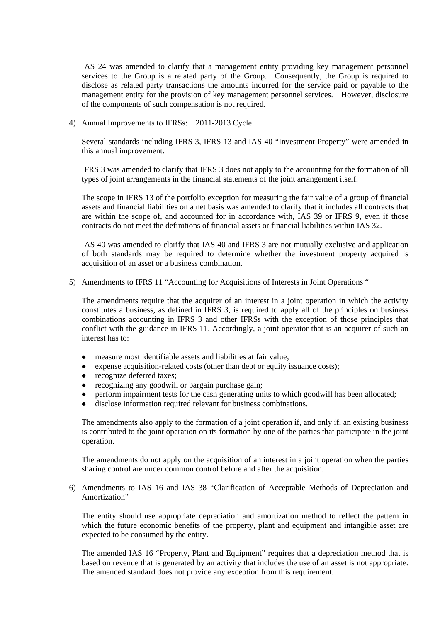IAS 24 was amended to clarify that a management entity providing key management personnel services to the Group is a related party of the Group. Consequently, the Group is required to disclose as related party transactions the amounts incurred for the service paid or payable to the management entity for the provision of key management personnel services. However, disclosure of the components of such compensation is not required.

4) Annual Improvements to IFRSs: 2011-2013 Cycle

Several standards including IFRS 3, IFRS 13 and IAS 40 "Investment Property" were amended in this annual improvement.

IFRS 3 was amended to clarify that IFRS 3 does not apply to the accounting for the formation of all types of joint arrangements in the financial statements of the joint arrangement itself.

The scope in IFRS 13 of the portfolio exception for measuring the fair value of a group of financial assets and financial liabilities on a net basis was amended to clarify that it includes all contracts that are within the scope of, and accounted for in accordance with, IAS 39 or IFRS 9, even if those contracts do not meet the definitions of financial assets or financial liabilities within IAS 32.

IAS 40 was amended to clarify that IAS 40 and IFRS 3 are not mutually exclusive and application of both standards may be required to determine whether the investment property acquired is acquisition of an asset or a business combination.

5) Amendments to IFRS 11 "Accounting for Acquisitions of Interests in Joint Operations "

The amendments require that the acquirer of an interest in a joint operation in which the activity constitutes a business, as defined in IFRS 3, is required to apply all of the principles on business combinations accounting in IFRS 3 and other IFRSs with the exception of those principles that conflict with the guidance in IFRS 11. Accordingly, a joint operator that is an acquirer of such an interest has to:

- measure most identifiable assets and liabilities at fair value;
- expense acquisition-related costs (other than debt or equity issuance costs);
- recognize deferred taxes;
- recognizing any goodwill or bargain purchase gain;
- perform impairment tests for the cash generating units to which goodwill has been allocated;
- disclose information required relevant for business combinations.

The amendments also apply to the formation of a joint operation if, and only if, an existing business is contributed to the joint operation on its formation by one of the parties that participate in the joint operation.

The amendments do not apply on the acquisition of an interest in a joint operation when the parties sharing control are under common control before and after the acquisition.

6) Amendments to IAS 16 and IAS 38 "Clarification of Acceptable Methods of Depreciation and Amortization"

The entity should use appropriate depreciation and amortization method to reflect the pattern in which the future economic benefits of the property, plant and equipment and intangible asset are expected to be consumed by the entity.

The amended IAS 16 "Property, Plant and Equipment" requires that a depreciation method that is based on revenue that is generated by an activity that includes the use of an asset is not appropriate. The amended standard does not provide any exception from this requirement.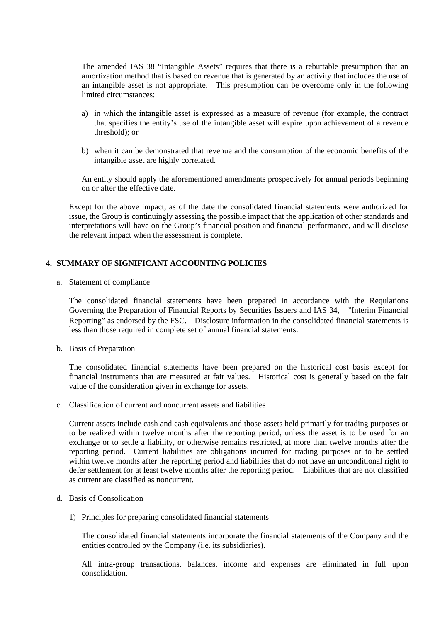The amended IAS 38 "Intangible Assets" requires that there is a rebuttable presumption that an amortization method that is based on revenue that is generated by an activity that includes the use of an intangible asset is not appropriate. This presumption can be overcome only in the following limited circumstances:

- a) in which the intangible asset is expressed as a measure of revenue (for example, the contract that specifies the entity's use of the intangible asset will expire upon achievement of a revenue threshold); or
- b) when it can be demonstrated that revenue and the consumption of the economic benefits of the intangible asset are highly correlated.

An entity should apply the aforementioned amendments prospectively for annual periods beginning on or after the effective date.

Except for the above impact, as of the date the consolidated financial statements were authorized for issue, the Group is continuingly assessing the possible impact that the application of other standards and interpretations will have on the Group's financial position and financial performance, and will disclose the relevant impact when the assessment is complete.

### **4. SUMMARY OF SIGNIFICANT ACCOUNTING POLICIES**

a. Statement of compliance

The consolidated financial statements have been prepared in accordance with the Requlations Governing the Preparation of Financial Reports by Securities Issuers and IAS 34, "Interim Financial Reporting" as endorsed by the FSC. Disclosure information in the consolidated financial statements is less than those required in complete set of annual financial statements.

b. Basis of Preparation

The consolidated financial statements have been prepared on the historical cost basis except for financial instruments that are measured at fair values. Historical cost is generally based on the fair value of the consideration given in exchange for assets.

c. Classification of current and noncurrent assets and liabilities

Current assets include cash and cash equivalents and those assets held primarily for trading purposes or to be realized within twelve months after the reporting period, unless the asset is to be used for an exchange or to settle a liability, or otherwise remains restricted, at more than twelve months after the reporting period. Current liabilities are obligations incurred for trading purposes or to be settled within twelve months after the reporting period and liabilities that do not have an unconditional right to defer settlement for at least twelve months after the reporting period. Liabilities that are not classified as current are classified as noncurrent.

- d. Basis of Consolidation
	- 1) Principles for preparing consolidated financial statements

The consolidated financial statements incorporate the financial statements of the Company and the entities controlled by the Company (i.e. its subsidiaries).

All intra-group transactions, balances, income and expenses are eliminated in full upon consolidation.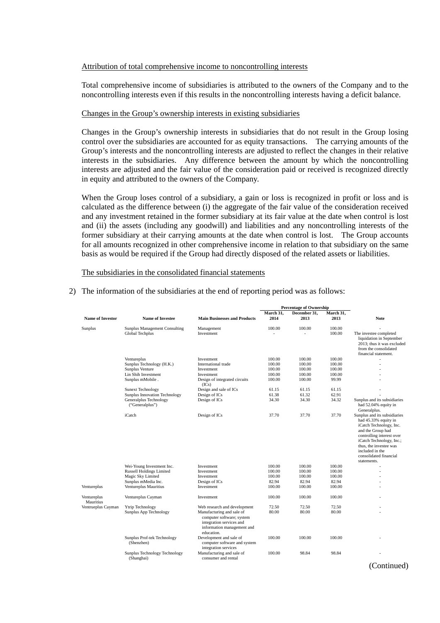#### Attribution of total comprehensive income to noncontrolling interests

Total comprehensive income of subsidiaries is attributed to the owners of the Company and to the noncontrolling interests even if this results in the noncontrolling interests having a deficit balance.

#### Changes in the Group's ownership interests in existing subsidiaries

Changes in the Group's ownership interests in subsidiaries that do not result in the Group losing control over the subsidiaries are accounted for as equity transactions. The carrying amounts of the Group's interests and the noncontrolling interests are adjusted to reflect the changes in their relative interests in the subsidiaries. Any difference between the amount by which the noncontrolling interests are adjusted and the fair value of the consideration paid or received is recognized directly in equity and attributed to the owners of the Company.

When the Group loses control of a subsidiary, a gain or loss is recognized in profit or loss and is calculated as the difference between (i) the aggregate of the fair value of the consideration received and any investment retained in the former subsidiary at its fair value at the date when control is lost and (ii) the assets (including any goodwill) and liabilities and any noncontrolling interests of the former subsidiary at their carrying amounts at the date when control is lost. The Group accounts for all amounts recognized in other comprehensive income in relation to that subsidiary on the same basis as would be required if the Group had directly disposed of the related assets or liabilities.

The subsidiaries in the consolidated financial statements

|                          |                                                         |                                                                                                                                |                          | <b>Percentage of Ownership</b> |                   |                                                                                                                                                                                                                                                     |
|--------------------------|---------------------------------------------------------|--------------------------------------------------------------------------------------------------------------------------------|--------------------------|--------------------------------|-------------------|-----------------------------------------------------------------------------------------------------------------------------------------------------------------------------------------------------------------------------------------------------|
| <b>Name of Investor</b>  | <b>Name of Investee</b>                                 | <b>Main Businesses and Products</b>                                                                                            | March 31,<br>2014        | December 31,<br>2013           | March 31,<br>2013 | <b>Note</b>                                                                                                                                                                                                                                         |
|                          |                                                         |                                                                                                                                |                          |                                |                   |                                                                                                                                                                                                                                                     |
| Sunplus                  | <b>Sunplus Management Consulting</b><br>Global Techplus | Management<br>Investment                                                                                                       | 100.00<br>$\overline{a}$ | 100.00                         | 100.00<br>100.00  | The investee completed<br>liquidation in September<br>2013; thus it was excluded<br>from the consolidated<br>financial statement.                                                                                                                   |
|                          | Ventureplus                                             | Investment                                                                                                                     | 100.00                   | 100.00                         | 100.00            |                                                                                                                                                                                                                                                     |
|                          | Sunplus Technology (H.K.)                               | International trade                                                                                                            | 100.00                   | 100.00                         | 100.00            |                                                                                                                                                                                                                                                     |
|                          | Sunplus Venture                                         | Investment                                                                                                                     | 100.00                   | 100.00                         | 100.00            |                                                                                                                                                                                                                                                     |
|                          | Lin Shih Investment                                     | Investment                                                                                                                     | 100.00                   | 100.00                         | 100.00            |                                                                                                                                                                                                                                                     |
|                          | Sunplus mMobile.                                        | Design of integrated circuits<br>(ICs)                                                                                         | 100.00                   | 100.00                         | 99.99             |                                                                                                                                                                                                                                                     |
|                          | <b>Sunext Technology</b>                                | Design and sale of ICs                                                                                                         | 61.15                    | 61.15                          | 61.15             |                                                                                                                                                                                                                                                     |
|                          | Sunplus Innovation Technology                           | Design of ICs                                                                                                                  | 61.38                    | 61.32                          | 62.91             |                                                                                                                                                                                                                                                     |
|                          | Generalplus Technology<br>("Generalplus")               | Design of ICs                                                                                                                  | 34.30                    | 34.30                          | 34.32             | Sunplus and its subsidiaries<br>had 52.04% equity in<br>Generalplus.                                                                                                                                                                                |
|                          | iCatch                                                  | Design of ICs                                                                                                                  | 37.70                    | 37.70                          | 37.70             | Sunplus and its subsidiaries<br>had 45.33% equity in<br>iCatch Technology, Inc.<br>and the Group had<br>controlling interest over<br>iCatch Technology, Inc.;<br>thus, the investee was<br>included in the<br>consolidated financial<br>statements. |
|                          | Wei-Young Investment Inc.                               | Investment                                                                                                                     | 100.00                   | 100.00                         | 100.00            |                                                                                                                                                                                                                                                     |
|                          | <b>Russell Holdings Limited</b>                         | Investment                                                                                                                     | 100.00                   | 100.00                         | 100.00            |                                                                                                                                                                                                                                                     |
|                          | Magic Sky Limited                                       | Investment                                                                                                                     | 100.00                   | 100.00                         | 100.00            |                                                                                                                                                                                                                                                     |
|                          | Sunplus mMedia Inc.                                     | Design of ICs                                                                                                                  | 82.94                    | 82.94                          | 82.94             |                                                                                                                                                                                                                                                     |
| Ventureplus              | Ventureplus Mauritius                                   | Investment                                                                                                                     | 100.00                   | 100.00                         | 100.00            | ٠                                                                                                                                                                                                                                                   |
| Ventureplus<br>Mauritius | Ventureplus Cayman                                      | Investment                                                                                                                     | 100.00                   | 100.00                         | 100.00            |                                                                                                                                                                                                                                                     |
| Ventrueplus Cayman       | Ytrip Technology                                        | Web research and development                                                                                                   | 72.50                    | 72.50                          | 72.50             |                                                                                                                                                                                                                                                     |
|                          | Sunplus App Technology                                  | Manufacturing and sale of<br>computer software; system<br>integration services and<br>information management and<br>education. | 80.00                    | 80.00                          | 80.00             |                                                                                                                                                                                                                                                     |
|                          | Sunplus Prof-tek Technology<br>(Shenzhen)               | Development and sale of<br>computer software and system<br>integration services                                                | 100.00                   | 100.00                         | 100.00            |                                                                                                                                                                                                                                                     |
|                          | Sunplus Technology Technology<br>(Shanghai)             | Manufacturing and sale of<br>consumer and rental                                                                               | 100.00                   | 98.84                          | 98.84             |                                                                                                                                                                                                                                                     |
|                          |                                                         |                                                                                                                                |                          |                                |                   | $\Gamma$ ontinued                                                                                                                                                                                                                                   |

2) The information of the subsidiaries at the end of reporting period was as follows:

(Continued)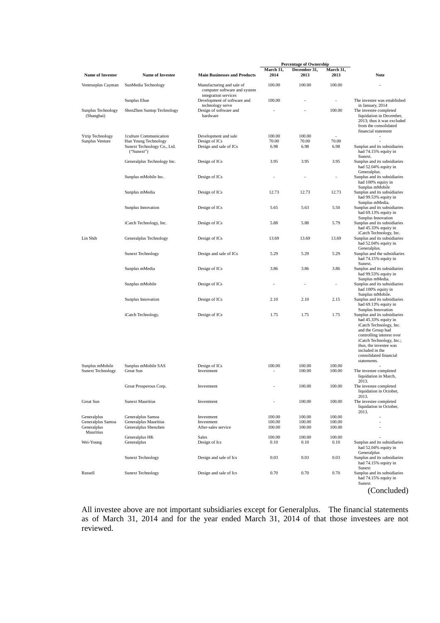|                                                              |                                                                    |                                                           |                            | <b>Percentage of Ownership</b> |                            |                                                                                                                                                                                                                                                                           |
|--------------------------------------------------------------|--------------------------------------------------------------------|-----------------------------------------------------------|----------------------------|--------------------------------|----------------------------|---------------------------------------------------------------------------------------------------------------------------------------------------------------------------------------------------------------------------------------------------------------------------|
| <b>Name of Investor</b>                                      | <b>Name of Investee</b>                                            | <b>Main Businesses and Products</b>                       | March 31,<br>2014          | December 31,<br>2013           | March 31,<br>2013          | <b>Note</b>                                                                                                                                                                                                                                                               |
| Ventrueplus Cayman                                           | SunMedia Technology                                                | Manufacturing and sale of<br>computer software and system | 100.00                     | 100.00                         | 100.00                     |                                                                                                                                                                                                                                                                           |
|                                                              | Sunplus Ehue                                                       | integration services<br>Development of software and       | 100.00                     |                                | $\overline{a}$             | The investee was established                                                                                                                                                                                                                                              |
| Sunplus Technology<br>(Shanghai)                             | ShenZhen Suntop Technology                                         | technology serve<br>Design of software and<br>hardware    |                            |                                | 100.00                     | in January, 2014<br>The investee completed<br>liquidation in December,<br>2013; thus it was excluded<br>from the consolidated<br>financial statement                                                                                                                      |
| Ytrip Technology                                             | 1culture Communication                                             | Development and sale                                      | 100.00                     | 100.00                         | $\overline{a}$             |                                                                                                                                                                                                                                                                           |
| Sunplus Venture                                              | Han Young Technology<br>Sunext Technology Co., Ltd.<br>("Sunext")  | Design of ICs<br>Design and sale of ICs                   | 70.00<br>6.98              | 70.00<br>6.98                  | 70.00<br>6.98              | Sunplus and its subsidiaries<br>had 74.15% equity in<br>Sunext.                                                                                                                                                                                                           |
|                                                              | Generalplus Technology Inc.                                        | Design of ICs                                             | 3.95                       | 3.95                           | 3.95                       | Sunplus and its subsidiaries<br>had 52.04% equity in<br>Generalplus.                                                                                                                                                                                                      |
|                                                              | Sunplus mMobile Inc.                                               | Design of ICs                                             |                            |                                | $\overline{a}$             | Sunplus and its subsidiaries<br>had 100% equity in<br>Sunplus mMobile                                                                                                                                                                                                     |
|                                                              | Sunplus mMedia                                                     | Design of ICs                                             | 12.73                      | 12.73                          | 12.73                      | Sunplus and its subsidiaries<br>had 99.53% equity in<br>Sunplus mMedia.                                                                                                                                                                                                   |
|                                                              | Sunplus Innovation                                                 | Design of ICs                                             | 5.65                       | 5.63                           | 5.50                       | Sunplus and its subsidiaries<br>had 69.13% equity in                                                                                                                                                                                                                      |
|                                                              | iCatch Technology, Inc.                                            | Design of ICs                                             | 5.88                       | 5.88                           | 5.79                       | Sunplus Innovation<br>Sunplus and its subsidiaries<br>had 45.33% equity in                                                                                                                                                                                                |
| Lin Shih                                                     | Generalplus Technology                                             | Design of ICs                                             | 13.69                      | 13.69                          | 13.69                      | iCatch Technology, Inc.<br>Sunplus and its subsidiaries<br>had 52.04% equity in                                                                                                                                                                                           |
|                                                              | <b>Sunext Technology</b>                                           | Design and sale of ICs                                    | 5.29                       | 5.29                           | 5.29                       | Generalplus.<br>Sunplus and the subsidiaries<br>had 74.15% equity in                                                                                                                                                                                                      |
|                                                              | Sunplus mMedia                                                     | Design of ICs                                             | 3.86                       | 3.86                           | 3.86                       | Sunext.<br>Sunplus and its subsidiaries<br>had 99.53% equity in                                                                                                                                                                                                           |
|                                                              | Sunplus mMobile                                                    | Design of ICs                                             | $\overline{\phantom{a}}$   | $\overline{\phantom{a}}$       | $\overline{a}$             | Sunplus mMedia.<br>Sunplus and its subsidiaries<br>had 100% equity in                                                                                                                                                                                                     |
|                                                              | Sunplus Innovation                                                 | Design of ICs                                             | 2.10                       | 2.10                           | 2.15                       | Sunplus mMobile.<br>Sunplus and its subsidiaries<br>had 69.13% equity in                                                                                                                                                                                                  |
|                                                              | iCatch Technology,                                                 | Design of ICs                                             | 1.75                       | 1.75                           | 1.75                       | Sunplus Innovation<br>Sunplus and its subsidiaries<br>had 45.33% equity in<br>iCatch Technology, Inc.<br>and the Group had<br>controlling interest over<br>iCatch Technology, Inc.;<br>thus, the investee was<br>included in the<br>consolidated financial<br>statements. |
| Sunplus mMobile                                              | Sunplus mMobile SAS<br><b>Great Sun</b>                            | Design of ICs                                             | 100.00                     | 100.00<br>100.00               | 100.00<br>100.00           | The investee completed                                                                                                                                                                                                                                                    |
| <b>Sunext Technology</b>                                     |                                                                    | Investment                                                |                            |                                |                            | liquidation in March,<br>2013.                                                                                                                                                                                                                                            |
|                                                              | Great Prosperous Corp.                                             | Investment                                                |                            | 100.00                         | 100.00                     | The investee completed<br>liquidation in October,<br>2013.                                                                                                                                                                                                                |
| Great Sun                                                    | <b>Sunext Mauritius</b>                                            | Investment                                                |                            | 100.00                         | 100.00                     | The investee completed<br>liquidation in October,<br>2013.                                                                                                                                                                                                                |
| Generalplus<br>Generalplus Samoa<br>Generalplus<br>Mauritius | Generalplus Samoa<br>Generalplus Mauritius<br>Generalplus Shenzhen | Investment<br>Investment<br>After-sales service           | 100.00<br>100.00<br>100.00 | 100.00<br>100.00<br>100.00     | 100.00<br>100.00<br>100.00 |                                                                                                                                                                                                                                                                           |
| Wei-Young                                                    | Generalplus HK<br>Generalplus                                      | Sales<br>Design of Ics                                    | 100.00<br>0.10             | 100.00<br>0.10                 | 100.00<br>0.10             | Sunplus and its subsidiaries<br>had 52.04% equity in<br>Generalplus                                                                                                                                                                                                       |
|                                                              | <b>Sunext Technology</b>                                           | Design and sale of Ics                                    | 0.03                       | 0.03                           | 0.03                       | Sunplus and its subsidiaries<br>had 74.15% equity in<br>Sunext                                                                                                                                                                                                            |
| Russell                                                      | <b>Sunext Technology</b>                                           | Design and sale of Ics                                    | 0.70                       | 0.70                           | 0.70                       | Sunplus and its subsidiaries<br>had 74.15% equity in<br>Sunext                                                                                                                                                                                                            |
|                                                              |                                                                    |                                                           |                            |                                |                            | (Concluded)                                                                                                                                                                                                                                                               |

All investee above are not important subsidiaries except for Generalplus. The financial statements as of March 31, 2014 and for the year ended March 31, 2014 of that those investees are not reviewed.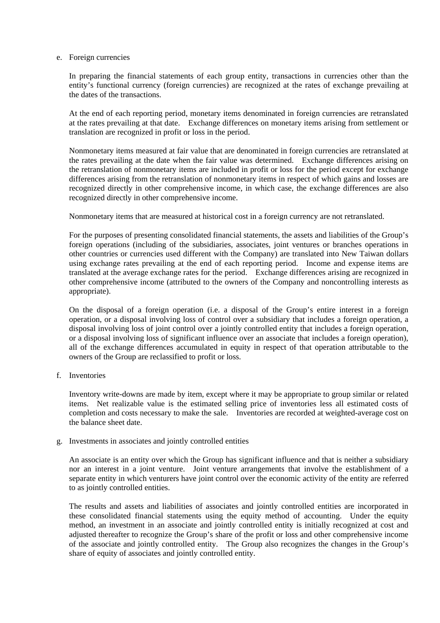#### e. Foreign currencies

In preparing the financial statements of each group entity, transactions in currencies other than the entity's functional currency (foreign currencies) are recognized at the rates of exchange prevailing at the dates of the transactions.

At the end of each reporting period, monetary items denominated in foreign currencies are retranslated at the rates prevailing at that date. Exchange differences on monetary items arising from settlement or translation are recognized in profit or loss in the period.

Nonmonetary items measured at fair value that are denominated in foreign currencies are retranslated at the rates prevailing at the date when the fair value was determined. Exchange differences arising on the retranslation of nonmonetary items are included in profit or loss for the period except for exchange differences arising from the retranslation of nonmonetary items in respect of which gains and losses are recognized directly in other comprehensive income, in which case, the exchange differences are also recognized directly in other comprehensive income.

Nonmonetary items that are measured at historical cost in a foreign currency are not retranslated.

For the purposes of presenting consolidated financial statements, the assets and liabilities of the Group's foreign operations (including of the subsidiaries, associates, joint ventures or branches operations in other countries or currencies used different with the Company) are translated into New Taiwan dollars using exchange rates prevailing at the end of each reporting period. Income and expense items are translated at the average exchange rates for the period. Exchange differences arising are recognized in other comprehensive income (attributed to the owners of the Company and noncontrolling interests as appropriate).

On the disposal of a foreign operation (i.e. a disposal of the Group's entire interest in a foreign operation, or a disposal involving loss of control over a subsidiary that includes a foreign operation, a disposal involving loss of joint control over a jointly controlled entity that includes a foreign operation, or a disposal involving loss of significant influence over an associate that includes a foreign operation), all of the exchange differences accumulated in equity in respect of that operation attributable to the owners of the Group are reclassified to profit or loss.

f. Inventories

Inventory write-downs are made by item, except where it may be appropriate to group similar or related items. Net realizable value is the estimated selling price of inventories less all estimated costs of completion and costs necessary to make the sale. Inventories are recorded at weighted-average cost on the balance sheet date.

#### g. Investments in associates and jointly controlled entities

An associate is an entity over which the Group has significant influence and that is neither a subsidiary nor an interest in a joint venture. Joint venture arrangements that involve the establishment of a separate entity in which venturers have joint control over the economic activity of the entity are referred to as jointly controlled entities.

The results and assets and liabilities of associates and jointly controlled entities are incorporated in these consolidated financial statements using the equity method of accounting. Under the equity method, an investment in an associate and jointly controlled entity is initially recognized at cost and adjusted thereafter to recognize the Group's share of the profit or loss and other comprehensive income of the associate and jointly controlled entity. The Group also recognizes the changes in the Group's share of equity of associates and jointly controlled entity.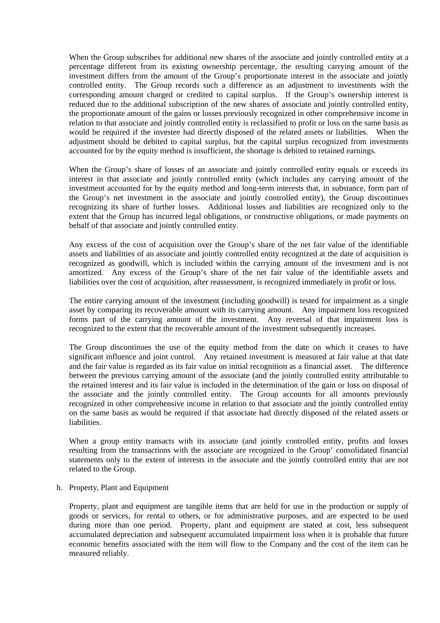When the Group subscribes for additional new shares of the associate and jointly controlled entity at a percentage different from its existing ownership percentage, the resulting carrying amount of the investment differs from the amount of the Group's proportionate interest in the associate and jointly controlled entity. The Group records such a difference as an adjustment to investments with the corresponding amount charged or credited to capital surplus. If the Group's ownership interest is reduced due to the additional subscription of the new shares of associate and jointly controlled entity, the proportionate amount of the gains or losses previously recognized in other comprehensive income in relation to that associate and jointly controlled entity is reclassified to profit or loss on the same basis as would be required if the investee had directly disposed of the related assets or liabilities. When the adjustment should be debited to capital surplus, but the capital surplus recognized from investments accounted for by the equity method is insufficient, the shortage is debited to retained earnings.

When the Group's share of losses of an associate and jointly controlled entity equals or exceeds its interest in that associate and jointly controlled entity (which includes any carrying amount of the investment accounted for by the equity method and long-term interests that, in substance, form part of the Group's net investment in the associate and jointly controlled entity), the Group discontinues recognizing its share of further losses. Additional losses and liabilities are recognized only to the extent that the Group has incurred legal obligations, or constructive obligations, or made payments on behalf of that associate and jointly controlled entity.

Any excess of the cost of acquisition over the Group's share of the net fair value of the identifiable assets and liabilities of an associate and jointly controlled entity recognized at the date of acquisition is recognized as goodwill, which is included within the carrying amount of the investment and is not amortized. Any excess of the Group's share of the net fair value of the identifiable assets and liabilities over the cost of acquisition, after reassessment, is recognized immediately in profit or loss.

The entire carrying amount of the investment (including goodwill) is tested for impairment as a single asset by comparing its recoverable amount with its carrying amount. Any impairment loss recognized forms part of the carrying amount of the investment. Any reversal of that impairment loss is recognized to the extent that the recoverable amount of the investment subsequently increases.

The Group discontinues the use of the equity method from the date on which it ceases to have significant influence and joint control. Any retained investment is measured at fair value at that date and the fair value is regarded as its fair value on initial recognition as a financial asset. The difference between the previous carrying amount of the associate (and the jointly controlled entity attributable to the retained interest and its fair value is included in the determination of the gain or loss on disposal of the associate and the jointly controlled entity. The Group accounts for all amounts previously recognized in other comprehensive income in relation to that associate and the jointly controlled entity on the same basis as would be required if that associate had directly disposed of the related assets or liabilities.

When a group entity transacts with its associate (and jointly controlled entity, profits and losses resulting from the transactions with the associate are recognized in the Group' consolidated financial statements only to the extent of interests in the associate and the jointly controlled entity that are not related to the Group.

h. Property, Plant and Equipment

Property, plant and equipment are tangible items that are held for use in the production or supply of goods or services, for rental to others, or for administrative purposes, and are expected to be used during more than one period. Property, plant and equipment are stated at cost, less subsequent accumulated depreciation and subsequent accumulated impairment loss when it is probable that future economic benefits associated with the item will flow to the Company and the cost of the item can be measured reliably.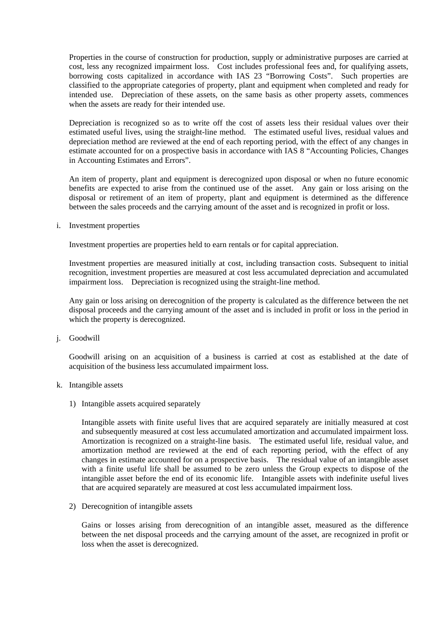Properties in the course of construction for production, supply or administrative purposes are carried at cost, less any recognized impairment loss. Cost includes professional fees and, for qualifying assets, borrowing costs capitalized in accordance with IAS 23 "Borrowing Costs". Such properties are classified to the appropriate categories of property, plant and equipment when completed and ready for intended use. Depreciation of these assets, on the same basis as other property assets, commences when the assets are ready for their intended use.

Depreciation is recognized so as to write off the cost of assets less their residual values over their estimated useful lives, using the straight-line method. The estimated useful lives, residual values and depreciation method are reviewed at the end of each reporting period, with the effect of any changes in estimate accounted for on a prospective basis in accordance with IAS 8 "Accounting Policies, Changes in Accounting Estimates and Errors".

An item of property, plant and equipment is derecognized upon disposal or when no future economic benefits are expected to arise from the continued use of the asset. Any gain or loss arising on the disposal or retirement of an item of property, plant and equipment is determined as the difference between the sales proceeds and the carrying amount of the asset and is recognized in profit or loss.

i. Investment properties

Investment properties are properties held to earn rentals or for capital appreciation.

Investment properties are measured initially at cost, including transaction costs. Subsequent to initial recognition, investment properties are measured at cost less accumulated depreciation and accumulated impairment loss. Depreciation is recognized using the straight-line method.

Any gain or loss arising on derecognition of the property is calculated as the difference between the net disposal proceeds and the carrying amount of the asset and is included in profit or loss in the period in which the property is derecognized.

j. Goodwill

Goodwill arising on an acquisition of a business is carried at cost as established at the date of acquisition of the business less accumulated impairment loss.

#### k. Intangible assets

1) Intangible assets acquired separately

Intangible assets with finite useful lives that are acquired separately are initially measured at cost and subsequently measured at cost less accumulated amortization and accumulated impairment loss. Amortization is recognized on a straight-line basis. The estimated useful life, residual value, and amortization method are reviewed at the end of each reporting period, with the effect of any changes in estimate accounted for on a prospective basis. The residual value of an intangible asset with a finite useful life shall be assumed to be zero unless the Group expects to dispose of the intangible asset before the end of its economic life. Intangible assets with indefinite useful lives that are acquired separately are measured at cost less accumulated impairment loss.

2) Derecognition of intangible assets

Gains or losses arising from derecognition of an intangible asset, measured as the difference between the net disposal proceeds and the carrying amount of the asset, are recognized in profit or loss when the asset is derecognized.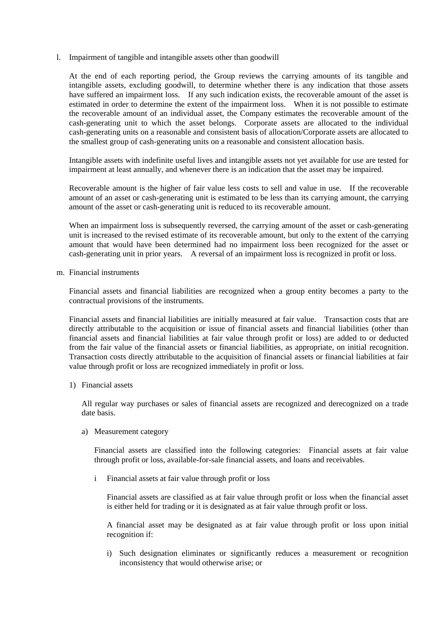l. Impairment of tangible and intangible assets other than goodwill

At the end of each reporting period, the Group reviews the carrying amounts of its tangible and intangible assets, excluding goodwill, to determine whether there is any indication that those assets have suffered an impairment loss. If any such indication exists, the recoverable amount of the asset is estimated in order to determine the extent of the impairment loss. When it is not possible to estimate the recoverable amount of an individual asset, the Company estimates the recoverable amount of the cash-generating unit to which the asset belongs. Corporate assets are allocated to the individual cash-generating units on a reasonable and consistent basis of allocation/Corporate assets are allocated to the smallest group of cash-generating units on a reasonable and consistent allocation basis.

Intangible assets with indefinite useful lives and intangible assets not yet available for use are tested for impairment at least annually, and whenever there is an indication that the asset may be impaired.

Recoverable amount is the higher of fair value less costs to sell and value in use. If the recoverable amount of an asset or cash-generating unit is estimated to be less than its carrying amount, the carrying amount of the asset or cash-generating unit is reduced to its recoverable amount.

When an impairment loss is subsequently reversed, the carrying amount of the asset or cash-generating unit is increased to the revised estimate of its recoverable amount, but only to the extent of the carrying amount that would have been determined had no impairment loss been recognized for the asset or cash-generating unit in prior years. A reversal of an impairment loss is recognized in profit or loss.

m. Financial instruments

Financial assets and financial liabilities are recognized when a group entity becomes a party to the contractual provisions of the instruments.

Financial assets and financial liabilities are initially measured at fair value. Transaction costs that are directly attributable to the acquisition or issue of financial assets and financial liabilities (other than financial assets and financial liabilities at fair value through profit or loss) are added to or deducted from the fair value of the financial assets or financial liabilities, as appropriate, on initial recognition. Transaction costs directly attributable to the acquisition of financial assets or financial liabilities at fair value through profit or loss are recognized immediately in profit or loss.

1) Financial assets

All regular way purchases or sales of financial assets are recognized and derecognized on a trade date basis.

a) Measurement category

Financial assets are classified into the following categories: Financial assets at fair value through profit or loss, available-for-sale financial assets, and loans and receivables.

i Financial assets at fair value through profit or loss

Financial assets are classified as at fair value through profit or loss when the financial asset is either held for trading or it is designated as at fair value through profit or loss.

A financial asset may be designated as at fair value through profit or loss upon initial recognition if:

i) Such designation eliminates or significantly reduces a measurement or recognition inconsistency that would otherwise arise; or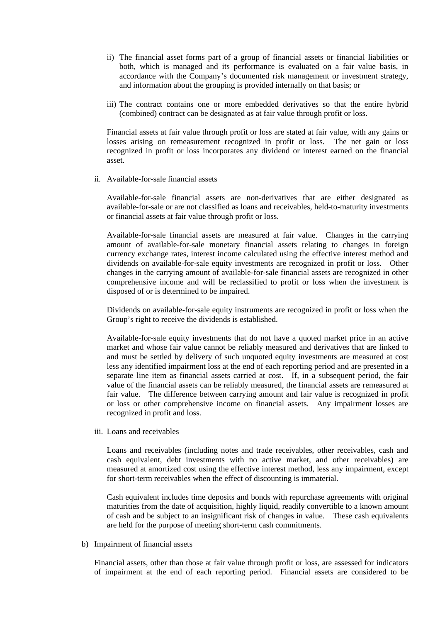- ii) The financial asset forms part of a group of financial assets or financial liabilities or both, which is managed and its performance is evaluated on a fair value basis, in accordance with the Company's documented risk management or investment strategy, and information about the grouping is provided internally on that basis; or
- iii) The contract contains one or more embedded derivatives so that the entire hybrid (combined) contract can be designated as at fair value through profit or loss.

Financial assets at fair value through profit or loss are stated at fair value, with any gains or losses arising on remeasurement recognized in profit or loss. The net gain or loss recognized in profit or loss incorporates any dividend or interest earned on the financial asset.

ii. Available-for-sale financial assets

Available-for-sale financial assets are non-derivatives that are either designated as available-for-sale or are not classified as loans and receivables, held-to-maturity investments or financial assets at fair value through profit or loss.

Available-for-sale financial assets are measured at fair value. Changes in the carrying amount of available-for-sale monetary financial assets relating to changes in foreign currency exchange rates, interest income calculated using the effective interest method and dividends on available-for-sale equity investments are recognized in profit or loss. Other changes in the carrying amount of available-for-sale financial assets are recognized in other comprehensive income and will be reclassified to profit or loss when the investment is disposed of or is determined to be impaired.

Dividends on available-for-sale equity instruments are recognized in profit or loss when the Group's right to receive the dividends is established.

Available-for-sale equity investments that do not have a quoted market price in an active market and whose fair value cannot be reliably measured and derivatives that are linked to and must be settled by delivery of such unquoted equity investments are measured at cost less any identified impairment loss at the end of each reporting period and are presented in a separate line item as financial assets carried at cost. If, in a subsequent period, the fair value of the financial assets can be reliably measured, the financial assets are remeasured at fair value. The difference between carrying amount and fair value is recognized in profit or loss or other comprehensive income on financial assets. Any impairment losses are recognized in profit and loss.

iii. Loans and receivables

Loans and receivables (including notes and trade receivables, other receivables, cash and cash equivalent, debt investments with no active market, and other receivables) are measured at amortized cost using the effective interest method, less any impairment, except for short-term receivables when the effect of discounting is immaterial.

Cash equivalent includes time deposits and bonds with repurchase agreements with original maturities from the date of acquisition, highly liquid, readily convertible to a known amount of cash and be subject to an insignificant risk of changes in value. These cash equivalents are held for the purpose of meeting short-term cash commitments.

b) Impairment of financial assets

Financial assets, other than those at fair value through profit or loss, are assessed for indicators of impairment at the end of each reporting period. Financial assets are considered to be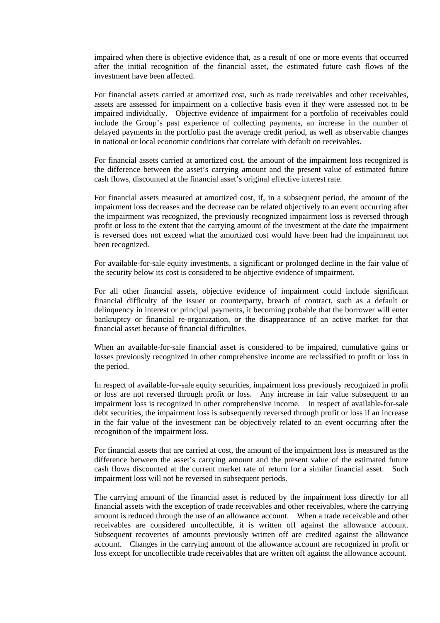impaired when there is objective evidence that, as a result of one or more events that occurred after the initial recognition of the financial asset, the estimated future cash flows of the investment have been affected.

For financial assets carried at amortized cost, such as trade receivables and other receivables, assets are assessed for impairment on a collective basis even if they were assessed not to be impaired individually. Objective evidence of impairment for a portfolio of receivables could include the Group's past experience of collecting payments, an increase in the number of delayed payments in the portfolio past the average credit period, as well as observable changes in national or local economic conditions that correlate with default on receivables.

For financial assets carried at amortized cost, the amount of the impairment loss recognized is the difference between the asset's carrying amount and the present value of estimated future cash flows, discounted at the financial asset's original effective interest rate.

For financial assets measured at amortized cost, if, in a subsequent period, the amount of the impairment loss decreases and the decrease can be related objectively to an event occurring after the impairment was recognized, the previously recognized impairment loss is reversed through profit or loss to the extent that the carrying amount of the investment at the date the impairment is reversed does not exceed what the amortized cost would have been had the impairment not been recognized.

For available-for-sale equity investments, a significant or prolonged decline in the fair value of the security below its cost is considered to be objective evidence of impairment.

For all other financial assets, objective evidence of impairment could include significant financial difficulty of the issuer or counterparty, breach of contract, such as a default or delinquency in interest or principal payments, it becoming probable that the borrower will enter bankruptcy or financial re-organization, or the disappearance of an active market for that financial asset because of financial difficulties.

When an available-for-sale financial asset is considered to be impaired, cumulative gains or losses previously recognized in other comprehensive income are reclassified to profit or loss in the period.

In respect of available-for-sale equity securities, impairment loss previously recognized in profit or loss are not reversed through profit or loss. Any increase in fair value subsequent to an impairment loss is recognized in other comprehensive income. In respect of available-for-sale debt securities, the impairment loss is subsequently reversed through profit or loss if an increase in the fair value of the investment can be objectively related to an event occurring after the recognition of the impairment loss.

For financial assets that are carried at cost, the amount of the impairment loss is measured as the difference between the asset's carrying amount and the present value of the estimated future cash flows discounted at the current market rate of return for a similar financial asset. Such impairment loss will not be reversed in subsequent periods.

The carrying amount of the financial asset is reduced by the impairment loss directly for all financial assets with the exception of trade receivables and other receivables, where the carrying amount is reduced through the use of an allowance account. When a trade receivable and other receivables are considered uncollectible, it is written off against the allowance account. Subsequent recoveries of amounts previously written off are credited against the allowance account. Changes in the carrying amount of the allowance account are recognized in profit or loss except for uncollectible trade receivables that are written off against the allowance account.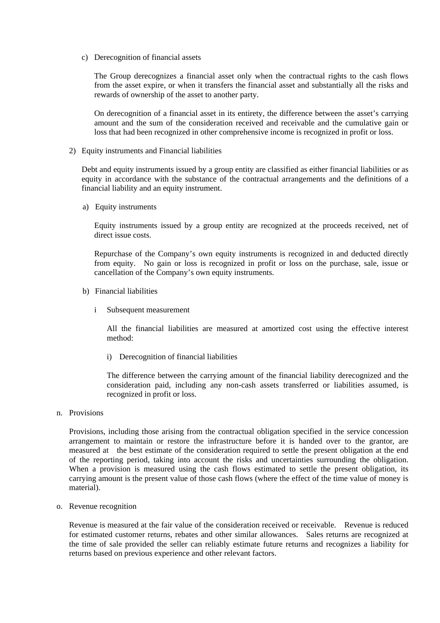c) Derecognition of financial assets

The Group derecognizes a financial asset only when the contractual rights to the cash flows from the asset expire, or when it transfers the financial asset and substantially all the risks and rewards of ownership of the asset to another party.

On derecognition of a financial asset in its entirety, the difference between the asset's carrying amount and the sum of the consideration received and receivable and the cumulative gain or loss that had been recognized in other comprehensive income is recognized in profit or loss.

2) Equity instruments and Financial liabilities

Debt and equity instruments issued by a group entity are classified as either financial liabilities or as equity in accordance with the substance of the contractual arrangements and the definitions of a financial liability and an equity instrument.

a) Equity instruments

Equity instruments issued by a group entity are recognized at the proceeds received, net of direct issue costs.

Repurchase of the Company's own equity instruments is recognized in and deducted directly from equity. No gain or loss is recognized in profit or loss on the purchase, sale, issue or cancellation of the Company's own equity instruments.

- b) Financial liabilities
	- i Subsequent measurement

All the financial liabilities are measured at amortized cost using the effective interest method:

i) Derecognition of financial liabilities

The difference between the carrying amount of the financial liability derecognized and the consideration paid, including any non-cash assets transferred or liabilities assumed, is recognized in profit or loss.

n. Provisions

Provisions, including those arising from the contractual obligation specified in the service concession arrangement to maintain or restore the infrastructure before it is handed over to the grantor, are measured at the best estimate of the consideration required to settle the present obligation at the end of the reporting period, taking into account the risks and uncertainties surrounding the obligation. When a provision is measured using the cash flows estimated to settle the present obligation, its carrying amount is the present value of those cash flows (where the effect of the time value of money is material).

o. Revenue recognition

Revenue is measured at the fair value of the consideration received or receivable. Revenue is reduced for estimated customer returns, rebates and other similar allowances. Sales returns are recognized at the time of sale provided the seller can reliably estimate future returns and recognizes a liability for returns based on previous experience and other relevant factors.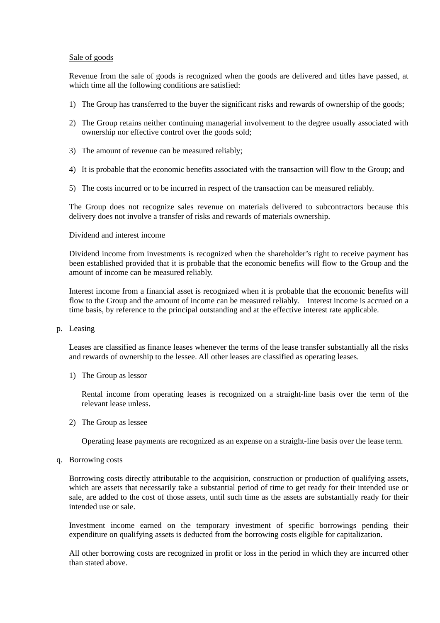#### Sale of goods

Revenue from the sale of goods is recognized when the goods are delivered and titles have passed, at which time all the following conditions are satisfied:

- 1) The Group has transferred to the buyer the significant risks and rewards of ownership of the goods;
- 2) The Group retains neither continuing managerial involvement to the degree usually associated with ownership nor effective control over the goods sold;
- 3) The amount of revenue can be measured reliably;
- 4) It is probable that the economic benefits associated with the transaction will flow to the Group; and
- 5) The costs incurred or to be incurred in respect of the transaction can be measured reliably.

The Group does not recognize sales revenue on materials delivered to subcontractors because this delivery does not involve a transfer of risks and rewards of materials ownership.

#### Dividend and interest income

Dividend income from investments is recognized when the shareholder's right to receive payment has been established provided that it is probable that the economic benefits will flow to the Group and the amount of income can be measured reliably.

Interest income from a financial asset is recognized when it is probable that the economic benefits will flow to the Group and the amount of income can be measured reliably. Interest income is accrued on a time basis, by reference to the principal outstanding and at the effective interest rate applicable.

p. Leasing

Leases are classified as finance leases whenever the terms of the lease transfer substantially all the risks and rewards of ownership to the lessee. All other leases are classified as operating leases.

1) The Group as lessor

Rental income from operating leases is recognized on a straight-line basis over the term of the relevant lease unless.

2) The Group as lessee

Operating lease payments are recognized as an expense on a straight-line basis over the lease term.

q. Borrowing costs

Borrowing costs directly attributable to the acquisition, construction or production of qualifying assets, which are assets that necessarily take a substantial period of time to get ready for their intended use or sale, are added to the cost of those assets, until such time as the assets are substantially ready for their intended use or sale.

Investment income earned on the temporary investment of specific borrowings pending their expenditure on qualifying assets is deducted from the borrowing costs eligible for capitalization.

All other borrowing costs are recognized in profit or loss in the period in which they are incurred other than stated above.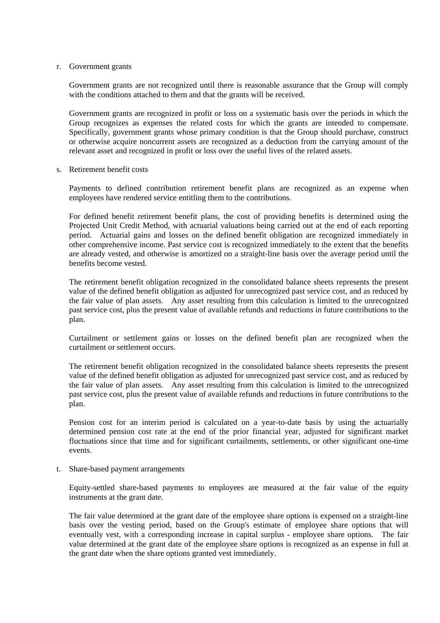#### r. Government grants

Government grants are not recognized until there is reasonable assurance that the Group will comply with the conditions attached to them and that the grants will be received.

Government grants are recognized in profit or loss on a systematic basis over the periods in which the Group recognizes as expenses the related costs for which the grants are intended to compensate. Specifically, government grants whose primary condition is that the Group should purchase, construct or otherwise acquire noncurrent assets are recognized as a deduction from the carrying amount of the relevant asset and recognized in profit or loss over the useful lives of the related assets.

s. Retirement benefit costs

Payments to defined contribution retirement benefit plans are recognized as an expense when employees have rendered service entitling them to the contributions.

For defined benefit retirement benefit plans, the cost of providing benefits is determined using the Projected Unit Credit Method, with actuarial valuations being carried out at the end of each reporting period. Actuarial gains and losses on the defined benefit obligation are recognized immediately in other comprehensive income. Past service cost is recognized immediately to the extent that the benefits are already vested, and otherwise is amortized on a straight-line basis over the average period until the benefits become vested.

The retirement benefit obligation recognized in the consolidated balance sheets represents the present value of the defined benefit obligation as adjusted for unrecognized past service cost, and as reduced by the fair value of plan assets. Any asset resulting from this calculation is limited to the unrecognized past service cost, plus the present value of available refunds and reductions in future contributions to the plan.

Curtailment or settlement gains or losses on the defined benefit plan are recognized when the curtailment or settlement occurs.

The retirement benefit obligation recognized in the consolidated balance sheets represents the present value of the defined benefit obligation as adjusted for unrecognized past service cost, and as reduced by the fair value of plan assets. Any asset resulting from this calculation is limited to the unrecognized past service cost, plus the present value of available refunds and reductions in future contributions to the plan.

Pension cost for an interim period is calculated on a year-to-date basis by using the actuarially determined pension cost rate at the end of the prior financial year, adjusted for significant market fluctuations since that time and for significant curtailments, settlements, or other significant one-time events.

t. Share-based payment arrangements

Equity-settled share-based payments to employees are measured at the fair value of the equity instruments at the grant date.

The fair value determined at the grant date of the employee share options is expensed on a straight-line basis over the vesting period, based on the Group's estimate of employee share options that will eventually vest, with a corresponding increase in capital surplus - employee share options. The fair value determined at the grant date of the employee share options is recognized as an expense in full at the grant date when the share options granted vest immediately.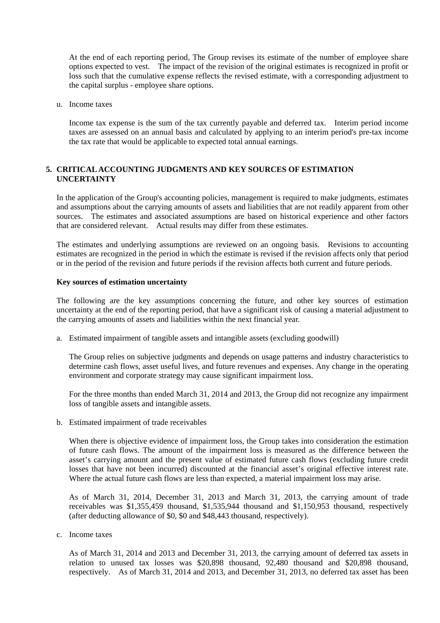At the end of each reporting period, The Group revises its estimate of the number of employee share options expected to vest. The impact of the revision of the original estimates is recognized in profit or loss such that the cumulative expense reflects the revised estimate, with a corresponding adjustment to the capital surplus - employee share options.

u. Income taxes

Income tax expense is the sum of the tax currently payable and deferred tax. Interim period income taxes are assessed on an annual basis and calculated by applying to an interim period's pre-tax income the tax rate that would be applicable to expected total annual earnings.

### **5. CRITICAL ACCOUNTING JUDGMENTS AND KEY SOURCES OF ESTIMATION UNCERTAINTY**

In the application of the Group's accounting policies, management is required to make judgments, estimates and assumptions about the carrying amounts of assets and liabilities that are not readily apparent from other sources. The estimates and associated assumptions are based on historical experience and other factors that are considered relevant. Actual results may differ from these estimates.

The estimates and underlying assumptions are reviewed on an ongoing basis. Revisions to accounting estimates are recognized in the period in which the estimate is revised if the revision affects only that period or in the period of the revision and future periods if the revision affects both current and future periods.

#### **Key sources of estimation uncertainty**

The following are the key assumptions concerning the future, and other key sources of estimation uncertainty at the end of the reporting period, that have a significant risk of causing a material adjustment to the carrying amounts of assets and liabilities within the next financial year.

a. Estimated impairment of tangible assets and intangible assets (excluding goodwill)

The Group relies on subjective judgments and depends on usage patterns and industry characteristics to determine cash flows, asset useful lives, and future revenues and expenses. Any change in the operating environment and corporate strategy may cause significant impairment loss.

For the three months than ended March 31, 2014 and 2013, the Group did not recognize any impairment loss of tangible assets and intangible assets.

b. Estimated impairment of trade receivables

When there is objective evidence of impairment loss, the Group takes into consideration the estimation of future cash flows. The amount of the impairment loss is measured as the difference between the asset's carrying amount and the present value of estimated future cash flows (excluding future credit losses that have not been incurred) discounted at the financial asset's original effective interest rate. Where the actual future cash flows are less than expected, a material impairment loss may arise.

As of March 31, 2014, December 31, 2013 and March 31, 2013, the carrying amount of trade receivables was \$1,355,459 thousand, \$1,535,944 thousand and \$1,150,953 thousand, respectively (after deducting allowance of \$0, \$0 and \$48,443 thousand, respectively).

c. Income taxes

As of March 31, 2014 and 2013 and December 31, 2013, the carrying amount of deferred tax assets in relation to unused tax losses was \$20,898 thousand, 92,480 thousand and \$20,898 thousand, respectively. As of March 31, 2014 and 2013, and December 31, 2013, no deferred tax asset has been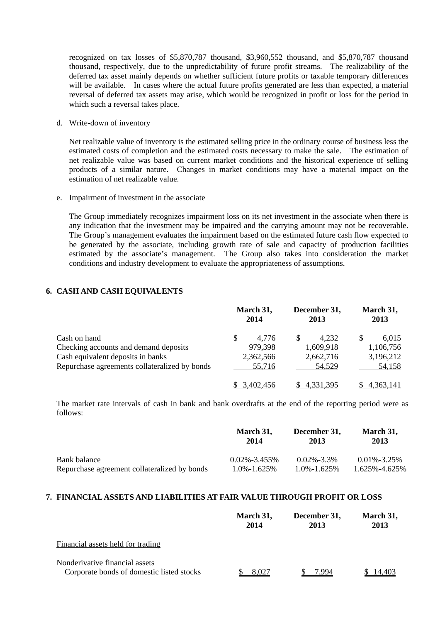recognized on tax losses of \$5,870,787 thousand, \$3,960,552 thousand, and \$5,870,787 thousand thousand, respectively, due to the unpredictability of future profit streams. The realizability of the deferred tax asset mainly depends on whether sufficient future profits or taxable temporary differences will be available. In cases where the actual future profits generated are less than expected, a material reversal of deferred tax assets may arise, which would be recognized in profit or loss for the period in which such a reversal takes place.

d. Write-down of inventory

Net realizable value of inventory is the estimated selling price in the ordinary course of business less the estimated costs of completion and the estimated costs necessary to make the sale. The estimation of net realizable value was based on current market conditions and the historical experience of selling products of a similar nature. Changes in market conditions may have a material impact on the estimation of net realizable value.

e. Impairment of investment in the associate

The Group immediately recognizes impairment loss on its net investment in the associate when there is any indication that the investment may be impaired and the carrying amount may not be recoverable. The Group's management evaluates the impairment based on the estimated future cash flow expected to be generated by the associate, including growth rate of sale and capacity of production facilities estimated by the associate's management. The Group also takes into consideration the market conditions and industry development to evaluate the appropriateness of assumptions.

### **6. CASH AND CASH EQUIVALENTS**

|                                               |   | March 31,<br>2014 | December 31,<br>2013 |   | March 31,<br>2013 |
|-----------------------------------------------|---|-------------------|----------------------|---|-------------------|
| Cash on hand                                  | S | 4.776             | \$<br>4,232          | S | 6,015             |
| Checking accounts and demand deposits         |   | 979,398           | 1,609,918            |   | 1,106,756         |
| Cash equivalent deposits in banks             |   | 2,362,566         | 2,662,716            |   | 3,196,212         |
| Repurchase agreements collateralized by bonds |   | 55,716            | 54.529               |   | 54,158            |
|                                               |   | 3.402.456         | 4,331,395            |   | 4,363,141         |

The market rate intervals of cash in bank and bank overdrafts at the end of the reporting period were as follows:

|                                              | March 31,<br>2014  | December 31,<br>2013 | March 31,<br>2013 |
|----------------------------------------------|--------------------|----------------------|-------------------|
| Bank balance                                 | $0.02\% - 3.455\%$ | $0.02\% - 3.3\%$     | $0.01\% - 3.25\%$ |
| Repurchase agreement collateralized by bonds | $1.0\% - 1.625\%$  | $1.0\% - 1.625\%$    | 1.625%-4.625%     |

#### **7. FINANCIAL ASSETS AND LIABILITIES AT FAIR VALUE THROUGH PROFIT OR LOSS**

|                                                                             | March 31,<br>2014 | December 31,<br>2013 | March 31,<br>2013 |
|-----------------------------------------------------------------------------|-------------------|----------------------|-------------------|
| Financial assets held for trading                                           |                   |                      |                   |
| Nonderivative financial assets<br>Corporate bonds of domestic listed stocks | 8.027             | ' QQ⊿                |                   |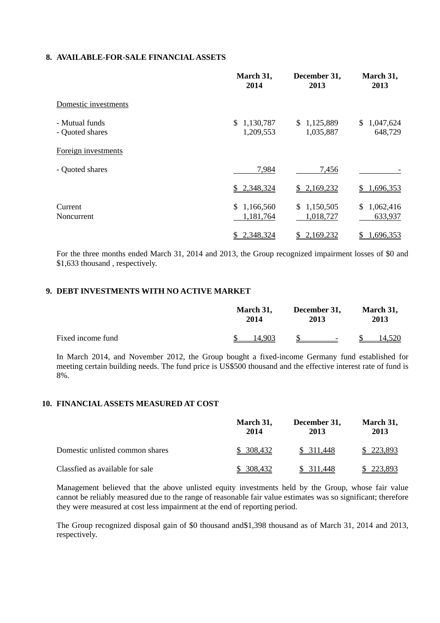#### **8. AVAILABLE-FOR-SALE FINANCIAL ASSETS**

|                                   | March 31,<br>2014            | December 31,<br>2013         | March 31,<br>2013           |
|-----------------------------------|------------------------------|------------------------------|-----------------------------|
| Domestic investments              |                              |                              |                             |
| - Mutual funds<br>- Quoted shares | \$1,130,787<br>1,209,553     | 1,125,889<br>S.<br>1,035,887 | 1,047,624<br>S.<br>648,729  |
| Foreign investments               |                              |                              |                             |
| - Quoted shares                   | 7,984                        | 7,456                        |                             |
|                                   | 2,348,324<br>S.              | 2,169,232<br>SS.             | 1,696,353                   |
| Current<br>Noncurrent             | 1,166,560<br>S.<br>1,181,764 | 1,150,505<br>\$<br>1,018,727 | 1,062,416<br>\$.<br>633,937 |
|                                   | 2,348,324<br>\$              | 2,169,232<br>\$              | 1,696,353                   |

For the three months ended March 31, 2014 and 2013, the Group recognized impairment losses of \$0 and \$1,633 thousand , respectively.

### **9. DEBT INVESTMENTS WITH NO ACTIVE MARKET**

|                   | March 31, |        | December 31, |          | March 31, |        |
|-------------------|-----------|--------|--------------|----------|-----------|--------|
|                   | 2014      |        | 2013         |          | 2013      |        |
| Fixed income fund |           | 14.903 |              | $S \t -$ |           | 14.520 |

In March 2014, and November 2012, the Group bought a fixed-income Germany fund established for meeting certain building needs. The fund price is US\$500 thousand and the effective interest rate of fund is 8%.

#### **10. FINANCIAL ASSETS MEASURED AT COST**

|                                 | March 31,<br>2014 | December 31,<br>2013 | March 31,<br>2013 |
|---------------------------------|-------------------|----------------------|-------------------|
| Domestic unlisted common shares | \$ 308,432        | \$ 311,448           | \$223,893         |
| Classfied as available for sale | \$ 308,432        | 311.448              | 223.893           |

Management believed that the above unlisted equity investments held by the Group, whose fair value cannot be reliably measured due to the range of reasonable fair value estimates was so significant; therefore they were measured at cost less impairment at the end of reporting period.

The Group recognized disposal gain of \$0 thousand and\$1,398 thousand as of March 31, 2014 and 2013, respectively.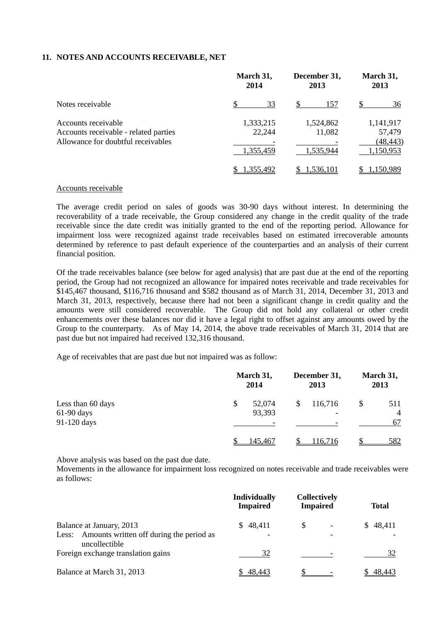#### **11. NOTES AND ACCOUNTS RECEIVABLE, NET**

|                                                                                                    | March 31,<br>2014                | December 31,<br>2013             | March 31,<br>2013                             |  |
|----------------------------------------------------------------------------------------------------|----------------------------------|----------------------------------|-----------------------------------------------|--|
| Notes receivable                                                                                   | 33                               | S<br>157                         | 36                                            |  |
| Accounts receivable<br>Accounts receivable - related parties<br>Allowance for doubtful receivables | 1,333,215<br>22,244<br>1,355,459 | 1,524,862<br>11,082<br>1,535,944 | 1,141,917<br>57,479<br>(48, 443)<br>1,150,953 |  |
|                                                                                                    | 1,355,492                        | 1.536.101                        | 1.150.989                                     |  |

#### Accounts receivable

The average credit period on sales of goods was 30-90 days without interest. In determining the recoverability of a trade receivable, the Group considered any change in the credit quality of the trade receivable since the date credit was initially granted to the end of the reporting period. Allowance for impairment loss were recognized against trade receivables based on estimated irrecoverable amounts determined by reference to past default experience of the counterparties and an analysis of their current financial position.

Of the trade receivables balance (see below for aged analysis) that are past due at the end of the reporting period, the Group had not recognized an allowance for impaired notes receivable and trade receivables for \$145,467 thousand, \$116,716 thousand and \$582 thousand as of March 31, 2014, December 31, 2013 and March 31, 2013, respectively, because there had not been a significant change in credit quality and the amounts were still considered recoverable. The Group did not hold any collateral or other credit enhancements over these balances nor did it have a legal right to offset against any amounts owed by the Group to the counterparty. As of May 14, 2014, the above trade receivables of March 31, 2014 that are past due but not impaired had received 132,316 thousand.

Age of receivables that are past due but not impaired was as follow:

|                                                  | March 31,<br>2014      | December 31,<br>2013                      | March 31,<br>2013                 |
|--------------------------------------------------|------------------------|-------------------------------------------|-----------------------------------|
| Less than 60 days<br>$61-90$ days<br>91-120 days | 52,074<br>\$<br>93,393 | \$<br>116,716<br>$\overline{\phantom{0}}$ | \$<br>511<br>$\overline{4}$<br>67 |
|                                                  | 145.467                | 116.716                                   | 582                               |

Above analysis was based on the past due date.

Movements in the allowance for impairment loss recognized on notes receivable and trade receivables were as follows:

|                                                                                             | <b>Individually</b><br><b>Impaired</b>    | <b>Collectively</b><br><b>Impaired</b> | <b>Total</b> |
|---------------------------------------------------------------------------------------------|-------------------------------------------|----------------------------------------|--------------|
| Balance at January, 2013<br>Less: Amounts written off during the period as<br>uncollectible | 48,411<br>SS.<br>$\overline{\phantom{a}}$ | \$                                     | \$48,411     |
| Foreign exchange translation gains                                                          | 32                                        |                                        | 32           |
| Balance at March 31, 2013                                                                   | -48.443                                   |                                        | 48,443       |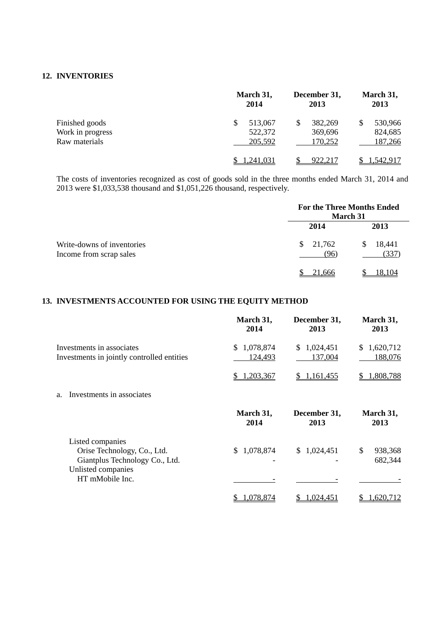#### **12. INVENTORIES**

|                                   | March 31,<br>2014  | December 31,<br>2013    | March 31,<br>2013        |
|-----------------------------------|--------------------|-------------------------|--------------------------|
| Finished goods                    | 513,067<br>522,372 | 382,269<br>S<br>369,696 | 530,966<br>\$<br>824,685 |
| Work in progress<br>Raw materials | 205,592            | 170,252                 | 187,266                  |
|                                   | .241,031           | 922,217                 | 1,542,917                |

The costs of inventories recognized as cost of goods sold in the three months ended March 31, 2014 and 2013 were \$1,033,538 thousand and \$1,051,226 thousand, respectively.

|                                                       | March 31                   | <b>For the Three Months Ended</b> |
|-------------------------------------------------------|----------------------------|-----------------------------------|
|                                                       | 2014                       | 2013                              |
| Write-downs of inventories<br>Income from scrap sales | $\frac{$}{21,762}$<br>(96) | 18,441<br><sup>S</sup><br>(337    |
|                                                       | 21.666                     | 18.104                            |

### **13. INVESTMENTS ACCOUNTED FOR USING THE EQUITY METHOD**

|                                                                                                         | March 31,<br>2014           | December 31,<br>2013        | March 31,<br>2013          |
|---------------------------------------------------------------------------------------------------------|-----------------------------|-----------------------------|----------------------------|
| Investments in associates<br>Investments in jointly controlled entities                                 | 1,078,874<br>\$.<br>124,493 | \$.<br>1,024,451<br>137,004 | 1,620,712<br>\$<br>188,076 |
|                                                                                                         | 1,203,367                   | 1,161,455                   | 1,808,788                  |
| Investments in associates<br>a.                                                                         |                             |                             |                            |
|                                                                                                         | March 31,<br>2014           | December 31,<br>2013        | March 31,<br>2013          |
| Listed companies<br>Orise Technology, Co., Ltd.<br>Giantplus Technology Co., Ltd.<br>Unlisted companies | 1,078,874<br>S.             | 1,024,451<br>S.             | \$<br>938,368<br>682,344   |
| HT mMobile Inc.                                                                                         | 1,078,874                   | 1,024,451                   | 1,620,712                  |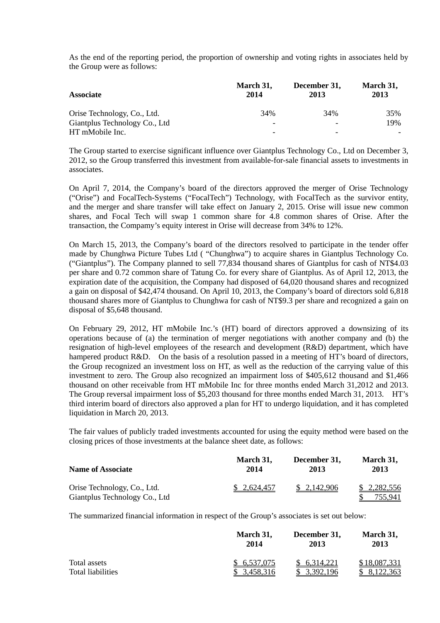As the end of the reporting period, the proportion of ownership and voting rights in associates held by the Group were as follows:

| <b>Associate</b>              | March 31,<br>2014 | December 31,<br>2013 | March 31,<br>2013 |  |
|-------------------------------|-------------------|----------------------|-------------------|--|
| Orise Technology, Co., Ltd.   | 34%               | 34%                  | 35%               |  |
| Giantplus Technology Co., Ltd |                   |                      | 19%               |  |
| HT mMobile Inc.               |                   |                      |                   |  |

The Group started to exercise significant influence over Giantplus Technology Co., Ltd on December 3, 2012, so the Group transferred this investment from available-for-sale financial assets to investments in associates.

On April 7, 2014, the Company's board of the directors approved the merger of Orise Technology ("Orise") and FocalTech-Systems ("FocalTech") Technology, with FocalTech as the survivor entity, and the merger and share transfer will take effect on January 2, 2015. Orise will issue new common shares, and Focal Tech will swap 1 common share for 4.8 common shares of Orise. After the transaction, the Compamy's equity interest in Orise will decrease from 34% to 12%.

On March 15, 2013, the Company's board of the directors resolved to participate in the tender offer made by Chunghwa Picture Tubes Ltd ( "Chunghwa") to acquire shares in Giantplus Technology Co. ("Giantplus"). The Company planned to sell 77,834 thousand shares of Giantplus for cash of NT\$4.03 per share and 0.72 common share of Tatung Co. for every share of Giantplus. As of April 12, 2013, the expiration date of the acquisition, the Company had disposed of 64,020 thousand shares and recognized a gain on disposal of \$42,474 thousand. On April 10, 2013, the Company's board of directors sold 6,818 thousand shares more of Giantplus to Chunghwa for cash of NT\$9.3 per share and recognized a gain on disposal of \$5,648 thousand.

On February 29, 2012, HT mMobile Inc.'s (HT) board of directors approved a downsizing of its operations because of (a) the termination of merger negotiations with another company and (b) the resignation of high-level employees of the research and development (R&D) department, which have hampered product R&D. On the basis of a resolution passed in a meeting of HT's board of directors, the Group recognized an investment loss on HT, as well as the reduction of the carrying value of this investment to zero. The Group also recognized an impairment loss of \$405,612 thousand and \$1,466 thousand on other receivable from HT mMobile Inc for three months ended March 31,2012 and 2013. The Group reversal impairment loss of \$5,203 thousand for three months ended March 31, 2013. HT's third interim board of directors also approved a plan for HT to undergo liquidation, and it has completed liquidation in March 20, 2013.

The fair values of publicly traded investments accounted for using the equity method were based on the closing prices of those investments at the balance sheet date, as follows:

| <b>Name of Associate</b>                                     | March 31,   | December 31, | March 31,                     |
|--------------------------------------------------------------|-------------|--------------|-------------------------------|
|                                                              | 2014        | 2013         | 2013                          |
| Orise Technology, Co., Ltd.<br>Giantplus Technology Co., Ltd | \$2,624,457 | \$2,142,906  | \$2,282,556<br><u>755.941</u> |

The summarized financial information in respect of the Group's associates is set out below:

|                   | March 31,   | December 31, | March 31,    |  |
|-------------------|-------------|--------------|--------------|--|
|                   | 2014        | 2013         | 2013         |  |
| Total assets      | \$6,537,075 | \$6,314,221  | \$18,087,331 |  |
| Total liabilities | \$3,458,316 | 3,392,196    | 8,122,363    |  |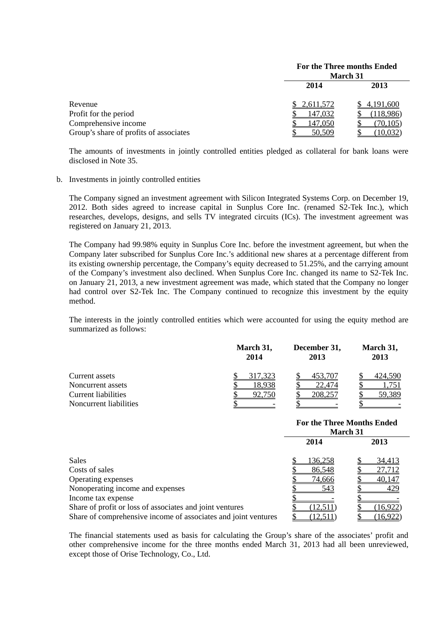|                                        | For the Three months Ended<br><b>March 31</b> |                |  |
|----------------------------------------|-----------------------------------------------|----------------|--|
|                                        | 2014                                          | 2013           |  |
| Revenue                                | 2,611,572                                     | 4,191,600      |  |
| Profit for the period                  | <u>147,032</u>                                | (118,986)      |  |
| Comprehensive income                   | 147,050                                       | <u>70.105 </u> |  |
| Group's share of profits of associates | 50.509                                        | (10, 032)      |  |

The amounts of investments in jointly controlled entities pledged as collateral for bank loans were disclosed in Note 35.

#### b. Investments in jointly controlled entities

The Company signed an investment agreement with Silicon Integrated Systems Corp. on December 19, 2012. Both sides agreed to increase capital in Sunplus Core Inc. (renamed S2-Tek Inc.), which researches, develops, designs, and sells TV integrated circuits (ICs). The investment agreement was registered on January 21, 2013.

The Company had 99.98% equity in Sunplus Core Inc. before the investment agreement, but when the Company later subscribed for Sunplus Core Inc.'s additional new shares at a percentage different from its existing ownership percentage, the Company's equity decreased to 51.25%, and the carrying amount of the Company's investment also declined. When Sunplus Core Inc. changed its name to S2-Tek Inc. on January 21, 2013, a new investment agreement was made, which stated that the Company no longer had control over S2-Tek Inc. The Company continued to recognize this investment by the equity method.

The interests in the jointly controlled entities which were accounted for using the equity method are summarized as follows:

|                        | March 31,<br>2014 | December 31,<br>2013 | March 31,<br>2013 |  |
|------------------------|-------------------|----------------------|-------------------|--|
| Current assets         | 317,323           | 453,707              | 424,590           |  |
| Noncurrent assets      | 18.938            | 22,474               |                   |  |
| Current liabilities    |                   | 208,257              | 59,389            |  |
| Noncurrent liabilities |                   |                      |                   |  |

|                                                                | <b>For the Three Months Ended</b><br><b>March 31</b> |               |  |
|----------------------------------------------------------------|------------------------------------------------------|---------------|--|
|                                                                | 2014                                                 | 2013          |  |
| Sales                                                          | 136,258                                              | <u>34,413</u> |  |
| Costs of sales                                                 | 86,548                                               | 27,712        |  |
| Operating expenses                                             | <u>74,666</u>                                        | 40,147        |  |
| Nonoperating income and expenses                               | 543                                                  | 429           |  |
| Income tax expense                                             |                                                      |               |  |
| Share of profit or loss of associates and joint ventures       | (12.511)                                             | (16.922)      |  |
| Share of comprehensive income of associates and joint ventures | 12,511                                               | (16,922)      |  |

The financial statements used as basis for calculating the Group's share of the associates' profit and other comprehensive income for the three months ended March 31, 2013 had all been unreviewed, except those of Orise Technology, Co., Ltd.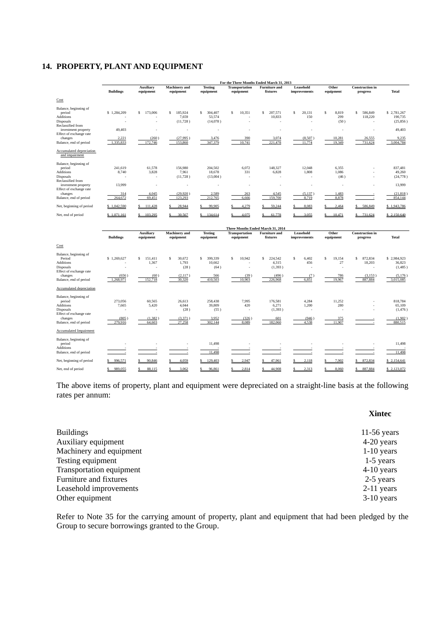### **14. PROPERTY, PLANT AND EQUIPMENT**

|                                                                                                                                                                              | For the Three Months Ended March 31, 2013   |                                                                     |                                                               |                                                              |                                          |                                                                        |                                          |                                                     |                                                    |                                                                     |
|------------------------------------------------------------------------------------------------------------------------------------------------------------------------------|---------------------------------------------|---------------------------------------------------------------------|---------------------------------------------------------------|--------------------------------------------------------------|------------------------------------------|------------------------------------------------------------------------|------------------------------------------|-----------------------------------------------------|----------------------------------------------------|---------------------------------------------------------------------|
|                                                                                                                                                                              | <b>Buildings</b>                            | <b>Auxiliary</b><br>equipment                                       | <b>Machinery</b> and<br>equipment                             | <b>Testing</b><br>equipment                                  | <b>Transportation</b><br>equipment       | <b>Furniture</b> and<br>fixtures                                       | Leasehold<br>improvements                | Other<br>equipment                                  | <b>Construction</b> in<br>progress                 | <b>Total</b>                                                        |
| Cost                                                                                                                                                                         |                                             |                                                                     |                                                               |                                                              |                                          |                                                                        |                                          |                                                     |                                                    |                                                                     |
| Balance, beginning of<br>period<br>Additions<br><b>Disposals</b><br>Reclassified from<br>investment property<br>Effect of exchange rate<br>changes<br>Balance, end of period | \$1,284,209<br>49,403<br>2.221<br>1,335,833 | 173,006<br>s.<br>÷,<br>$\overline{\phantom{a}}$<br>(260)<br>172,746 | 185,924<br>Ś<br>7,659<br>(11,728)<br>÷<br>(27.995)<br>153,860 | S<br>304,407<br>53,574<br>(14,078)<br>Î.<br>3,476<br>347,379 | 10,351<br>S<br>ä,<br>٠<br>390<br>10,741  | s<br>207,571<br>10,833<br>$\overline{\phantom{a}}$<br>3.074<br>221,478 | 20,131<br>\$<br>150<br>(8,507)<br>11,774 | 8,819<br>S<br>299<br>(50)<br>×,<br>10,281<br>19,349 | s<br>586,849<br>118,220<br>×<br>26,555<br>731,624  | \$2,781,267<br>190,735<br>(25, 856)<br>49,403<br>9,235<br>3,004,784 |
| Accumulated depreciation<br>and impairment                                                                                                                                   |                                             |                                                                     |                                                               |                                                              |                                          |                                                                        |                                          |                                                     |                                                    |                                                                     |
| Balance, beginning of<br>period<br><b>Additions</b><br>Disposals<br>Reclassified from<br>investment property<br>Effect of exchange rate                                      | 241,619<br>8,740<br>13,999                  | 61,578<br>3,828<br>$\overline{\phantom{a}}$                         | 156,980<br>7,961<br>(11, 728)<br>×                            | 204,502<br>18,678<br>(13,004)                                | 6,072<br>331<br>٠                        | 148,327<br>6,828                                                       | 12,048<br>1,808                          | 6,355<br>1,086<br>(46)                              | ٠                                                  | 837,481<br>49,260<br>(24, 778)<br>13,999                            |
| changes<br>Balance, end of period                                                                                                                                            | 314<br>264.672                              | 4,045<br>69.451                                                     | (29,920)<br>123.293                                           | 2,589<br>212,765                                             | 263<br>6,666                             | 4,545<br>159,700                                                       | (5, 137)<br>8.719                        | 1,483<br>8.878                                      |                                                    | (21, 818)<br>854,144                                                |
| Net, beginning of period                                                                                                                                                     | \$1,042,590                                 | 111,428                                                             | 28,944                                                        | 99,905                                                       | 4,279                                    | 59,244                                                                 | 8,083                                    | 2.464                                               | 586,849                                            | \$1,943,786                                                         |
| Net, end of period                                                                                                                                                           | \$1.071.161                                 | 103,295                                                             | 30,567                                                        | 134,614                                                      | 4.075                                    | 61,778                                                                 | 3.055                                    | 10.471                                              | 731.624                                            | \$2,150,640                                                         |
|                                                                                                                                                                              |                                             |                                                                     |                                                               |                                                              |                                          |                                                                        |                                          |                                                     |                                                    |                                                                     |
|                                                                                                                                                                              | <b>Buildings</b>                            | <b>Auxiliary</b><br>equipment                                       | <b>Machinery</b> and<br>equipment                             | <b>Testing</b><br>equipment                                  | <b>Transportation</b><br>equipment       | Three Months Ended March 31, 2014<br><b>Furniture</b> and<br>fixtures  | Leasehold<br>improvements                | Other<br>equipment                                  | <b>Construction</b> in<br>progress                 | Total                                                               |
| Cost                                                                                                                                                                         |                                             |                                                                     |                                                               |                                                              |                                          |                                                                        |                                          |                                                     |                                                    |                                                                     |
| Balance, beginning of<br>Period<br>Additions<br>Disposals<br>Effect of exchange rate<br>changes<br>Balance, end of period                                                    | \$1,269,627<br>(656)<br>1,268,971           | s<br>151.411<br>1,367<br>(60)<br>152,718                            | s<br>30,672<br>1,793<br>(28)<br>(2,117)<br>30,320             | s<br>399,339<br>10,662<br>(64)<br>566<br>410,503             | S<br>10,942<br>×,<br>(39)<br>10,903      | S<br>224,542<br>4,315<br>(1,393)<br>(496)<br>226,968                   | \$<br>6,402<br>456<br>(7)<br>6,851       | s<br>19,154<br>27<br>786<br>19,967                  | s<br>872,834<br>18,203<br>×,<br>(3,153)<br>887,884 | \$2,984,923<br>36,823<br>(1,485)<br>(5,176)<br>3,015,085            |
| Accumulated depreciation                                                                                                                                                     |                                             |                                                                     |                                                               |                                                              |                                          |                                                                        |                                          |                                                     |                                                    |                                                                     |
| Balance, beginning of<br>period<br>Additions<br>Disposals<br>Effect of exchange rate<br>changes<br>Balance, end of period                                                    | 273,056<br>7,665<br>(805)<br>279,916        | 60,565<br>5,420<br>(1,382)<br>64,603                                | 26,613<br>4,044<br>(28)<br>(3, 371)<br>27,258                 | 258,438<br>39,809<br>(55)<br>3,952<br>302,144                | 7,995<br>420<br>$\sim$<br>(326)<br>8,089 | 176,581<br>6,271<br>(1, 393)<br>601<br>182,060                         | 4,284<br>1,200<br>(946)<br>4,538         | 11,252<br>280<br>375<br>11,907                      | ٠                                                  | 818,784<br>65,109<br>(1, 476)<br>(1,902)<br>880,515                 |
| <b>Accumulated Impairment</b>                                                                                                                                                |                                             |                                                                     |                                                               |                                                              |                                          |                                                                        |                                          |                                                     |                                                    |                                                                     |
| Balance, beginning of<br>period<br><b>Additions</b><br>Balance, end of period                                                                                                |                                             |                                                                     | ×                                                             | 11,498<br>11,498                                             |                                          |                                                                        |                                          |                                                     |                                                    | 11,498<br>11,498                                                    |
| Net, beginning of period                                                                                                                                                     | 996,571                                     | 90,846                                                              | 4.059                                                         | 129,403<br>s                                                 | 2,947                                    | 47,961                                                                 | 2,118                                    | 7,902                                               | 872,834                                            | \$2,154,641                                                         |
| Net, end of period                                                                                                                                                           | 989.055<br>\$                               | 88.115                                                              | 3.062                                                         | 96.861                                                       | 2.814                                    | 44.908                                                                 | 2.313                                    | 8.060                                               | 887,884                                            | \$2,123,072                                                         |

The above items of property, plant and equipment were depreciated on a straight-line basis at the following rates per annum:

| <b>Buildings</b>         | 11-56 years  |
|--------------------------|--------------|
| Auxiliary equipment      | 4-20 years   |
| Machinery and equipment  | $1-10$ years |
| Testing equipment        | $1-5$ years  |
| Transportation equipment | $4-10$ years |
| Furniture and fixtures   | 2-5 years    |
| Leasehold improvements   | $2-11$ years |
| Other equipment          | $3-10$ years |

Refer to Note 35 for the carrying amount of property, plant and equipment that had been pledged by the Group to secure borrowings granted to the Group.

#### **Xintec**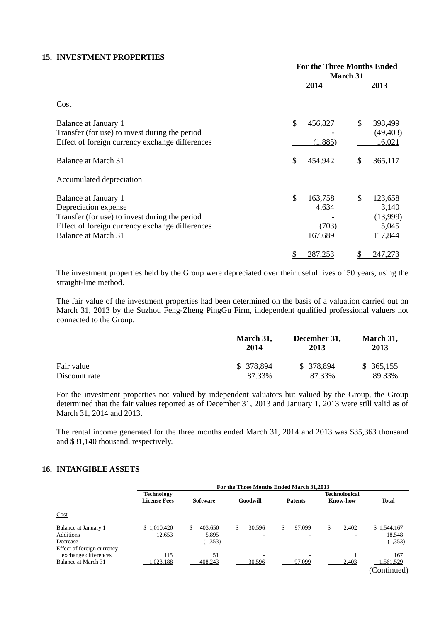## **15. INVESTMENT PROPERTIES**

|                                                                                                                                                                          | <b>For the Three Months Ended</b><br>March 31 |                                                        |  |  |
|--------------------------------------------------------------------------------------------------------------------------------------------------------------------------|-----------------------------------------------|--------------------------------------------------------|--|--|
|                                                                                                                                                                          | 2014                                          | 2013                                                   |  |  |
| Cost                                                                                                                                                                     |                                               |                                                        |  |  |
| Balance at January 1<br>Transfer (for use) to invest during the period<br>Effect of foreign currency exchange differences                                                | \$<br>456,827<br>(1,885)                      | \$<br>398,499<br>(49, 403)<br><u>16,021</u>            |  |  |
| Balance at March 31<br><b>Accumulated depreciation</b>                                                                                                                   | 454,942                                       | 365,117                                                |  |  |
| Balance at January 1<br>Depreciation expense<br>Transfer (for use) to invest during the period<br>Effect of foreign currency exchange differences<br>Balance at March 31 | \$<br>163,758<br>4,634<br>(703)<br>167,689    | \$<br>123,658<br>3,140<br>(13,999)<br>5,045<br>117,844 |  |  |
|                                                                                                                                                                          | 287,253                                       | 247,273                                                |  |  |

The investment properties held by the Group were depreciated over their useful lives of 50 years, using the straight-line method.

The fair value of the investment properties had been determined on the basis of a valuation carried out on March 31, 2013 by the Suzhou Feng-Zheng PingGu Firm, independent qualified professional valuers not connected to the Group.

|               | March 31,<br>2014 | December 31,<br>2013 | March 31,<br>2013 |
|---------------|-------------------|----------------------|-------------------|
| Fair value    | \$ 378,894        | \$ 378,894           | \$365,155         |
| Discount rate | 87.33%            | 87.33%               | 89.33%            |

For the investment properties not valued by independent valuators but valued by the Group, the Group determined that the fair values reported as of December 31, 2013 and January 1, 2013 were still valid as of March 31, 2014 and 2013.

The rental income generated for the three months ended March 31, 2014 and 2013 was \$35,363 thousand and \$31,140 thousand, respectively.

# **16. INTANGIBLE ASSETS**

|                            |                     | For the Three Months Ended March 31,2013 |                          |                          |                          |              |  |
|----------------------------|---------------------|------------------------------------------|--------------------------|--------------------------|--------------------------|--------------|--|
|                            | <b>Technology</b>   |                                          |                          |                          | <b>Technological</b>     |              |  |
|                            | <b>License Fees</b> | <b>Software</b>                          | Goodwill                 | <b>Patents</b>           | <b>Know-how</b>          | <b>Total</b> |  |
| Cost                       |                     |                                          |                          |                          |                          |              |  |
| Balance at January 1       | \$1,010,420         | 403.650<br>\$                            | 30,596<br>\$             | \$<br>97,099             | \$<br>2.402              | \$1,544,167  |  |
| <b>Additions</b>           | 12,653              | 5,895                                    | ٠                        | -                        | $\overline{\phantom{a}}$ | 18,548       |  |
| Decrease                   |                     | (1,353)                                  | $\overline{\phantom{0}}$ | $\overline{\phantom{0}}$ | ۰                        | (1,353)      |  |
| Effect of foreign currency |                     |                                          |                          |                          |                          |              |  |
| exchange differences       | 115                 | 51                                       |                          |                          |                          | 167          |  |
| Balance at March 31        | 1,023,188           | 408,243                                  | 30,596                   | 97,099                   | 2,403                    | 1,561,529    |  |
|                            |                     |                                          |                          |                          |                          | (Continued)  |  |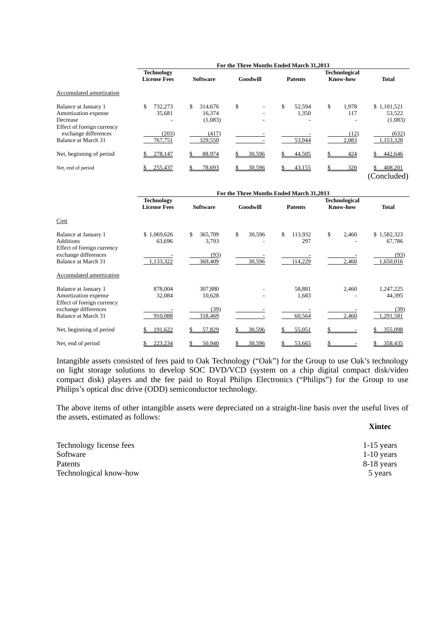|                                                                                        | For the Three Months Ended March 31.2013 |                                    |              |                       |                                         |                                  |
|----------------------------------------------------------------------------------------|------------------------------------------|------------------------------------|--------------|-----------------------|-----------------------------------------|----------------------------------|
|                                                                                        | <b>Technology</b><br><b>License Fees</b> | <b>Software</b>                    | Goodwill     | <b>Patents</b>        | <b>Technological</b><br><b>Know-how</b> | <b>Total</b>                     |
| Accumulated amortization                                                               |                                          |                                    |              |                       |                                         |                                  |
| Balance at January 1<br>Amortization expense<br>Decrease<br>Effect of foreign currency | 732.273<br>S<br>35,681                   | 314,676<br>S.<br>16,374<br>(1,083) | \$           | \$<br>52.594<br>1,350 | \$<br>1.978<br>117                      | \$1,101,521<br>53,522<br>(1,083) |
| exchange differences<br>Balance at March 31                                            | (203)<br>767,751                         | (417)<br>329,550                   |              | 53,944                | (12)<br>2,083                           | (632)<br>1,153,328               |
| Net, beginning of period                                                               | 278,147                                  | 88.974                             | 30.596       | 44.505                | 424                                     | 442,646                          |
| Net, end of period                                                                     | 255,437                                  | 78,693                             | 30,596<br>\$ | 43,155                | 320                                     | 408,201<br>(Concluded)           |

|                                                                           |                                          |                        |              | For the Three Months Ended March 31,2013 |                                         |                       |
|---------------------------------------------------------------------------|------------------------------------------|------------------------|--------------|------------------------------------------|-----------------------------------------|-----------------------|
|                                                                           | <b>Technology</b><br><b>License Fees</b> | <b>Software</b>        | Goodwill     | <b>Patents</b>                           | <b>Technological</b><br><b>Know-how</b> | <b>Total</b>          |
| Cost                                                                      |                                          |                        |              |                                          |                                         |                       |
| Balance at January 1<br><b>Additions</b>                                  | \$1,069,626<br>63,696                    | \$<br>365,709<br>3,793 | \$<br>30,596 | \$<br>113,932<br>297                     | \$<br>2,460                             | \$1,582,323<br>67,786 |
| Effect of foreign currency<br>exchange differences<br>Balance at March 31 | 1,133,322                                | (93)<br>369,409        | 30,596       | 114,229                                  | 2,460                                   | (93)<br>1,650,016     |
| Accumulated amortization                                                  |                                          |                        |              |                                          |                                         |                       |
| Balance at January 1<br>Amortization expense                              | 878,004<br>32,084                        | 307,880<br>10,628      |              | 58,881<br>1,683                          | 2,460                                   | 1,247,225<br>44,395   |
| Effect of foreign currency<br>exchange differences<br>Balance at March 31 | 910,088                                  | (39)<br>318,469        |              | 60,564                                   | 2,460                                   | (39)<br>1,291,581     |
| Net, beginning of period                                                  | 191,622                                  | 57,829<br>\$           | 30,596       | 55,051                                   |                                         | 355,098               |
| Net, end of period                                                        | 223,234                                  | 50,940                 | 30,596       | 53,665                                   |                                         | 358,435               |

Intangible assets consisted of fees paid to Oak Technology ("Oak") for the Group to use Oak's technology on light storage solutions to develop SOC DVD/VCD (system on a chip digital compact disk/video compact disk) players and the fee paid to Royal Philips Electronics ("Philips") for the Group to use Philips's optical disc drive (ODD) semiconductor technology.

The above items of other intangible assets were depreciated on a straight-line basis over the useful lives of the assets, estimated as follows:

| Technology license fees | $1-15$ years |
|-------------------------|--------------|
| Software                | $1-10$ years |
| Patents                 | 8-18 years   |
| Technological know-how  | 5 years      |

**Xintec**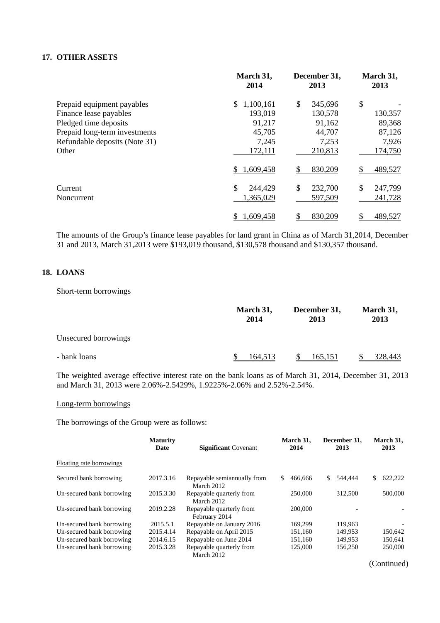# **17. OTHER ASSETS**

|                               | March 31,<br>2014 | December 31,<br>2013 | March 31,<br>2013 |
|-------------------------------|-------------------|----------------------|-------------------|
| Prepaid equipment payables    | 1,100,161<br>S.   | \$<br>345,696        | \$                |
| Finance lease payables        | 193,019           | 130,578              | 130,357           |
| Pledged time deposits         | 91,217            | 91,162               | 89,368            |
| Prepaid long-term investments | 45,705            | 44,707               | 87,126            |
| Refundable deposits (Note 31) | 7,245             | 7,253                | 7,926             |
| Other                         | 172,111           | 210,813              | 174,750           |
|                               | 1,609,458         | 830,209<br>\$.       | 489,527           |
| Current                       | \$<br>244,429     | \$<br>232,700        | \$<br>247,799     |
| Noncurrent                    | 1,365,029         | 597,509              | 241,728           |
|                               | 1,609,458         | \$<br>830,209        | \$<br>489,527     |

The amounts of the Group's finance lease payables for land grant in China as of March 31,2014, December 31 and 2013, March 31,2013 were \$193,019 thousand, \$130,578 thousand and \$130,357 thousand.

# **18. LOANS**

#### Short-term borrowings

|                      | March 31,<br>December 31,<br>2014<br>2013 |         | March 31,<br>2013 |  |
|----------------------|-------------------------------------------|---------|-------------------|--|
| Unsecured borrowings |                                           |         |                   |  |
| - bank loans         | 164,513                                   | 165,151 | <u>328,443</u>    |  |

The weighted average effective interest rate on the bank loans as of March 31, 2014, December 31, 2013 and March 31, 2013 were 2.06%-2.5429%, 1.9225%-2.06% and 2.52%-2.54%.

## Long-term borrowings

The borrowings of the Group were as follows:

|                           | <b>Maturity</b><br>Date | <b>Significant Covenant</b>                | March 31.<br>2014 | December 31.<br>2013 | March 31,<br>2013 |
|---------------------------|-------------------------|--------------------------------------------|-------------------|----------------------|-------------------|
| Floating rate borrowings  |                         |                                            |                   |                      |                   |
| Secured bank borrowing    | 2017.3.16               | Repayable semian mually from<br>March 2012 | \$<br>466,666     | \$<br>544,444        | 622,222<br>S.     |
| Un-secured bank borrowing | 2015.3.30               | Repayable quarterly from<br>March 2012     | 250,000           | 312,500              | 500,000           |
| Un-secured bank borrowing | 2019.2.28               | Repayable quarterly from<br>February 2014  | 200,000           |                      |                   |
| Un-secured bank borrowing | 2015.5.1                | Repayable on January 2016                  | 169,299           | 119.963              |                   |
| Un-secured bank borrowing | 2015.4.14               | Repayable on April 2015                    | 151.160           | 149.953              | 150.642           |
| Un-secured bank borrowing | 2014.6.15               | Repayable on June 2014                     | 151,160           | 149,953              | 150.641           |
| Un-secured bank borrowing | 2015.3.28               | Repayable quarterly from<br>March 2012     | 125,000           | 156,250              | 250,000           |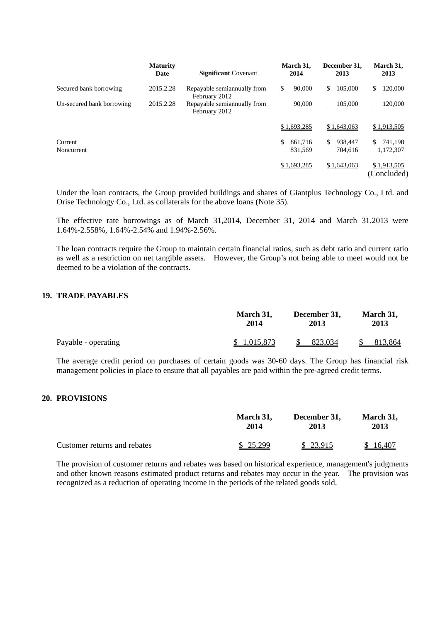|                           | <b>Maturity</b><br>Date | <b>Significant Covenant</b>                   | March 31,<br>2014         | December 31.<br>2013     | March 31,<br>2013          |
|---------------------------|-------------------------|-----------------------------------------------|---------------------------|--------------------------|----------------------------|
| Secured bank borrowing    | 2015.2.28               | Repayable semian mually from<br>February 2012 | \$<br>90,000              | 105,000<br>\$            | S<br>120,000               |
| Un-secured bank borrowing | 2015.2.28               | Repayable semian mually from<br>February 2012 | 90,000                    | 105,000                  | 120,000                    |
|                           |                         |                                               | \$1,693,285               | \$1,643,063              | \$1,913,505                |
| Current<br>Noncurrent     |                         |                                               | \$.<br>861,716<br>831,569 | 938,447<br>\$<br>704,616 | 741.198<br>\$<br>1,172,307 |
|                           |                         |                                               | \$1,693,285               | \$1,643,063              | \$1,913,505<br>(Concluded) |

Under the loan contracts, the Group provided buildings and shares of Giantplus Technology Co., Ltd. and Orise Technology Co., Ltd. as collaterals for the above loans (Note 35).

The effective rate borrowings as of March 31,2014, December 31, 2014 and March 31,2013 were 1.64%-2.558%, 1.64%-2.54% and 1.94%-2.56%.

The loan contracts require the Group to maintain certain financial ratios, such as debt ratio and current ratio as well as a restriction on net tangible assets. However, the Group's not being able to meet would not be deemed to be a violation of the contracts.

# **19. TRADE PAYABLES**

|                     | March 31,   | December 31, | March 31, |  |
|---------------------|-------------|--------------|-----------|--|
|                     | 2014        | 2013         | 2013      |  |
| Payable - operating | \$1,015,873 | 823.034      | 813,864   |  |

The average credit period on purchases of certain goods was 30-60 days. The Group has financial risk management policies in place to ensure that all payables are paid within the pre-agreed credit terms.

#### **20. PROVISIONS**

|                              | March 31, | December 31, | March 31, |
|------------------------------|-----------|--------------|-----------|
|                              | 2014      | 2013         | 2013      |
| Customer returns and rebates | \$25,299  | \$ 23,915    | \$16,407  |

The provision of customer returns and rebates was based on historical experience, management's judgments and other known reasons estimated product returns and rebates may occur in the year. The provision was recognized as a reduction of operating income in the periods of the related goods sold.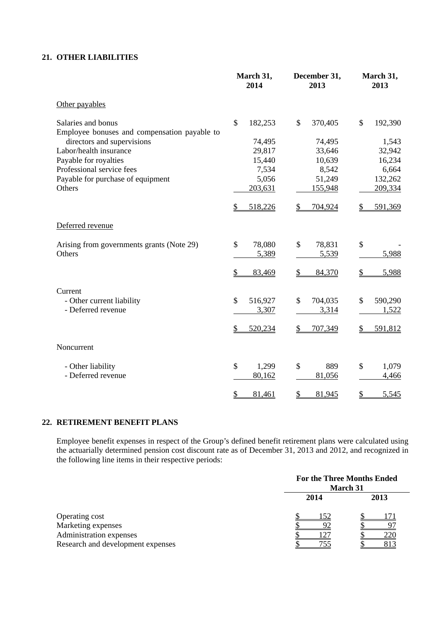# **21. OTHER LIABILITIES**

|                                              | March 31,<br>2014        | December 31,<br>2013 | March 31,<br>2013        |
|----------------------------------------------|--------------------------|----------------------|--------------------------|
| Other payables                               |                          |                      |                          |
| Salaries and bonus                           | $\mathcal{S}$<br>182,253 | \$<br>370,405        | $\mathcal{S}$<br>192,390 |
| Employee bonuses and compensation payable to |                          |                      |                          |
| directors and supervisions                   | 74,495                   | 74,495               | 1,543                    |
| Labor/health insurance                       | 29,817                   | 33,646               | 32,942                   |
| Payable for royalties                        | 15,440                   | 10,639               | 16,234                   |
| Professional service fees                    | 7,534                    | 8,542                | 6,664                    |
| Payable for purchase of equipment            | 5,056                    | 51,249               | 132,262                  |
| Others                                       | 203,631                  | 155,948              | 209,334                  |
|                                              | 518,226<br>\$            | \$<br>704,924        | 591,369<br>\$            |
| Deferred revenue                             |                          |                      |                          |
| Arising from governments grants (Note 29)    | \$<br>78,080             | \$<br>78,831         | \$                       |
| Others                                       | 5,389                    | 5,539                | 5,988                    |
|                                              | 83,469<br>S              | \$<br>84,370         | $\frac{1}{2}$<br>5,988   |
| Current                                      |                          |                      |                          |
| - Other current liability                    | 516,927<br>\$            | \$<br>704,035        | \$<br>590,290            |
| - Deferred revenue                           | 3,307                    | 3,314                | 1,522                    |
|                                              | 520,234                  | \$<br>707,349        | 591,812<br>\$            |
| Noncurrent                                   |                          |                      |                          |
| - Other liability                            | \$<br>1,299              | \$<br>889            | \$<br>1,079              |
| - Deferred revenue                           | 80,162                   | 81,056               | 4,466                    |
|                                              | 81,461<br>\$             | \$<br>81,945         | \$<br>5,545              |

# **22. RETIREMENT BENEFIT PLANS**

Employee benefit expenses in respect of the Group's defined benefit retirement plans were calculated using the actuarially determined pension cost discount rate as of December 31, 2013 and 2012, and recognized in the following line items in their respective periods:

|                                   | <b>For the Three Months Ended</b><br>March 31 |      |  |
|-----------------------------------|-----------------------------------------------|------|--|
|                                   | 2014                                          | 2013 |  |
| Operating cost                    | 152                                           |      |  |
| Marketing expenses                |                                               |      |  |
| Administration expenses           |                                               | 220  |  |
| Research and development expenses |                                               |      |  |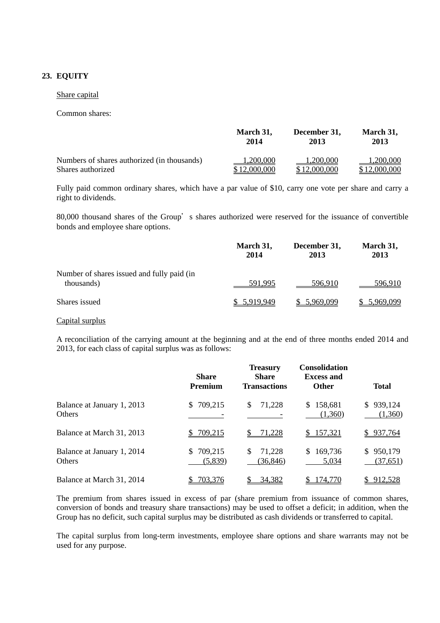# **23. EQUITY**

#### Share capital

#### Common shares:

|                                             | March 31,    | December 31, | March 31,    |
|---------------------------------------------|--------------|--------------|--------------|
|                                             | 2014         | 2013         | 2013         |
| Numbers of shares authorized (in thousands) | 1.200,000    | 1.200.000    | 1.200.000    |
| Shares authorized                           | \$12,000,000 | \$12,000,000 | \$12,000,000 |

Fully paid common ordinary shares, which have a par value of \$10, carry one vote per share and carry a right to dividends.

80,000 thousand shares of the Group's shares authorized were reserved for the issuance of convertible bonds and employee share options.

|                                                          | March 31,<br>2014 | December 31,<br>2013 | March 31,<br>2013 |
|----------------------------------------------------------|-------------------|----------------------|-------------------|
| Number of shares issued and fully paid (in<br>thousands) | 591.995           | 596.910              | 596.910           |
| Shares issued                                            | \$ 5,919,949      | 5,969,099            | 5,969,099         |

# Capital surplus

A reconciliation of the carrying amount at the beginning and at the end of three months ended 2014 and 2013, for each class of capital surplus was as follows:

|                                             | <b>Share</b><br><b>Premium</b> | <b>Treasury</b><br><b>Share</b><br><b>Transactions</b> | <b>Consolidation</b><br><b>Excess and</b><br><b>Other</b> | <b>Total</b>               |
|---------------------------------------------|--------------------------------|--------------------------------------------------------|-----------------------------------------------------------|----------------------------|
| Balance at January 1, 2013<br><b>Others</b> | 709,215<br>S.                  | \$<br>71,228                                           | \$158,681<br>(1,360)                                      | 939,124<br>S.<br>(1,360)   |
| Balance at March 31, 2013                   | \$709,215                      | 71,228                                                 | \$157,321                                                 | 937,764<br>S.              |
| Balance at January 1, 2014<br><b>Others</b> | 709,215<br>SS.<br>(5,839)      | 71,228<br>S<br>(36, 846)                               | 169,736<br>5,034                                          | 950,179<br>S.<br>(37, 651) |
| Balance at March 31, 2014                   | 703,376                        | 34,382                                                 | 174,770                                                   | 912,528                    |

The premium from shares issued in excess of par (share premium from issuance of common shares, conversion of bonds and treasury share transactions) may be used to offset a deficit; in addition, when the Group has no deficit, such capital surplus may be distributed as cash dividends or transferred to capital.

The capital surplus from long-term investments, employee share options and share warrants may not be used for any purpose.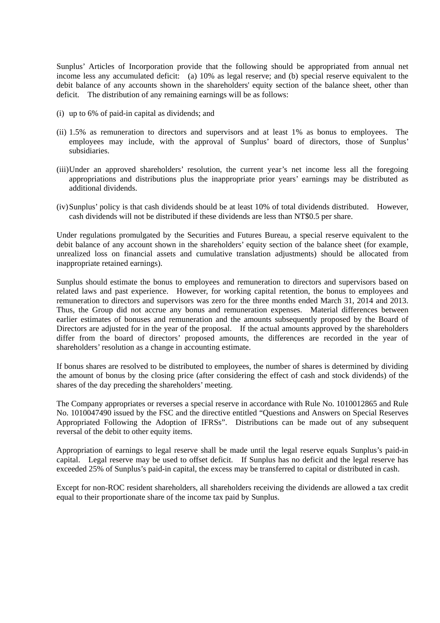Sunplus' Articles of Incorporation provide that the following should be appropriated from annual net income less any accumulated deficit: (a) 10% as legal reserve; and (b) special reserve equivalent to the debit balance of any accounts shown in the shareholders' equity section of the balance sheet, other than deficit. The distribution of any remaining earnings will be as follows:

- (i) up to 6% of paid-in capital as dividends; and
- (ii) 1.5% as remuneration to directors and supervisors and at least 1% as bonus to employees. The employees may include, with the approval of Sunplus' board of directors, those of Sunplus' subsidiaries.
- (iii) Under an approved shareholders' resolution, the current year's net income less all the foregoing appropriations and distributions plus the inappropriate prior years' earnings may be distributed as additional dividends.
- (iv) Sunplus' policy is that cash dividends should be at least 10% of total dividends distributed. However, cash dividends will not be distributed if these dividends are less than NT\$0.5 per share.

Under regulations promulgated by the Securities and Futures Bureau, a special reserve equivalent to the debit balance of any account shown in the shareholders' equity section of the balance sheet (for example, unrealized loss on financial assets and cumulative translation adjustments) should be allocated from inappropriate retained earnings).

Sunplus should estimate the bonus to employees and remuneration to directors and supervisors based on related laws and past experience. However, for working capital retention, the bonus to employees and remuneration to directors and supervisors was zero for the three months ended March 31, 2014 and 2013. Thus, the Group did not accrue any bonus and remuneration expenses. Material differences between earlier estimates of bonuses and remuneration and the amounts subsequently proposed by the Board of Directors are adjusted for in the year of the proposal. If the actual amounts approved by the shareholders differ from the board of directors' proposed amounts, the differences are recorded in the year of shareholders' resolution as a change in accounting estimate.

If bonus shares are resolved to be distributed to employees, the number of shares is determined by dividing the amount of bonus by the closing price (after considering the effect of cash and stock dividends) of the shares of the day preceding the shareholders' meeting.

The Company appropriates or reverses a special reserve in accordance with Rule No. 1010012865 and Rule No. 1010047490 issued by the FSC and the directive entitled "Questions and Answers on Special Reserves Appropriated Following the Adoption of IFRSs". Distributions can be made out of any subsequent reversal of the debit to other equity items.

Appropriation of earnings to legal reserve shall be made until the legal reserve equals Sunplus's paid-in capital. Legal reserve may be used to offset deficit. If Sunplus has no deficit and the legal reserve has exceeded 25% of Sunplus's paid-in capital, the excess may be transferred to capital or distributed in cash.

Except for non-ROC resident shareholders, all shareholders receiving the dividends are allowed a tax credit equal to their proportionate share of the income tax paid by Sunplus.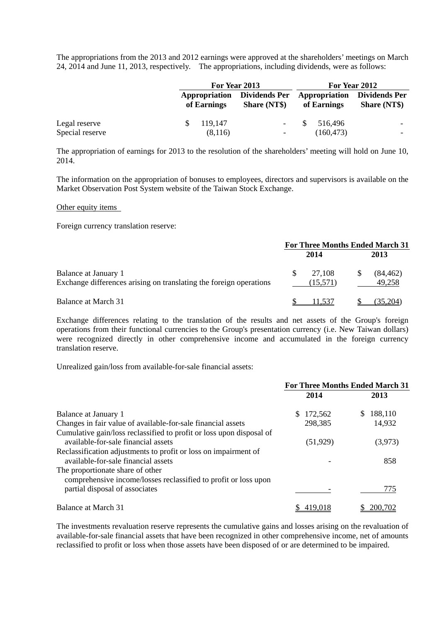The appropriations from the 2013 and 2012 earnings were approved at the shareholders' meetings on March 24, 2014 and June 11, 2013, respectively. The appropriations, including dividends, were as follows:

|                 |             | For Year 2013                                             |                                                   | For Year 2012       |  |
|-----------------|-------------|-----------------------------------------------------------|---------------------------------------------------|---------------------|--|
|                 | of Earnings | <b>Appropriation</b> Dividends Per<br><b>Share (NT\$)</b> | <b>Appropriation</b> Dividends Per<br>of Earnings | <b>Share (NT\$)</b> |  |
| Legal reserve   | 119.147     | $\overline{\phantom{a}}$                                  | \$516,496                                         |                     |  |
| Special reserve | (8,116)     | $\overline{\phantom{a}}$                                  | (160, 473)                                        | -                   |  |

The appropriation of earnings for 2013 to the resolution of the shareholders' meeting will hold on June 10, 2014.

The information on the appropriation of bonuses to employees, directors and supervisors is available on the Market Observation Post System website of the Taiwan Stock Exchange.

Other equity items

Foreign currency translation reserve:

|                                                                                            | <b>For Three Months Ended March 31</b> |                    |  |                     |
|--------------------------------------------------------------------------------------------|----------------------------------------|--------------------|--|---------------------|
|                                                                                            |                                        | 2014               |  | 2013                |
| Balance at January 1<br>Exchange differences arising on translating the foreign operations | <b>S</b>                               | 27.108<br>(15,571) |  | (84, 462)<br>49,258 |
| Balance at March 31                                                                        |                                        | 11.537             |  | (35.204)            |

Exchange differences relating to the translation of the results and net assets of the Group's foreign operations from their functional currencies to the Group's presentation currency (i.e. New Taiwan dollars) were recognized directly in other comprehensive income and accumulated in the foreign currency translation reserve.

Unrealized gain/loss from available-for-sale financial assets:

|                                                                                                             | <b>For Three Months Ended March 31</b> |           |   |         |
|-------------------------------------------------------------------------------------------------------------|----------------------------------------|-----------|---|---------|
|                                                                                                             |                                        | 2014      |   | 2013    |
| Balance at January 1                                                                                        | S.                                     | 172,562   | S | 188,110 |
| Changes in fair value of available-for-sale financial assets                                                |                                        | 298,385   |   | 14,932  |
| Cumulative gain/loss reclassified to profit or loss upon disposal of<br>available-for-sale financial assets |                                        | (51, 929) |   | (3,973) |
| Reclassification adjustments to profit or loss on impairment of<br>available-for-sale financial assets      |                                        |           |   | 858     |
| The proportionate share of other                                                                            |                                        |           |   |         |
| comprehensive income/losses reclassified to profit or loss upon<br>partial disposal of associates           |                                        |           |   | 775     |
| Balance at March 31                                                                                         |                                        | 419.018   |   | 200,702 |

The investments revaluation reserve represents the cumulative gains and losses arising on the revaluation of available-for-sale financial assets that have been recognized in other comprehensive income, net of amounts reclassified to profit or loss when those assets have been disposed of or are determined to be impaired.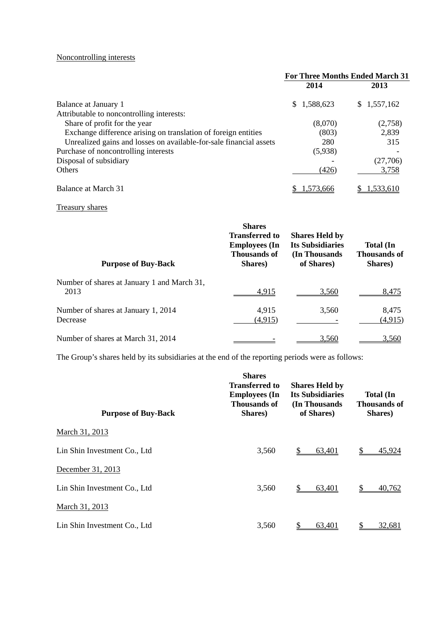# Noncontrolling interests

|                                                                    | <b>For Three Months Ended March 31</b> |             |  |
|--------------------------------------------------------------------|----------------------------------------|-------------|--|
|                                                                    | 2014                                   | 2013        |  |
| Balance at January 1                                               | 1,588,623<br>S.                        | \$1,557,162 |  |
| Attributable to noncontrolling interests:                          |                                        |             |  |
| Share of profit for the year                                       | (8,070)                                | (2,758)     |  |
| Exchange difference arising on translation of foreign entities     | (803)                                  | 2,839       |  |
| Unrealized gains and losses on available-for-sale financial assets | 280                                    | 315         |  |
| Purchase of noncontrolling interests                               | (5,938)                                |             |  |
| Disposal of subsidiary                                             |                                        | (27,706)    |  |
| <b>Others</b>                                                      | (426)                                  | 3,758       |  |
| Balance at March 31                                                | .573.666                               | 1.533.610   |  |

# Treasury shares

| <b>Purpose of Buy-Back</b>                          | <b>Shares</b><br><b>Transferred to</b><br><b>Employees</b> (In<br><b>Thousands of</b><br>Shares) | <b>Shares Held by</b><br><b>Its Subsidiaries</b><br>(In Thousands)<br>of Shares) | <b>Total</b> (In<br><b>Thousands of</b><br>Shares) |
|-----------------------------------------------------|--------------------------------------------------------------------------------------------------|----------------------------------------------------------------------------------|----------------------------------------------------|
| Number of shares at January 1 and March 31,<br>2013 | 4,915                                                                                            | 3.560                                                                            | 8.475                                              |
| Number of shares at January 1, 2014<br>Decrease     | 4,915<br>(4, 915)                                                                                | 3,560                                                                            | 8,475<br>(4, 915)                                  |
| Number of shares at March 31, 2014                  |                                                                                                  | 3.560                                                                            | 3.560                                              |

The Group's shares held by its subsidiaries at the end of the reporting periods were as follows:

| <b>Purpose of Buy-Back</b>   | <b>Shares</b><br><b>Transferred to</b><br><b>Employees</b> (In<br><b>Thousands of</b><br>Shares) | <b>Shares Held by</b><br><b>Its Subsidiaries</b><br>(In Thousands)<br>of Shares) | <b>Total</b> (In<br><b>Thousands of</b><br>Shares) |
|------------------------------|--------------------------------------------------------------------------------------------------|----------------------------------------------------------------------------------|----------------------------------------------------|
| March 31, 2013               |                                                                                                  |                                                                                  |                                                    |
| Lin Shin Investment Co., Ltd | 3,560                                                                                            | 63,401                                                                           | 45.924                                             |
| December 31, 2013            |                                                                                                  |                                                                                  |                                                    |
| Lin Shin Investment Co., Ltd | 3,560                                                                                            | S<br>63,401                                                                      | 40,762                                             |
| March 31, 2013               |                                                                                                  |                                                                                  |                                                    |
| Lin Shin Investment Co., Ltd | 3,560                                                                                            | 63,401                                                                           | 32,681                                             |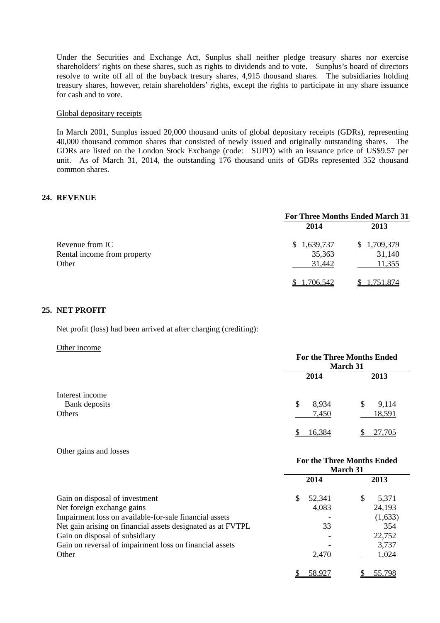Under the Securities and Exchange Act, Sunplus shall neither pledge treasury shares nor exercise shareholders' rights on these shares, such as rights to dividends and to vote. Sunplus's board of directors resolve to write off all of the buyback tresury shares, 4,915 thousand shares. The subsidiaries holding treasury shares, however, retain shareholders' rights, except the rights to participate in any share issuance for cash and to vote.

#### Global depositary receipts

In March 2001, Sunplus issued 20,000 thousand units of global depositary receipts (GDRs), representing 40,000 thousand common shares that consisted of newly issued and originally outstanding shares. The GDRs are listed on the London Stock Exchange (code: SUPD) with an issuance price of US\$9.57 per unit. As of March 31, 2014, the outstanding 176 thousand units of GDRs represented 352 thousand common shares.

#### **24. REVENUE**

|                             | <b>For Three Months Ended March 31</b> |             |  |
|-----------------------------|----------------------------------------|-------------|--|
|                             | 2014                                   | 2013        |  |
| Revenue from IC             | 1,639,737<br>S.                        | \$1,709,379 |  |
| Rental income from property | 35,363                                 | 31,140      |  |
| Other                       | 31,442                                 | 11,355      |  |
|                             | 1,706,542                              | 1,751,874   |  |

#### **25. NET PROFIT**

Net profit (loss) had been arrived at after charging (crediting):

#### Other income

|                                  | <b>For the Three Months Ended</b><br>March 31 |             |  |
|----------------------------------|-----------------------------------------------|-------------|--|
|                                  | 2014                                          | 2013        |  |
| Interest income<br>Bank deposits | 8,934<br>\$                                   | 9,114<br>\$ |  |
| Others                           | 7,450                                         | 18,591      |  |
|                                  | 16,384                                        | 27,705      |  |

#### Other gains and losses

|                                                             | <b>For the Three Months Ended</b><br>March 31 |            |  |
|-------------------------------------------------------------|-----------------------------------------------|------------|--|
|                                                             | 2014                                          | 2013       |  |
| Gain on disposal of investment                              | 52,341<br>\$.                                 | 5,371<br>S |  |
| Net foreign exchange gains                                  | 4,083                                         | 24,193     |  |
| Impairment loss on available-for-sale financial assets      |                                               | (1,633)    |  |
| Net gain arising on financial assets designated as at FVTPL | 33                                            | 354        |  |
| Gain on disposal of subsidiary                              |                                               | 22,752     |  |
| Gain on reversal of impairment loss on financial assets     |                                               | 3,737      |  |
| Other                                                       | 2,470                                         | 1,024      |  |
|                                                             | 58,927                                        | 55,798     |  |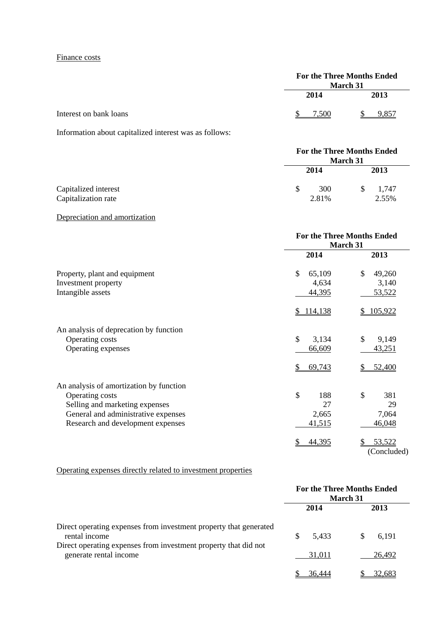# Finance costs

|                        | <b>March 31</b> | <b>For the Three Months Ended</b> |
|------------------------|-----------------|-----------------------------------|
|                        | 2014            | 2013                              |
| Interest on bank loans | -500            | 9.857                             |

Information about capitalized interest was as follows:

|                                             | <b>For the Three Months Ended</b><br><b>March 31</b> |              |  |                |
|---------------------------------------------|------------------------------------------------------|--------------|--|----------------|
|                                             | 2014                                                 |              |  | 2013           |
| Capitalized interest<br>Capitalization rate | S                                                    | 300<br>2.81% |  | 1,747<br>2.55% |

# Depreciation and amortization

|                                                           | <b>For the Three Months Ended</b><br>March 31 |                         |  |
|-----------------------------------------------------------|-----------------------------------------------|-------------------------|--|
|                                                           | 2014                                          | 2013                    |  |
| Property, plant and equipment                             | \$<br>65,109                                  | $\mathcal{S}$<br>49,260 |  |
| Investment property                                       | 4,634                                         | 3,140                   |  |
| Intangible assets                                         | 44,395                                        | 53,522                  |  |
|                                                           | \$114,138                                     | 105,922<br>\$           |  |
| An analysis of deprecation by function<br>Operating costs | $\mathcal{S}$<br>3,134                        | \$<br>9,149             |  |
| Operating expenses                                        | 66,609                                        | 43,251                  |  |
|                                                           | 69,743<br>S                                   | 52,400                  |  |
| An analysis of amortization by function                   |                                               |                         |  |
| Operating costs                                           | $\mathcal{S}$<br>188                          | \$<br>381               |  |
| Selling and marketing expenses                            | 27                                            | 29                      |  |
| General and administrative expenses                       | 2,665                                         | 7,064                   |  |
| Research and development expenses                         | 41,515                                        | 46,048                  |  |
|                                                           | 44,395                                        | 53,522<br>(Concluded)   |  |

# Operating expenses directly related to investment properties

|                                                                                           | For the Three Months Ended<br><b>March 31</b> |        |  |
|-------------------------------------------------------------------------------------------|-----------------------------------------------|--------|--|
|                                                                                           | 2014                                          | 2013   |  |
| Direct operating expenses from investment property that generated<br>rental income        | 5,433<br>æ.                                   | 6,191  |  |
| Direct operating expenses from investment property that did not<br>generate rental income | 31,011                                        | 26,492 |  |
|                                                                                           | 36,444                                        | 32.683 |  |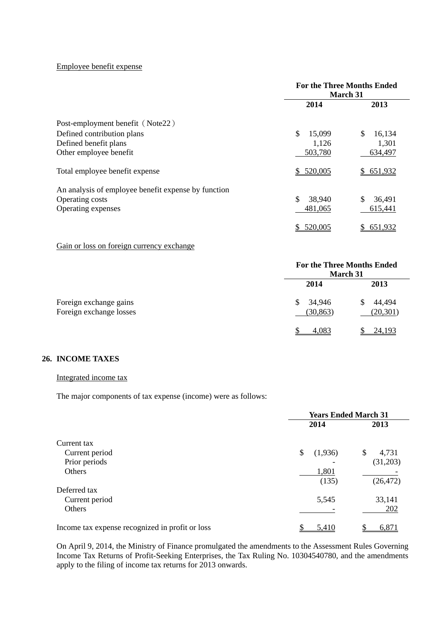#### Employee benefit expense

|                                                     | <b>For the Three Months Ended</b><br>March 31 |               |  |
|-----------------------------------------------------|-----------------------------------------------|---------------|--|
|                                                     | 2014                                          | 2013          |  |
| Post-employment benefit (Note22)                    |                                               |               |  |
| Defined contribution plans                          | \$<br>15,099                                  | \$<br>16,134  |  |
| Defined benefit plans                               | 1,126                                         | 1,301         |  |
| Other employee benefit                              | 503,780                                       | 634,497       |  |
| Total employee benefit expense                      | \$520,005                                     | \$651,932     |  |
| An analysis of employee benefit expense by function |                                               |               |  |
| Operating costs                                     | \$<br>38,940                                  | \$<br>36,491  |  |
| Operating expenses                                  | 481,065                                       | 615,441       |  |
|                                                     | 520,005                                       | 651,932<br>\$ |  |

Gain or loss on foreign currency exchange

|                                                   | <b>For the Three Months Ended</b><br><b>March 31</b> |                     |  |
|---------------------------------------------------|------------------------------------------------------|---------------------|--|
|                                                   | 2014                                                 | 2013                |  |
| Foreign exchange gains<br>Foreign exchange losses | 34,946<br><sup>\$</sup><br>(30, 863)                 | 44,494<br>(20, 301) |  |
|                                                   | 4,083                                                | 24,193              |  |

# **26. INCOME TAXES**

# Integrated income tax

The major components of tax expense (income) were as follows:

|                                                 | <b>Years Ended March 31</b> |         |    |           |
|-------------------------------------------------|-----------------------------|---------|----|-----------|
|                                                 |                             | 2014    |    | 2013      |
| Current tax                                     |                             |         |    |           |
| Current period                                  | \$                          | (1,936) | \$ | 4,731     |
| Prior periods                                   |                             |         |    | (31,203)  |
| Others                                          |                             | 1,801   |    |           |
|                                                 |                             | (135)   |    | (26, 472) |
| Deferred tax                                    |                             |         |    |           |
| Current period                                  |                             | 5,545   |    | 33,141    |
| Others                                          |                             |         |    | 202       |
| Income tax expense recognized in profit or loss |                             | 5,410   |    | 6,871     |

On April 9, 2014, the Ministry of Finance promulgated the amendments to the Assessment Rules Governing Income Tax Returns of Profit-Seeking Enterprises, the Tax Ruling No. 10304540780, and the amendments apply to the filing of income tax returns for 2013 onwards.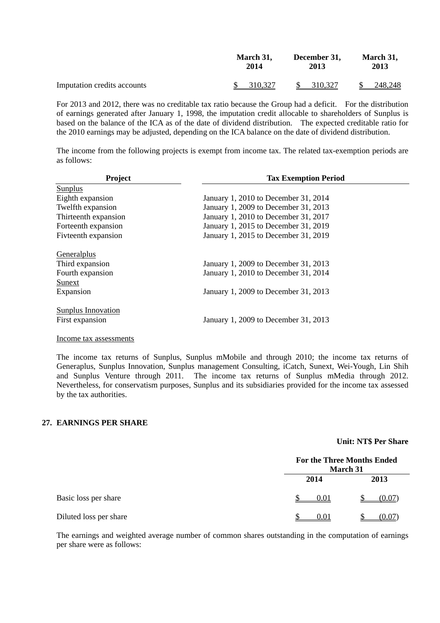|                             | March 31, | December 31,             | March 31, |
|-----------------------------|-----------|--------------------------|-----------|
|                             | 2014      | 2013                     | 2013      |
| Imputation credits accounts | 310,327   | 310,327<br><sup>\$</sup> | 248,248   |

For 2013 and 2012, there was no creditable tax ratio because the Group had a deficit. For the distribution of earnings generated after January 1, 1998, the imputation credit allocable to shareholders of Sunplus is based on the balance of the ICA as of the date of dividend distribution. The expected creditable ratio for the 2010 earnings may be adjusted, depending on the ICA balance on the date of dividend distribution.

The income from the following projects is exempt from income tax. The related tax-exemption periods are as follows:

| Project                   | <b>Tax Exemption Period</b>          |
|---------------------------|--------------------------------------|
| <b>Sunplus</b>            |                                      |
| Eighth expansion          | January 1, 2010 to December 31, 2014 |
| Twelfth expansion         | January 1, 2009 to December 31, 2013 |
| Thirteenth expansion      | January 1, 2010 to December 31, 2017 |
| Forteenth expansion       | January 1, 2015 to December 31, 2019 |
| Fivteenth expansion       | January 1, 2015 to December 31, 2019 |
| Generalplus               |                                      |
| Third expansion           | January 1, 2009 to December 31, 2013 |
| Fourth expansion          | January 1, 2010 to December 31, 2014 |
| Sunext                    |                                      |
| Expansion                 | January 1, 2009 to December 31, 2013 |
| <b>Sunplus Innovation</b> |                                      |
| First expansion           | January 1, 2009 to December 31, 2013 |

Income tax assessments

The income tax returns of Sunplus, Sunplus mMobile and through 2010; the income tax returns of Generaplus, Sunplus Innovation, Sunplus management Consulting, iCatch, Sunext, Wei-Yough, Lin Shih and Sunplus Venture through 2011. The income tax returns of Sunplus mMedia through 2012. Nevertheless, for conservatism purposes, Sunplus and its subsidiaries provided for the income tax assessed by the tax authorities.

#### **27. EARNINGS PER SHARE**

# **Unit: NT\$ Per Share**

|                        | <b>For the Three Months Ended</b><br>March 31 |        |  |
|------------------------|-----------------------------------------------|--------|--|
|                        | 2014                                          | 2013   |  |
| Basic loss per share   | 0.01                                          | (0.07) |  |
| Diluted loss per share | 0.01                                          | (0.07) |  |

The earnings and weighted average number of common shares outstanding in the computation of earnings per share were as follows: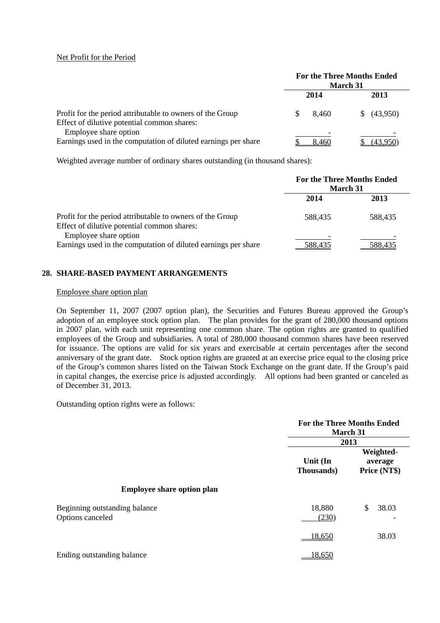## Net Profit for the Period

|                                                                                                          | <b>For the Three Months Ended</b><br>March 31 |                |
|----------------------------------------------------------------------------------------------------------|-----------------------------------------------|----------------|
|                                                                                                          | 2014                                          | 2013           |
| Profit for the period attributable to owners of the Group<br>Effect of dilutive potential common shares: | 8.460                                         | (43,950)<br>S. |
| Employee share option<br>Earnings used in the computation of diluted earnings per share                  | 8.460                                         |                |

Weighted average number of ordinary shares outstanding (in thousand shares):

|                                                                                                          | <b>For the Three Months Ended</b><br><b>March 31</b> |         |
|----------------------------------------------------------------------------------------------------------|------------------------------------------------------|---------|
|                                                                                                          | 2014                                                 | 2013    |
| Profit for the period attributable to owners of the Group<br>Effect of dilutive potential common shares: | 588.435                                              | 588.435 |
| Employee share option<br>Earnings used in the computation of diluted earnings per share                  | 588,435                                              | 588,435 |

# **28. SHARE-BASED PAYMENT ARRANGEMENTS**

#### Employee share option plan

On September 11, 2007 (2007 option plan), the Securities and Futures Bureau approved the Group's adoption of an employee stock option plan. The plan provides for the grant of 280,000 thousand options in 2007 plan, with each unit representing one common share. The option rights are granted to qualified employees of the Group and subsidiaries. A total of 280,000 thousand common shares have been reserved for issuance. The options are valid for six years and exercisable at certain percentages after the second anniversary of the grant date. Stock option rights are granted at an exercise price equal to the closing price of the Group's common shares listed on the Taiwan Stock Exchange on the grant date. If the Group's paid in capital changes, the exercise price is adjusted accordingly. All options had been granted or canceled as of December 31, 2013.

Outstanding option rights were as follows:

|                                                   | <b>For the Three Months Ended</b><br>March 31<br>2013 |                                      |
|---------------------------------------------------|-------------------------------------------------------|--------------------------------------|
|                                                   | Unit (In<br><b>Thousands</b> )                        | Weighted-<br>average<br>Price (NT\$) |
| <b>Employee share option plan</b>                 |                                                       |                                      |
| Beginning outstanding balance<br>Options canceled | 18,880<br>(230)                                       | \$.<br>38.03                         |
|                                                   | 18,650                                                | 38.03                                |
| Ending outstanding balance                        | 18,650                                                |                                      |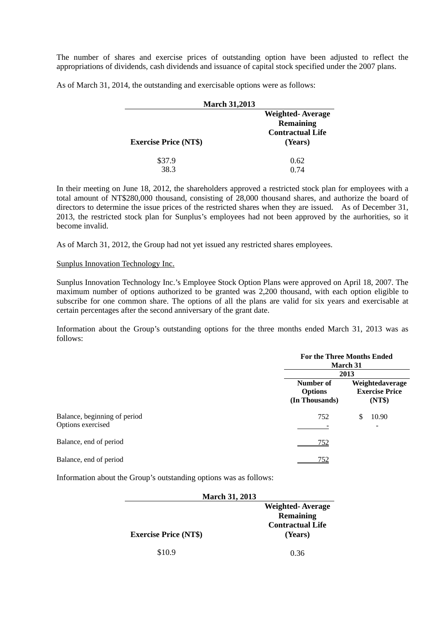The number of shares and exercise prices of outstanding option have been adjusted to reflect the appropriations of dividends, cash dividends and issuance of capital stock specified under the 2007 plans.

As of March 31, 2014, the outstanding and exercisable options were as follows:

| <b>March 31,2013</b>         |                                                                                   |  |
|------------------------------|-----------------------------------------------------------------------------------|--|
| <b>Exercise Price (NT\$)</b> | <b>Weighted-Average</b><br><b>Remaining</b><br><b>Contractual Life</b><br>(Years) |  |
| \$37.9<br>38.3               | 0.62<br>O 74                                                                      |  |

In their meeting on June 18, 2012, the shareholders approved a restricted stock plan for employees with a total amount of NT\$280,000 thousand, consisting of 28,000 thousand shares, and authorize the board of directors to determine the issue prices of the restricted shares when they are issued. As of December 31, 2013, the restricted stock plan for Sunplus's employees had not been approved by the aurhorities, so it become invalid.

As of March 31, 2012, the Group had not yet issued any restricted shares employees.

Sunplus Innovation Technology Inc.

Sunplus Innovation Technology Inc.'s Employee Stock Option Plans were approved on April 18, 2007. The maximum number of options authorized to be granted was 2,200 thousand, with each option eligible to subscribe for one common share. The options of all the plans are valid for six years and exercisable at certain percentages after the second anniversary of the grant date.

Information about the Group's outstanding options for the three months ended March 31, 2013 was as follows:

|                                                   | <b>For the Three Months Ended</b><br>March 31<br>2013 |                                                    |
|---------------------------------------------------|-------------------------------------------------------|----------------------------------------------------|
|                                                   |                                                       |                                                    |
|                                                   | Number of<br><b>Options</b><br>(In Thousands)         | Weightedaverage<br><b>Exercise Price</b><br>(NT\$) |
| Balance, beginning of period<br>Options exercised | 752                                                   | 10.90<br>\$<br>$\overline{\phantom{a}}$            |
| Balance, end of period                            | 752                                                   |                                                    |
| Balance, end of period                            | 752                                                   |                                                    |

Information about the Group's outstanding options was as follows:

| <b>March 31, 2013</b>        |                                             |  |
|------------------------------|---------------------------------------------|--|
|                              | <b>Weighted-Average</b>                     |  |
|                              | <b>Remaining</b><br><b>Contractual Life</b> |  |
| <b>Exercise Price (NT\$)</b> | (Years)                                     |  |
| \$10.9                       | 0.36                                        |  |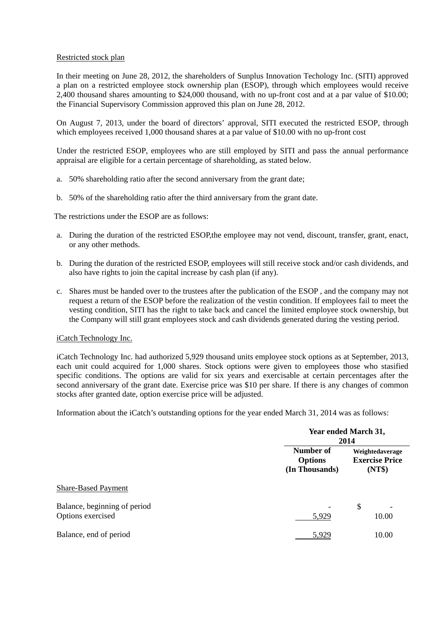# Restricted stock plan

In their meeting on June 28, 2012, the shareholders of Sunplus Innovation Techology Inc. (SITI) approved a plan on a restricted employee stock ownership plan (ESOP), through which employees would receive 2,400 thousand shares amounting to \$24,000 thousand, with no up-front cost and at a par value of \$10.00; the Financial Supervisory Commission approved this plan on June 28, 2012.

On August 7, 2013, under the board of directors' approval, SITI executed the restricted ESOP, through which employees received 1,000 thousand shares at a par value of \$10.00 with no up-front cost

Under the restricted ESOP, employees who are still employed by SITI and pass the annual performance appraisal are eligible for a certain percentage of shareholding, as stated below.

- a. 50% shareholding ratio after the second anniversary from the grant date;
- b. 50% of the shareholding ratio after the third anniversary from the grant date.

The restrictions under the ESOP are as follows:

- a. During the duration of the restricted ESOP,the employee may not vend, discount, transfer, grant, enact, or any other methods.
- b. During the duration of the restricted ESOP, employees will still receive stock and/or cash dividends, and also have rights to join the capital increase by cash plan (if any).
- c. Shares must be handed over to the trustees after the publication of the ESOP , and the company may not request a return of the ESOP before the realization of the vestin condition. If employees fail to meet the vesting condition, SITI has the right to take back and cancel the limited employee stock ownership, but the Company will still grant employees stock and cash dividends generated during the vesting period.

## iCatch Technology Inc.

iCatch Technology Inc. had authorized 5,929 thousand units employee stock options as at September, 2013, each unit could acquired for 1,000 shares. Stock options were given to employees those who stasified specific conditions. The options are valid for six years and exercisable at certain percentages after the second anniversary of the grant date. Exercise price was \$10 per share. If there is any changes of common stocks after granted date, option exercise price will be adjusted.

Information about the iCatch's outstanding options for the year ended March 31, 2014 was as follows:

|                                                   |                                               | Year ended March 31,<br>2014                       |  |
|---------------------------------------------------|-----------------------------------------------|----------------------------------------------------|--|
|                                                   | Number of<br><b>Options</b><br>(In Thousands) | Weightedaverage<br><b>Exercise Price</b><br>(NT\$) |  |
| <b>Share-Based Payment</b>                        |                                               |                                                    |  |
| Balance, beginning of period<br>Options exercised | 5,929                                         | \$<br>10.00                                        |  |
| Balance, end of period                            | 5,929                                         | 10.00                                              |  |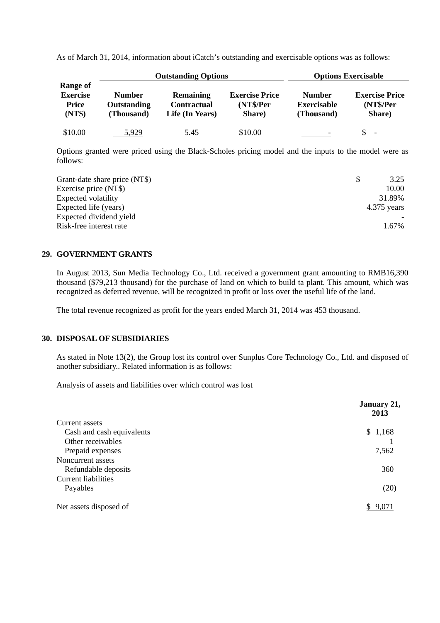| <b>Outstanding Options</b>                                   |                                            |                                                    | <b>Options Exercisable</b>                   |                                                   |                                              |
|--------------------------------------------------------------|--------------------------------------------|----------------------------------------------------|----------------------------------------------|---------------------------------------------------|----------------------------------------------|
| <b>Range of</b><br><b>Exercise</b><br><b>Price</b><br>(NT\$) | <b>Number</b><br>Outstanding<br>(Thousand) | <b>Remaining</b><br>Contractual<br>Life (In Years) | <b>Exercise Price</b><br>(NT\$/Per<br>Share) | <b>Number</b><br><b>Exercisable</b><br>(Thousand) | <b>Exercise Price</b><br>(NT\$/Per<br>Share) |
| \$10.00                                                      | 5.929                                      | 5.45                                               | \$10.00                                      |                                                   | \$<br>$\overline{\phantom{a}}$               |

As of March 31, 2014, information about iCatch's outstanding and exercisable options was as follows:

Options granted were priced using the Black-Scholes pricing model and the inputs to the model were as follows:

| Grant-date share price (NT\$) | 3.25          |
|-------------------------------|---------------|
| Exercise price (NT\$)         | 10.00         |
| Expected volatility           | 31.89%        |
| Expected life (years)         | $4.375$ years |
| Expected dividend yield       |               |
| Risk-free interest rate       | 1.67%         |

# **29. GOVERNMENT GRANTS**

In August 2013, Sun Media Technology Co., Ltd. received a government grant amounting to RMB16,390 thousand (\$79,213 thousand) for the purchase of land on which to build ta plant. This amount, which was recognized as deferred revenue, will be recognized in profit or loss over the useful life of the land.

The total revenue recognized as profit for the years ended March 31, 2014 was 453 thousand.

## **30. DISPOSAL OF SUBSIDIARIES**

As stated in Note 13(2), the Group lost its control over Sunplus Core Technology Co., Ltd. and disposed of another subsidiary.. Related information is as follows:

#### Analysis of assets and liabilities over which control was lost

|                            | January 21,<br>2013 |
|----------------------------|---------------------|
| Current assets             |                     |
| Cash and cash equivalents  | \$1,168             |
| Other receivables          |                     |
| Prepaid expenses           | 7,562               |
| Noncurrent assets          |                     |
| Refundable deposits        | 360                 |
| <b>Current liabilities</b> |                     |
| Payables                   | (20)                |
| Net assets disposed of     | \$9,071             |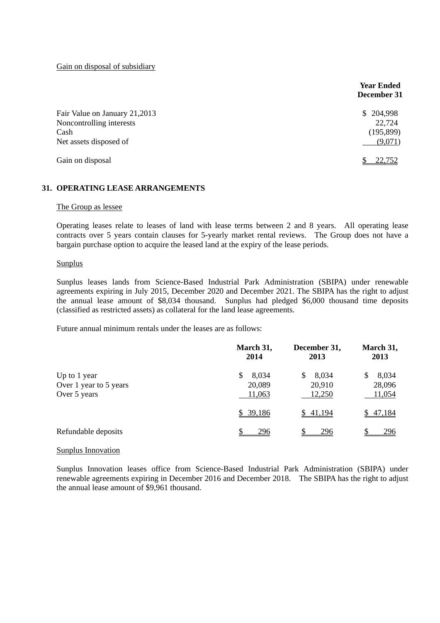Gain on disposal of subsidiary

|                                                                   | <b>Year Ended</b><br>December 31      |
|-------------------------------------------------------------------|---------------------------------------|
| Fair Value on January 21,2013<br>Noncontrolling interests<br>Cash | 204,998<br>S.<br>22,724<br>(195, 899) |
| Net assets disposed of                                            | (9,071)                               |
| Gain on disposal                                                  | 22,752                                |

## **31. OPERATING LEASE ARRANGEMENTS**

#### The Group as lessee

Operating leases relate to leases of land with lease terms between 2 and 8 years. All operating lease contracts over 5 years contain clauses for 5-yearly market rental reviews. The Group does not have a bargain purchase option to acquire the leased land at the expiry of the lease periods.

#### Sunplus

Sunplus leases lands from Science-Based Industrial Park Administration (SBIPA) under renewable agreements expiring in July 2015, December 2020 and December 2021. The SBIPA has the right to adjust the annual lease amount of \$8,034 thousand. Sunplus had pledged \$6,000 thousand time deposits (classified as restricted assets) as collateral for the land lease agreements.

Future annual minimum rentals under the leases are as follows:

|                                                        | March 31,<br>2014              | December 31,<br>2013             | March 31,<br>2013         |
|--------------------------------------------------------|--------------------------------|----------------------------------|---------------------------|
| Up to 1 year<br>Over 1 year to 5 years<br>Over 5 years | 8,034<br>S<br>20,089<br>11,063 | 8,034<br>\$.<br>20,910<br>12,250 | 8,034<br>28,096<br>11,054 |
|                                                        | \$39,186                       | \$41,194                         | 47,184                    |
| Refundable deposits                                    | 296                            | 296                              | 296                       |

#### Sunplus Innovation

Sunplus Innovation leases office from Science-Based Industrial Park Administration (SBIPA) under renewable agreements expiring in December 2016 and December 2018. The SBIPA has the right to adjust the annual lease amount of \$9,961 thousand.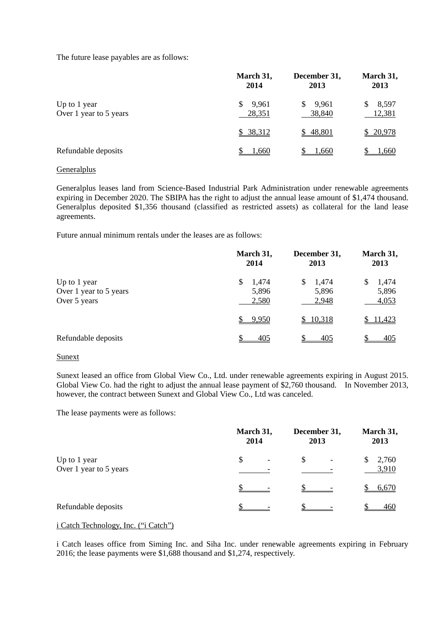The future lease payables are as follows:

|                                        | March 31,<br>2014    | December 31,<br>2013  | March 31,<br>2013    |
|----------------------------------------|----------------------|-----------------------|----------------------|
| Up to 1 year<br>Over 1 year to 5 years | 9,961<br>S<br>28,351 | 9,961<br>S.<br>38,840 | 8,597<br>S<br>12,381 |
|                                        | \$ 38,312            | \$48,801              | \$20,978             |
| Refundable deposits                    | <u>1,660</u>         | 1.660                 | 1,660                |

# Generalplus

Generalplus leases land from Science-Based Industrial Park Administration under renewable agreements expiring in December 2020. The SBIPA has the right to adjust the annual lease amount of \$1,474 thousand. Generalplus deposited \$1,356 thousand (classified as restricted assets) as collateral for the land lease agreements.

Future annual minimum rentals under the leases are as follows:

|                                                        | March 31,<br>2014            | December 31,<br>2013           | March 31,<br>2013            |
|--------------------------------------------------------|------------------------------|--------------------------------|------------------------------|
| Up to 1 year<br>Over 1 year to 5 years<br>Over 5 years | 1,474<br>S<br>5,896<br>2,580 | 1,474<br>\$.<br>5,896<br>2,948 | 1,474<br>S<br>5,896<br>4,053 |
|                                                        | 9,950                        | \$10,318                       | 11,423                       |
| Refundable deposits                                    | 405                          | 405                            | 405                          |

#### Sunext

Sunext leased an office from Global View Co., Ltd. under renewable agreements expiring in August 2015. Global View Co. had the right to adjust the annual lease payment of \$2,760 thousand. In November 2013, however, the contract between Sunext and Global View Co., Ltd was canceled.

The lease payments were as follows:

|                        | March 31,       | December 31,             | March 31, |
|------------------------|-----------------|--------------------------|-----------|
|                        | 2014            | 2013                     | 2013      |
| Up to 1 year           | \$              | \$                       | 2,760     |
| Over 1 year to 5 years | $\qquad \qquad$ | $\overline{\phantom{a}}$ | 3,910     |
|                        |                 |                          | 6,670     |
| Refundable deposits    |                 |                          | 460       |

### i Catch Technology, Inc. ("i Catch")

i Catch leases office from Siming Inc. and Siha Inc. under renewable agreements expiring in February 2016; the lease payments were \$1,688 thousand and \$1,274, respectively.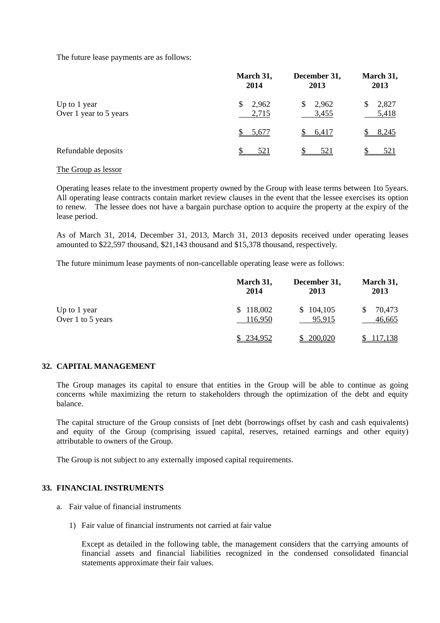The future lease payments are as follows:

|                                        | March 31,<br>2014     | December 31,<br>2013           | March 31,<br>2013 |
|----------------------------------------|-----------------------|--------------------------------|-------------------|
| Up to 1 year<br>Over 1 year to 5 years | 2,962<br>\$.<br>2,715 | 2,962<br><sup>S</sup><br>3,455 | 2,827<br>5,418    |
|                                        | 5,677                 | 6,417                          | 8,245             |
| Refundable deposits                    | 521                   | <u>521</u>                     | <u>521</u>        |

#### The Group as lessor

Operating leases relate to the investment property owned by the Group with lease terms between 1to 5years. All operating lease contracts contain market review clauses in the event that the lessee exercises its option to renew. The lessee does not have a bargain purchase option to acquire the property at the expiry of the lease period.

As of March 31, 2014, December 31, 2013, March 31, 2013 deposits received under operating leases amounted to \$22,597 thousand, \$21,143 thousand and \$15,378 thousand, respectively.

The future minimum lease payments of non-cancellable operating lease were as follows:

|                   | March 31, | December 31, | March 31, |
|-------------------|-----------|--------------|-----------|
|                   | 2014      | 2013         | 2013      |
| Up to 1 year      | \$118,002 | \$104,105    | 70,473    |
| Over 1 to 5 years | 116,950   | 95,915       | 46,665    |
|                   | \$234,952 | \$200,020    | 117,138   |

#### **32. CAPITAL MANAGEMENT**

The Group manages its capital to ensure that entities in the Group will be able to continue as going concerns while maximizing the return to stakeholders through the optimization of the debt and equity balance.

The capital structure of the Group consists of [net debt (borrowings offset by cash and cash equivalents) and equity of the Group (comprising issued capital, reserves, retained earnings and other equity) attributable to owners of the Group.

The Group is not subject to any externally imposed capital requirements.

### **33. FINANCIAL INSTRUMENTS**

- a. Fair value of financial instruments
	- 1) Fair value of financial instruments not carried at fair value

Except as detailed in the following table, the management considers that the carrying amounts of financial assets and financial liabilities recognized in the condensed consolidated financial statements approximate their fair values.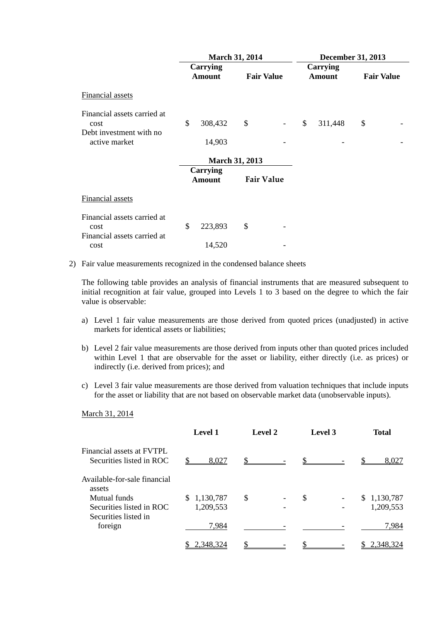|                                                                    |                                  | <b>March 31, 2014</b> |                              | <b>December 31, 2013</b>  |                   |  |
|--------------------------------------------------------------------|----------------------------------|-----------------------|------------------------------|---------------------------|-------------------|--|
|                                                                    | Carrying<br><b>Amount</b>        | <b>Fair Value</b>     |                              | Carrying<br><b>Amount</b> | <b>Fair Value</b> |  |
| Financial assets                                                   |                                  |                       |                              |                           |                   |  |
| Financial assets carried at<br>cost<br>Debt investment with no.    | \$<br>308,432                    | \$                    | $\qquad \qquad \blacksquare$ | \$<br>311,448             | \$                |  |
| active market                                                      | 14,903                           |                       |                              |                           |                   |  |
|                                                                    |                                  | <b>March 31, 2013</b> |                              |                           |                   |  |
|                                                                    | <b>Carrying</b><br><b>Amount</b> | <b>Fair Value</b>     |                              |                           |                   |  |
| Financial assets                                                   |                                  |                       |                              |                           |                   |  |
| Financial assets carried at<br>cost<br>Financial assets carried at | \$<br>223,893                    | \$                    |                              |                           |                   |  |
| cost                                                               | 14,520                           |                       |                              |                           |                   |  |

2) Fair value measurements recognized in the condensed balance sheets

The following table provides an analysis of financial instruments that are measured subsequent to initial recognition at fair value, grouped into Levels 1 to 3 based on the degree to which the fair value is observable:

- a) Level 1 fair value measurements are those derived from quoted prices (unadjusted) in active markets for identical assets or liabilities;
- b) Level 2 fair value measurements are those derived from inputs other than quoted prices included within Level 1 that are observable for the asset or liability, either directly (i.e. as prices) or indirectly (i.e. derived from prices); and
- c) Level 3 fair value measurements are those derived from valuation techniques that include inputs for the asset or liability that are not based on observable market data (unobservable inputs).

# March 31, 2014

|                                                       | Level 1     | <b>Level 2</b> | Level 3 | <b>Total</b> |
|-------------------------------------------------------|-------------|----------------|---------|--------------|
| Financial assets at FVTPL<br>Securities listed in ROC | 8,027       |                |         | 8,027        |
| Available-for-sale financial<br>assets                |             |                |         |              |
| Mutual funds                                          | \$1,130,787 | \$             | \$      | \$1,130,787  |
| Securities listed in ROC<br>Securities listed in      | 1,209,553   |                |         | 1,209,553    |
| foreign                                               | 7,984       |                |         | 7,984        |
|                                                       | 2,348,324   |                |         | 2,348,324    |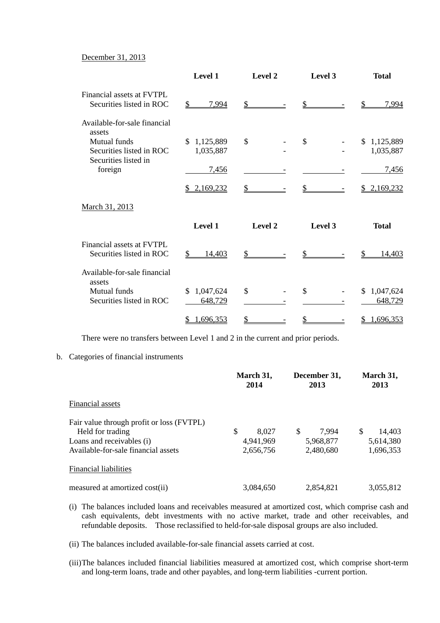## December 31, 2013

|                                                       | Level 1                     | Level 2 | Level 3 | <b>Total</b>               |
|-------------------------------------------------------|-----------------------------|---------|---------|----------------------------|
| Financial assets at FVTPL<br>Securities listed in ROC | \$<br>7,994                 | \$      | \$      | 7,994<br>\$                |
| Available-for-sale financial<br>assets                |                             |         |         |                            |
| Mutual funds<br>Securities listed in ROC              | \$1,125,889<br>1,035,887    | \$      | \$      | \$1,125,889<br>1,035,887   |
| Securities listed in<br>foreign                       | 7,456                       |         |         | 7,456                      |
|                                                       | 2,169,232<br>S.             |         |         | 2,169,232<br>S.            |
| March 31, 2013                                        |                             |         |         |                            |
|                                                       | Level 1                     | Level 2 | Level 3 | <b>Total</b>               |
| Financial assets at FVTPL<br>Securities listed in ROC | 14,403<br>S                 | \$      |         | 14,403                     |
| Available-for-sale financial<br>assets                |                             |         |         |                            |
| <b>Mutual</b> funds<br>Securities listed in ROC       | 1,047,624<br>\$.<br>648,729 | \$      | \$      | 1,047,624<br>\$<br>648,729 |
|                                                       | 1,696,353                   | \$      |         | 1,696,353<br>\$            |

There were no transfers between Level 1 and 2 in the current and prior periods.

#### b. Categories of financial instruments

|                                           | March 31,<br>2014 | December 31,<br>2013 | March 31,<br>2013 |
|-------------------------------------------|-------------------|----------------------|-------------------|
| Financial assets                          |                   |                      |                   |
| Fair value through profit or loss (FVTPL) |                   |                      |                   |
| Held for trading                          | \$<br>8,027       | \$<br>7.994          | \$<br>14,403      |
| Loans and receivables (i)                 | 4,941,969         | 5,968,877            | 5,614,380         |
| Available-for-sale financial assets       | 2,656,756         | 2,480,680            | 1,696,353         |
| Financial liabilities                     |                   |                      |                   |
| measured at amortized cost(ii)            | 3,084,650         | 2,854,821            | 3,055,812         |

- (i) The balances included loans and receivables measured at amortized cost, which comprise cash and cash equivalents, debt investments with no active market, trade and other receivables, and refundable deposits. Those reclassified to held-for-sale disposal groups are also included.
- (ii) The balances included available-for-sale financial assets carried at cost.
- (iii) The balances included financial liabilities measured at amortized cost, which comprise short-term and long-term loans, trade and other payables, and long-term liabilities -current portion.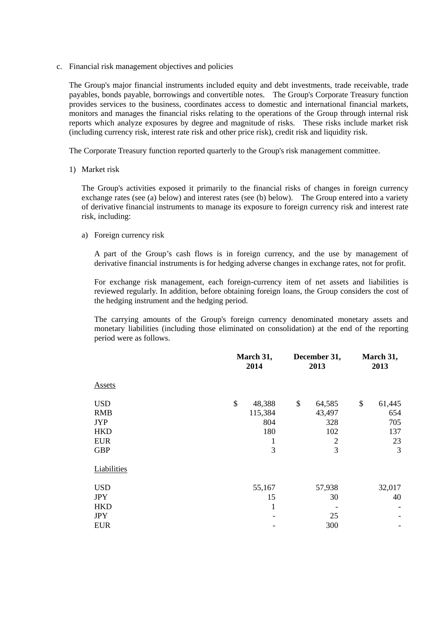c. Financial risk management objectives and policies

The Group's major financial instruments included equity and debt investments, trade receivable, trade payables, bonds payable, borrowings and convertible notes. The Group's Corporate Treasury function provides services to the business, coordinates access to domestic and international financial markets, monitors and manages the financial risks relating to the operations of the Group through internal risk reports which analyze exposures by degree and magnitude of risks. These risks include market risk (including currency risk, interest rate risk and other price risk), credit risk and liquidity risk.

The Corporate Treasury function reported quarterly to the Group's risk management committee.

1) Market risk

The Group's activities exposed it primarily to the financial risks of changes in foreign currency exchange rates (see (a) below) and interest rates (see (b) below). The Group entered into a variety of derivative financial instruments to manage its exposure to foreign currency risk and interest rate risk, including:

a) Foreign currency risk

A part of the Group's cash flows is in foreign currency, and the use by management of derivative financial instruments is for hedging adverse changes in exchange rates, not for profit.

For exchange risk management, each foreign-currency item of net assets and liabilities is reviewed regularly. In addition, before obtaining foreign loans, the Group considers the cost of the hedging instrument and the hedging period.

The carrying amounts of the Group's foreign currency denominated monetary assets and monetary liabilities (including those eliminated on consolidation) at the end of the reporting period were as follows.

| March 31,<br>2014 | December 31,<br>2013 | March 31,<br>2013 |  |
|-------------------|----------------------|-------------------|--|
|                   |                      |                   |  |
| 48,388            | \$<br>64,585         | \$<br>61,445      |  |
| 115,384           | 43,497               | 654               |  |
| 804               | 328                  | 705               |  |
| 180               | 102                  | 137               |  |
| $\bf{l}$          | $\overline{2}$       | 23                |  |
| 3                 | 3                    | 3                 |  |
|                   |                      |                   |  |
| 55,167            | 57,938               | 32,017            |  |
| 15                | 30                   | 40                |  |
| 1                 |                      |                   |  |
|                   | 25                   |                   |  |
|                   | 300                  |                   |  |
|                   | \$                   |                   |  |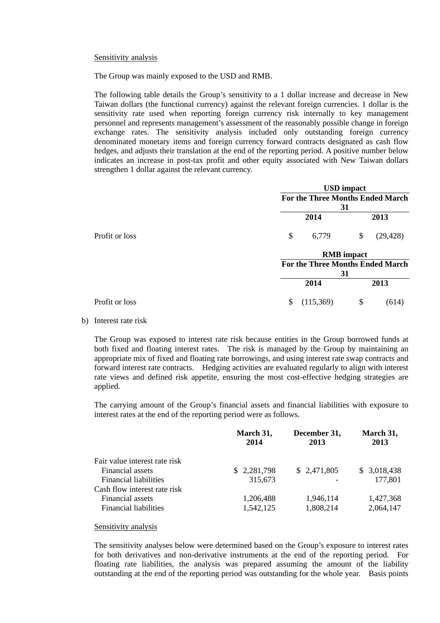#### Sensitivity analysis

The Group was mainly exposed to the USD and RMB.

The following table details the Group's sensitivity to a 1 dollar increase and decrease in New Taiwan dollars (the functional currency) against the relevant foreign currencies. 1 dollar is the sensitivity rate used when reporting foreign currency risk internally to key management personnel and represents management's assessment of the reasonably possible change in foreign exchange rates. The sensitivity analysis included only outstanding foreign currency denominated monetary items and foreign currency forward contracts designated as cash flow hedges, and adjusts their translation at the end of the reporting period. A positive number below indicates an increase in post-tax profit and other equity associated with New Taiwan dollars strengthen 1 dollar against the relevant currency.

|                |    | <b>USD</b> impact                       |                   |           |  |
|----------------|----|-----------------------------------------|-------------------|-----------|--|
|                |    | For the Three Months Ended March<br>31  |                   |           |  |
|                |    |                                         |                   |           |  |
|                |    | 2014                                    |                   | 2013      |  |
| Profit or loss | \$ | 6,779                                   | \$                | (29, 428) |  |
|                |    |                                         | <b>RMB</b> impact |           |  |
|                |    | <b>For the Three Months Ended March</b> |                   |           |  |
|                |    | 31                                      |                   |           |  |
|                |    | 2014                                    |                   | 2013      |  |
| Profit or loss | \$ | (115,369)                               | \$                | (614)     |  |

### b) Interest rate risk

The Group was exposed to interest rate risk because entities in the Group borrowed funds at both fixed and floating interest rates. The risk is managed by the Group by maintaining an appropriate mix of fixed and floating rate borrowings, and using interest rate swap contracts and forward interest rate contracts. Hedging activities are evaluated regularly to align with interest rate views and defined risk appetite, ensuring the most cost-effective hedging strategies are applied.

The carrying amount of the Group's financial assets and financial liabilities with exposure to interest rates at the end of the reporting period were as follows.

|                               | March 31,<br>2014 | December 31,<br>2013 | March 31,<br>2013 |
|-------------------------------|-------------------|----------------------|-------------------|
| Fair value interest rate risk |                   |                      |                   |
| Financial assets              | \$2,281,798       | \$2,471,805          | \$3,018,438       |
| <b>Financial liabilities</b>  | 315,673           |                      | 177,801           |
| Cash flow interest rate risk  |                   |                      |                   |
| Financial assets              | 1,206,488         | 1,946,114            | 1,427,368         |
| <b>Financial liabilities</b>  | 1,542,125         | 1,808,214            | 2,064,147         |

#### Sensitivity analysis

The sensitivity analyses below were determined based on the Group's exposure to interest rates for both derivatives and non-derivative instruments at the end of the reporting period. For floating rate liabilities, the analysis was prepared assuming the amount of the liability outstanding at the end of the reporting period was outstanding for the whole year. Basis points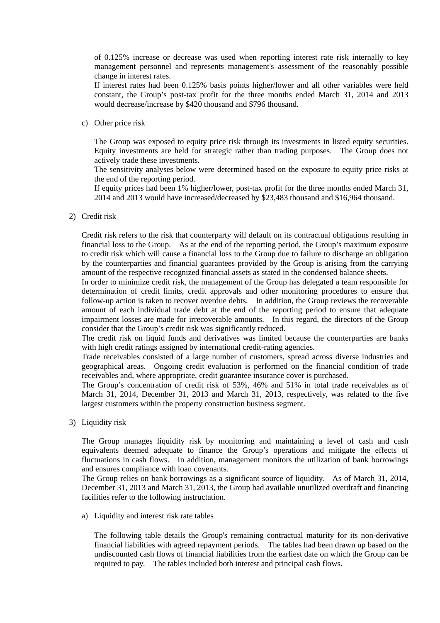of 0.125% increase or decrease was used when reporting interest rate risk internally to key management personnel and represents management's assessment of the reasonably possible change in interest rates.

If interest rates had been 0.125% basis points higher/lower and all other variables were held constant, the Group's post-tax profit for the three months ended March 31, 2014 and 2013 would decrease/increase by \$420 thousand and \$796 thousand.

c) Other price risk

The Group was exposed to equity price risk through its investments in listed equity securities. Equity investments are held for strategic rather than trading purposes. The Group does not actively trade these investments.

The sensitivity analyses below were determined based on the exposure to equity price risks at the end of the reporting period.

If equity prices had been 1% higher/lower, post-tax profit for the three months ended March 31, 2014 and 2013 would have increased/decreased by \$23,483 thousand and \$16,964 thousand.

2) Credit risk

Credit risk refers to the risk that counterparty will default on its contractual obligations resulting in financial loss to the Group. As at the end of the reporting period, the Group's maximum exposure to credit risk which will cause a financial loss to the Group due to failure to discharge an obligation by the counterparties and financial guarantees provided by the Group is arising from the carrying amount of the respective recognized financial assets as stated in the condensed balance sheets.

In order to minimize credit risk, the management of the Group has delegated a team responsible for determination of credit limits, credit approvals and other monitoring procedures to ensure that follow-up action is taken to recover overdue debts. In addition, the Group reviews the recoverable amount of each individual trade debt at the end of the reporting period to ensure that adequate impairment losses are made for irrecoverable amounts. In this regard, the directors of the Group consider that the Group's credit risk was significantly reduced.

The credit risk on liquid funds and derivatives was limited because the counterparties are banks with high credit ratings assigned by international credit-rating agencies.

Trade receivables consisted of a large number of customers, spread across diverse industries and geographical areas. Ongoing credit evaluation is performed on the financial condition of trade receivables and, where appropriate, credit guarantee insurance cover is purchased.

The Group's concentration of credit risk of 53%, 46% and 51% in total trade receivables as of March 31, 2014, December 31, 2013 and March 31, 2013, respectively, was related to the five largest customers within the property construction business segment.

3) Liquidity risk

The Group manages liquidity risk by monitoring and maintaining a level of cash and cash equivalents deemed adequate to finance the Group's operations and mitigate the effects of fluctuations in cash flows. In addition, management monitors the utilization of bank borrowings and ensures compliance with loan covenants.

The Group relies on bank borrowings as a significant source of liquidity. As of March 31, 2014, December 31, 2013 and March 31, 2013, the Group had available unutilized overdraft and financing facilities refer to the following instructation.

a) Liquidity and interest risk rate tables

The following table details the Group's remaining contractual maturity for its non-derivative financial liabilities with agreed repayment periods. The tables had been drawn up based on the undiscounted cash flows of financial liabilities from the earliest date on which the Group can be required to pay. The tables included both interest and principal cash flows.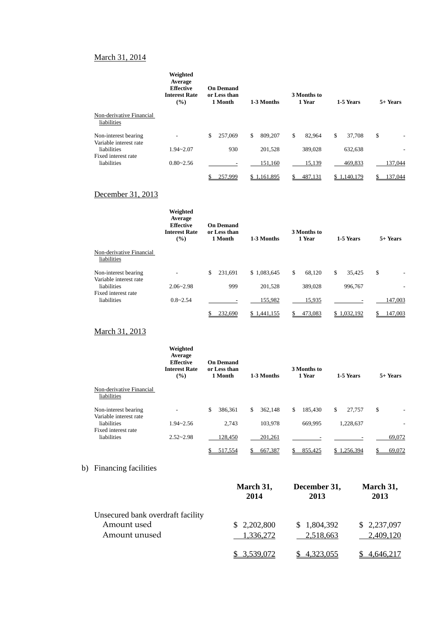# March 31, 2014

|                                                | Weighted<br>Average<br><b>Effective</b><br><b>On Demand</b><br><b>Interest Rate</b><br>or Less than<br>(%)<br>1 Month |   | 3 Months to<br>1 Year<br>1-3 Months |    | 1-5 Years   |              | 5+ Years |             |    |         |
|------------------------------------------------|-----------------------------------------------------------------------------------------------------------------------|---|-------------------------------------|----|-------------|--------------|----------|-------------|----|---------|
| Non-derivative Financial<br>liabilities        |                                                                                                                       |   |                                     |    |             |              |          |             |    |         |
| Non-interest bearing<br>Variable interest rate |                                                                                                                       | S | 257,069                             | \$ | 809,207     | \$<br>82,964 | \$       | 37,708      | \$ |         |
| liabilities                                    | $1.94 - 2.07$                                                                                                         |   | 930                                 |    | 201,528     | 389,028      |          | 632,638     |    |         |
| Fixed interest rate<br>liabilities             | $0.80 - 2.56$                                                                                                         |   |                                     |    | 151,160     | 15,139       |          | 469,833     |    | 137,044 |
|                                                |                                                                                                                       |   | 257,999                             |    | \$1,161,895 | 487,131      |          | \$1.140.179 |    | 137.044 |

# December 31, 2013

|                                                | Weighted<br>Average<br><b>Effective</b><br><b>Interest Rate</b><br>(%) | <b>On Demand</b><br>or Less than<br>1 Month |                 | 3 Months to<br>1 Year<br>1-3 Months |              | 5+ Years |  |
|------------------------------------------------|------------------------------------------------------------------------|---------------------------------------------|-----------------|-------------------------------------|--------------|----------|--|
| Non-derivative Financial<br>liabilities        |                                                                        |                                             |                 |                                     |              |          |  |
| Non-interest bearing<br>Variable interest rate |                                                                        | \$<br>231,691                               | \$1,083,645     | \$<br>68,120                        | \$<br>35,425 | \$       |  |
| liabilities                                    | $2.06 - 2.98$                                                          | 999                                         | 201.528         | 389,028                             | 996,767      |          |  |
| Fixed interest rate<br>liabilities             | $0.8 - 2.54$                                                           |                                             | 155,982         | 15,935                              |              | 147,003  |  |
|                                                |                                                                        | 232.690                                     | 1,441,155<br>S. | 473,083                             | \$1.032,192  | 147,003  |  |

# March 31, 2013

|                                                | Weighted<br>Average<br><b>Effective</b><br><b>On Demand</b><br><b>Interest Rate</b><br>or Less than<br>(%)<br>1 Month |               | 3 Months to<br>1 Year<br>1-3 Months |               | 1-5 Years    | 5+ Years |  |
|------------------------------------------------|-----------------------------------------------------------------------------------------------------------------------|---------------|-------------------------------------|---------------|--------------|----------|--|
| Non-derivative Financial<br>liabilities        |                                                                                                                       |               |                                     |               |              |          |  |
| Non-interest bearing<br>Variable interest rate |                                                                                                                       | \$<br>386.361 | \$<br>362.148                       | 185.430<br>\$ | \$<br>27,757 | \$<br>۰  |  |
| liabilities<br>Fixed interest rate             | $1.94 - 2.56$                                                                                                         | 2.743         | 103.978                             | 669.995       | 1,228,637    | ۰        |  |
| liabilities                                    | $2.52 - 2.98$                                                                                                         | 128,450       | 201,261                             |               |              | 69,072   |  |
|                                                |                                                                                                                       | 517.554       | 667.387                             | 855.425       | \$1.256.394  | 69,072   |  |

# b) Financing facilities

|                                   | March 31,<br>2014 | December 31,<br>2013 | March 31,<br>2013 |
|-----------------------------------|-------------------|----------------------|-------------------|
| Unsecured bank overdraft facility |                   |                      |                   |
| Amount used                       | \$2,202,800       | \$1,804,392          | \$2,237,097       |
| Amount unused                     | 1,336,272         | 2,518,663            | 2,409,120         |
|                                   | 3.539.072         | 4.323,055            |                   |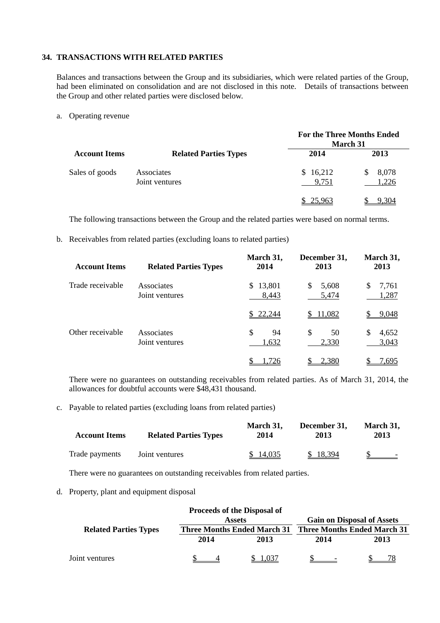# **34. TRANSACTIONS WITH RELATED PARTIES**

Balances and transactions between the Group and its subsidiaries, which were related parties of the Group, had been eliminated on consolidation and are not disclosed in this note. Details of transactions between the Group and other related parties were disclosed below.

a. Operating revenue

|                      |                              | <b>For the Three Months Ended</b><br><b>March 31</b> |                |  |  |  |
|----------------------|------------------------------|------------------------------------------------------|----------------|--|--|--|
| <b>Account Items</b> | <b>Related Parties Types</b> | 2014                                                 | 2013           |  |  |  |
| Sales of goods       | Associates<br>Joint ventures | \$16,212<br>9,751                                    | 8,078<br>1,226 |  |  |  |
|                      |                              | \$25,963                                             |                |  |  |  |

The following transactions between the Group and the related parties were based on normal terms.

b. Receivables from related parties (excluding loans to related parties)

| <b>Account Items</b> | <b>Related Parties Types</b> | March 31,<br>2014     | December 31,<br>2013  | March 31,<br>2013   |
|----------------------|------------------------------|-----------------------|-----------------------|---------------------|
| Trade receivable     | Associates<br>Joint ventures | 13,801<br>S.<br>8,443 | 5,608<br>\$.<br>5,474 | 7,761<br>S<br>1,287 |
|                      |                              | 22,244                | 11,082                | <u>9,048</u>        |
| Other receivable     | Associates<br>Joint ventures | \$<br>94<br>1,632     | \$<br>50<br>2,330     | S<br>4,652<br>3,043 |
|                      |                              | .726                  | 2,380                 | 7,695               |

There were no guarantees on outstanding receivables from related parties. As of March 31, 2014, the allowances for doubtful accounts were \$48,431 thousand.

c. Payable to related parties (excluding loans from related parties)

| <b>Account Items</b> | <b>Related Parties Types</b> | March 31.<br>2014 | December 31.<br>2013 | March 31,<br>2013 |
|----------------------|------------------------------|-------------------|----------------------|-------------------|
| Trade payments       | Joint ventures               | \$14,035          | \$ 18,394            |                   |

There were no guarantees on outstanding receivables from related parties.

d. Property, plant and equipment disposal

|                              |      | <b>Proceeds of the Disposal of</b> |                                                                         |      |  |  |
|------------------------------|------|------------------------------------|-------------------------------------------------------------------------|------|--|--|
|                              |      | <b>Assets</b>                      | <b>Gain on Disposal of Assets</b><br><b>Three Months Ended March 31</b> |      |  |  |
| <b>Related Parties Types</b> |      | <b>Three Months Ended March 31</b> |                                                                         |      |  |  |
|                              | 2014 | 2013                               | 2014                                                                    | 2013 |  |  |
| Joint ventures               |      | L.037                              |                                                                         |      |  |  |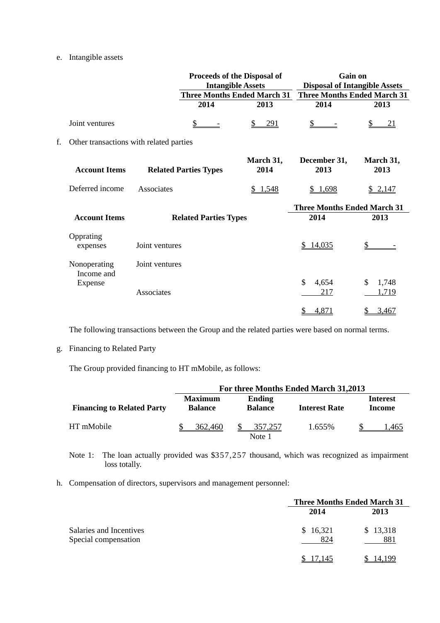# e. Intangible assets

|    |                                         |                | Proceeds of the Disposal of<br><b>Intangible Assets</b> |                   | Gain on<br><b>Disposal of Intangible Assets</b> |                      |
|----|-----------------------------------------|----------------|---------------------------------------------------------|-------------------|-------------------------------------------------|----------------------|
|    |                                         |                | <b>Three Months Ended March 31</b>                      |                   | <b>Three Months Ended March 31</b>              |                      |
|    |                                         |                | 2014                                                    | 2013              | 2014                                            | 2013                 |
|    | Joint ventures                          |                | $\frac{1}{2}$                                           | <u>291</u>        | $\mathbf{\underline{\$}}$                       | \$<br><u>21</u>      |
| f. | Other transactions with related parties |                |                                                         |                   |                                                 |                      |
|    | <b>Account Items</b>                    |                | <b>Related Parties Types</b>                            | March 31,<br>2014 | December 31,<br>2013                            | March 31,<br>2013    |
|    | Deferred income                         | Associates     |                                                         | \$1,548           | \$1,698                                         | \$2,147              |
|    |                                         |                |                                                         |                   | <b>Three Months Ended March 31</b>              |                      |
|    | <b>Account Items</b>                    |                | <b>Related Parties Types</b>                            |                   | 2014                                            | 2013                 |
|    | Opprating<br>expenses                   | Joint ventures |                                                         |                   | \$14,035                                        | \$                   |
|    | Nonoperating<br>Income and              | Joint ventures |                                                         |                   |                                                 |                      |
|    | Expense                                 | Associates     |                                                         |                   | $\mathcal{S}$<br>4,654<br>217                   | \$<br>1,748<br>1,719 |
|    |                                         |                |                                                         |                   | 4,871<br>$\frac{1}{2}$                          | 3,467<br>\$          |

The following transactions between the Group and the related parties were based on normal terms.

g. Financing to Related Party

The Group provided financing to HT mMobile, as follows:

|                                   | For three Months Ended March 31,2013                                |                   |                      |                           |  |  |  |
|-----------------------------------|---------------------------------------------------------------------|-------------------|----------------------|---------------------------|--|--|--|
| <b>Financing to Related Party</b> | <b>Maximum</b><br><b>Ending</b><br><b>Balance</b><br><b>Balance</b> |                   | <b>Interest Rate</b> | <b>Interest</b><br>Income |  |  |  |
| HT mMobile                        | 362,460                                                             | 357,257<br>Note 1 | 1.655%               | .465                      |  |  |  |

Note 1: The loan actually provided was \$357,257 thousand, which was recognized as impairment loss totally.

h. Compensation of directors, supervisors and management personnel:

|                                                 | <b>Three Months Ended March 31</b> |                 |  |  |  |
|-------------------------------------------------|------------------------------------|-----------------|--|--|--|
| Salaries and Incentives<br>Special compensation | 2014                               | 2013            |  |  |  |
|                                                 | \$16,321<br>824                    | \$13,318<br>881 |  |  |  |
|                                                 |                                    |                 |  |  |  |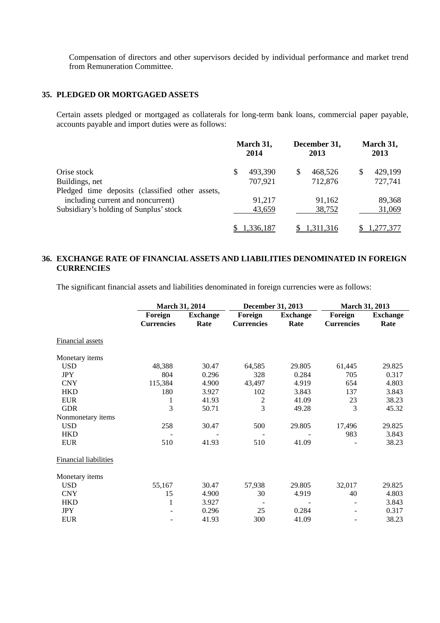Compensation of directors and other supervisors decided by individual performance and market trend from Remuneration Committee.

# **35. PLEDGED OR MORTGAGED ASSETS**

Certain assets pledged or mortgaged as collaterals for long-term bank loans, commercial paper payable, accounts payable and import duties were as follows:

| Orise stock                                     |  | March 31,<br>2014 |    | December 31,<br>2013 |    | March 31,<br>2013 |  |
|-------------------------------------------------|--|-------------------|----|----------------------|----|-------------------|--|
|                                                 |  | 493,390           | \$ | 468,526              | \$ | 429,199           |  |
| Buildings, net                                  |  | 707,921           |    | 712,876              |    | 727,741           |  |
| Pledged time deposits (classified other assets, |  |                   |    |                      |    |                   |  |
| including current and noncurrent)               |  | 91,217            |    | 91,162               |    | 89,368            |  |
| Subsidiary's holding of Sunplus' stock          |  | 43,659            |    | 38,752               |    | 31,069            |  |
|                                                 |  | 1,336,187         |    | 1,311,316            |    | 1,277,377         |  |

# **36. EXCHANGE RATE OF FINANCIAL ASSETS AND LIABILITIES DENOMINATED IN FOREIGN CURRENCIES**

The significant financial assets and liabilities denominated in foreign currencies were as follows:

|                              | <b>March 31, 2014</b> |                 | December 31, 2013 |                 | <b>March 31, 2013</b> |                 |  |  |
|------------------------------|-----------------------|-----------------|-------------------|-----------------|-----------------------|-----------------|--|--|
|                              | Foreign               | <b>Exchange</b> | Foreign           | <b>Exchange</b> | Foreign               | <b>Exchange</b> |  |  |
|                              | <b>Currencies</b>     | Rate            | <b>Currencies</b> | Rate            | <b>Currencies</b>     | Rate            |  |  |
| <b>Financial assets</b>      |                       |                 |                   |                 |                       |                 |  |  |
| Monetary items               |                       |                 |                   |                 |                       |                 |  |  |
| <b>USD</b>                   | 48,388                | 30.47           | 64,585            | 29.805          | 61,445                | 29.825          |  |  |
| <b>JPY</b>                   | 804                   | 0.296           | 328               | 0.284           | 705                   | 0.317           |  |  |
| <b>CNY</b>                   | 115,384               | 4.900           | 43,497            | 4.919           | 654                   | 4.803           |  |  |
| <b>HKD</b>                   | 180                   | 3.927           | 102               | 3.843           | 137                   | 3.843           |  |  |
| <b>EUR</b>                   | 1                     | 41.93           | $\overline{2}$    | 41.09           | 23                    | 38.23           |  |  |
| <b>GDR</b>                   | 3                     | 50.71           | 3                 | 49.28           | 3                     | 45.32           |  |  |
| Nonmonetary items            |                       |                 |                   |                 |                       |                 |  |  |
| <b>USD</b>                   | 258                   | 30.47           | 500               | 29.805          | 17,496                | 29.825          |  |  |
| <b>HKD</b>                   |                       |                 |                   |                 | 983                   | 3.843           |  |  |
| <b>EUR</b>                   | 510                   | 41.93           | 510               | 41.09           |                       | 38.23           |  |  |
| <b>Financial liabilities</b> |                       |                 |                   |                 |                       |                 |  |  |
| Monetary items               |                       |                 |                   |                 |                       |                 |  |  |
| <b>USD</b>                   | 55,167                | 30.47           | 57,938            | 29.805          | 32,017                | 29.825          |  |  |
| <b>CNY</b>                   | 15                    | 4.900           | 30                | 4.919           | 40                    | 4.803           |  |  |
| <b>HKD</b>                   | 1                     | 3.927           |                   |                 |                       | 3.843           |  |  |
| <b>JPY</b>                   |                       | 0.296           | 25                | 0.284           |                       | 0.317           |  |  |
| <b>EUR</b>                   |                       | 41.93           | 300               | 41.09           |                       | 38.23           |  |  |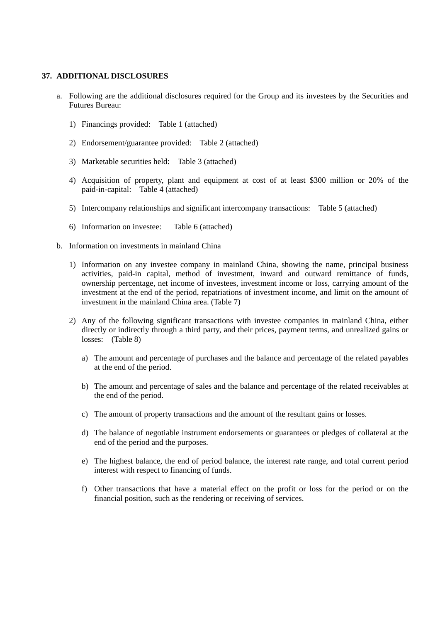#### **37. ADDITIONAL DISCLOSURES**

- a. Following are the additional disclosures required for the Group and its investees by the Securities and Futures Bureau:
	- 1) Financings provided: Table 1 (attached)
	- 2) Endorsement/guarantee provided: Table 2 (attached)
	- 3) Marketable securities held: Table 3 (attached)
	- 4) Acquisition of property, plant and equipment at cost of at least \$300 million or 20% of the paid-in-capital: Table 4 (attached)
	- 5) Intercompany relationships and significant intercompany transactions: Table 5 (attached)
	- 6) Information on investee: Table 6 (attached)
- b. Information on investments in mainland China
	- 1) Information on any investee company in mainland China, showing the name, principal business activities, paid-in capital, method of investment, inward and outward remittance of funds, ownership percentage, net income of investees, investment income or loss, carrying amount of the investment at the end of the period, repatriations of investment income, and limit on the amount of investment in the mainland China area. (Table 7)
	- 2) Any of the following significant transactions with investee companies in mainland China, either directly or indirectly through a third party, and their prices, payment terms, and unrealized gains or losses: (Table 8)
		- a) The amount and percentage of purchases and the balance and percentage of the related payables at the end of the period.
		- b) The amount and percentage of sales and the balance and percentage of the related receivables at the end of the period.
		- c) The amount of property transactions and the amount of the resultant gains or losses.
		- d) The balance of negotiable instrument endorsements or guarantees or pledges of collateral at the end of the period and the purposes.
		- e) The highest balance, the end of period balance, the interest rate range, and total current period interest with respect to financing of funds.
		- f) Other transactions that have a material effect on the profit or loss for the period or on the financial position, such as the rendering or receiving of services.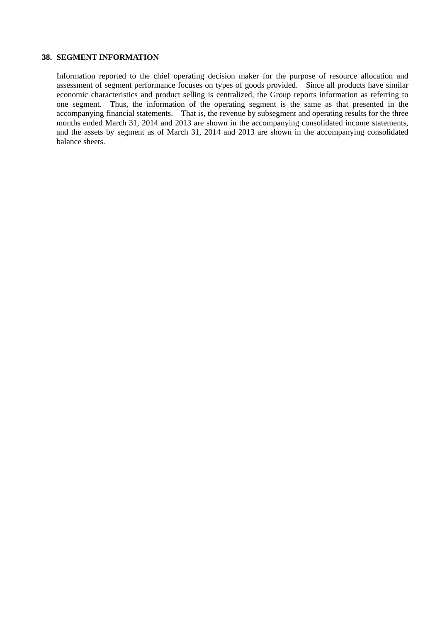# **38. SEGMENT INFORMATION**

Information reported to the chief operating decision maker for the purpose of resource allocation and assessment of segment performance focuses on types of goods provided. Since all products have similar economic characteristics and product selling is centralized, the Group reports information as referring to one segment. Thus, the information of the operating segment is the same as that presented in the accompanying financial statements. That is, the revenue by subsegment and operating results for the three months ended March 31, 2014 and 2013 are shown in the accompanying consolidated income statements, and the assets by segment as of March 31, 2014 and 2013 are shown in the accompanying consolidated balance sheets.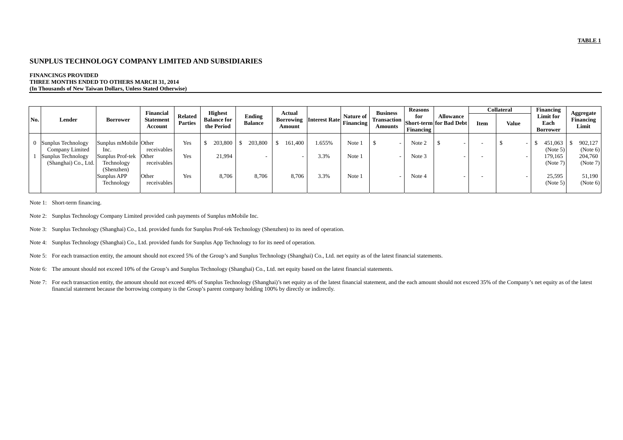#### **SUNPLUS TECHNOLOGY COMPANY LIMITED AND SUBSIDIARIES**

#### **FINANCINGS PROVIDED THREE MONTHS ENDED TO OTHERS MARCH 31, 2014 (In Thousands of New Taiwan Dollars, Unless Stated Otherwise)**

|     |                      |                       | Financial                   |                                  | <b>Highest</b>                   |                          | Actual                                               |        |           | <b>Business</b> | <b>Reasons</b>          |                                                               |      | <b>Collateral</b> | Financing                            |                                 |
|-----|----------------------|-----------------------|-----------------------------|----------------------------------|----------------------------------|--------------------------|------------------------------------------------------|--------|-----------|-----------------|-------------------------|---------------------------------------------------------------|------|-------------------|--------------------------------------|---------------------------------|
| No. | Lender               | Borrower              | <b>Statement</b><br>Account | <b>Related</b><br><b>Parties</b> | <b>Balance for</b><br>the Period | Ending<br><b>Balance</b> | Borrowing   Interest Rate   Financing   IT<br>Amount |        | Nature of | Amounts         | for<br><b>Financing</b> | <b>Allowance</b><br>  Transaction   Short-term   for Bad Debt | Item | Value             | Limit for<br>Each<br><b>Borrower</b> | Aggregate<br>Financing<br>Limit |
|     |                      |                       |                             |                                  |                                  |                          |                                                      |        |           |                 |                         |                                                               |      |                   |                                      |                                 |
|     | Sunplus Technology   | Sunplus mMobile Other |                             | Yes                              | 203,800                          | 203,800                  | 161,400                                              | 1.655% | Note 1    |                 | Note 2                  |                                                               |      |                   | 451,063                              | 902,127                         |
|     | Company Limited      | Inc.                  | receivables                 |                                  |                                  |                          |                                                      |        |           |                 |                         |                                                               |      |                   | (Note 5)                             | (Note 6)                        |
|     | Sunplus Technology   | Sunplus Prof-tek      | Other                       | Yes                              | 21.994                           |                          |                                                      | 3.3%   | Note 1    |                 | Note 3                  |                                                               |      |                   | 179,165                              | 204,760                         |
|     | (Shanghai) Co., Ltd. | Technology            | receivables                 |                                  |                                  |                          |                                                      |        |           |                 |                         |                                                               |      |                   | (Note 7)                             | (Note 7)                        |
|     |                      | (Shenzhen)            |                             |                                  |                                  |                          |                                                      |        |           |                 |                         |                                                               |      |                   |                                      |                                 |
|     |                      | Sunplus APP           | Other                       | Yes                              | 8,706                            | 8,706                    | 8,706                                                | 3.3%   | Note 1    |                 | Note 4                  |                                                               |      |                   | 25,595                               | 51,190                          |
|     |                      | Technology            | receivables                 |                                  |                                  |                          |                                                      |        |           |                 |                         |                                                               |      |                   | (Note 5)                             | (Note 6)                        |
|     |                      |                       |                             |                                  |                                  |                          |                                                      |        |           |                 |                         |                                                               |      |                   |                                      |                                 |

Note 1: Short-term financing.

- Note 2: Sunplus Technology Company Limited provided cash payments of Sunplus mMobile Inc.
- Note 3: Sunplus Technology (Shanghai) Co., Ltd. provided funds for Sunplus Prof-tek Technology (Shenzhen) to its need of operation.
- Note 4: Sunplus Technology (Shanghai) Co., Ltd. provided funds for Sunplus App Technology to for its need of operation.
- Note 5: For each transaction entity, the amount should not exceed 5% of the Group's and Sunplus Technology (Shanghai) Co., Ltd. net equity as of the latest financial statements.
- Note 6: The amount should not exceed 10% of the Group's and Sunplus Technology (Shanghai) Co., Ltd. net equity based on the latest financial statements.
- Note 7: For each transaction entity, the amount should not exceed 40% of Sunplus Technology (Shanghai)'s net equity as of the latest financial statement, and the each amount should not exceed 35% of the Company's net equit financial statement because the borrowing company is the Group's parent company holding 100% by directly or indirectly.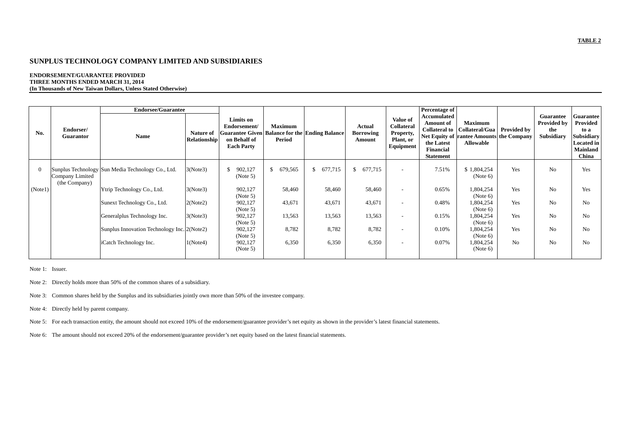#### **SUNPLUS TECHNOLOGY COMPANY LIMITED AND SUBSIDIARIES**

#### **ENDORSEMENT/GUARANTEE PROVIDED THREE MONTHS ENDED MARCH 31, 2014 (In Thousands of New Taiwan Dollars, Unless Stated Otherwise)**

|                |                                  | <b>Endorsee/Guarantee</b>                         |                                  |                                                                |                          |                                                       |                                      |                                                               | Percentage of                                                                                          |                                                                                                  |                    |                                                      |                                                                                                     |
|----------------|----------------------------------|---------------------------------------------------|----------------------------------|----------------------------------------------------------------|--------------------------|-------------------------------------------------------|--------------------------------------|---------------------------------------------------------------|--------------------------------------------------------------------------------------------------------|--------------------------------------------------------------------------------------------------|--------------------|------------------------------------------------------|-----------------------------------------------------------------------------------------------------|
| No.            | Endorser/<br><b>Guarantor</b>    | Name                                              | Nature of<br><b>Relationship</b> | Limits on<br>Endorsement/<br>on Behalf of<br><b>Each Party</b> | <b>Maximum</b><br>Period | <b>Guarantee Given Balance for the Ending Balance</b> | Actual<br><b>Borrowing</b><br>Amount | Value of<br>Collateral<br>Property,<br>Plant, or<br>Equipment | Accumulated<br><b>Amount of</b><br><b>Collateral to</b><br>the Latest<br>Financial<br><b>Statement</b> | <b>Maximum</b><br>Collateral/Gua<br>Net Equity of rantee Amounts the Company<br><b>Allowable</b> | <b>Provided by</b> | Guarantee<br><b>Provided by</b><br>the<br>Subsidiary | <b>Guarantee</b><br>Provided<br>to a<br><b>Subsidiary</b><br><b>Located in</b><br>Mainland<br>China |
| $\overline{0}$ | Company Limited<br>(the Company) | Sunplus Technology Sun Media Technology Co., Ltd. | 3(Note3)                         | 902,127<br>$\mathbb{S}$<br>(Note 5)                            | \$ 679,565               | \$677,715                                             | \$677,715                            |                                                               | 7.51%                                                                                                  | \$1,804,254<br>(Note 6)                                                                          | Yes                | N <sub>0</sub>                                       | Yes                                                                                                 |
| (Note1)        |                                  | Ytrip Technology Co., Ltd.                        | 3(Note3)                         | 902,127<br>(Note 5)                                            | 58,460                   | 58,460                                                | 58,460                               |                                                               | 0.65%                                                                                                  | 1,804,254<br>(Note 6)                                                                            | Yes                | N <sub>0</sub>                                       | Yes                                                                                                 |
|                |                                  | Sunext Technology Co., Ltd.                       | 2(Note2)                         | 902,127<br>(Note 5)                                            | 43,671                   | 43,671                                                | 43,671                               |                                                               | 0.48%                                                                                                  | 1,804,254<br>(Note 6)                                                                            | Yes                | N <sub>0</sub>                                       | N <sub>o</sub>                                                                                      |
|                |                                  | Generalplus Technology Inc.                       | 3(Note3)                         | 902,127<br>(Note 5)                                            | 13,563                   | 13,563                                                | 13,563                               |                                                               | 0.15%                                                                                                  | 1,804,254<br>(Note 6)                                                                            | <b>Yes</b>         | N <sub>0</sub>                                       | N <sub>0</sub>                                                                                      |
|                |                                  | Sunplus Innovation Technology Inc. 2(Note2)       |                                  | 902,127<br>(Note 5)                                            | 8,782                    | 8,782                                                 | 8,782                                |                                                               | 0.10%                                                                                                  | 1,804,254<br>(Note 6)                                                                            | Yes                | N <sub>0</sub>                                       | N <sub>o</sub>                                                                                      |
|                |                                  | iCatch Technology Inc.                            | 1(Note4)                         | 902,127<br>(Note 5)                                            | 6,350                    | 6,350                                                 | 6,350                                |                                                               | 0.07%                                                                                                  | 1,804,254<br>(Note 6)                                                                            | N <sub>0</sub>     | N <sub>0</sub>                                       | N <sub>o</sub>                                                                                      |

Note 1: Issuer.

Note 2: Directly holds more than 50% of the common shares of a subsidiary.

Note 3: Common shares held by the Sunplus and its subsidiaries jointly own more than 50% of the investee company.

Note 4: Directly held by parent company.

Note 5: For each transaction entity, the amount should not exceed 10% of the endorsement/guarantee provider's net equity as shown in the provider's latest financial statements.

Note 6: The amount should not exceed 20% of the endorsement/guarantee provider's net equity based on the latest financial statements.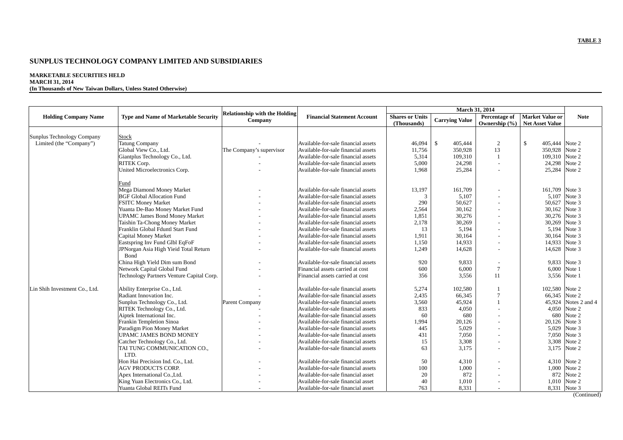#### **SUNPLUS TECHNOLOGY COMPANY LIMITED AND SUBSIDIARIES**

#### **MARKETABLE SECURITIES HELD MARCH 31, 2014**

**(In Thousands of New Taiwan Dollars, Unless Stated Otherwise)** 

| <b>Holding Company Name</b>                           | <b>Type and Name of Marketable Security</b>   | <b>Relationship with the Holding</b><br>Company | <b>Financial Statement Account</b>  | <b>Shares or Units</b><br>(Thousands) | <b>Carrying Value</b>   | <b>Percentage of</b><br>Ownership $(\% )$ | <b>Market Value or</b><br><b>Net Asset Value</b> | <b>Note</b>   |
|-------------------------------------------------------|-----------------------------------------------|-------------------------------------------------|-------------------------------------|---------------------------------------|-------------------------|-------------------------------------------|--------------------------------------------------|---------------|
|                                                       |                                               |                                                 |                                     |                                       |                         |                                           |                                                  |               |
| Sunplus Technology Company<br>Limited (the "Company") | <b>Stock</b><br><b>Tatung Company</b>         |                                                 | Available-for-sale financial assets | 46,094                                | $\mathbf{s}$<br>405,444 |                                           | \$<br>405,444                                    | Note 2        |
|                                                       | Global View Co., Ltd.                         | The Company's supervisor                        | Available-for-sale financial assets | 11,756                                | 350,928                 | $\overline{c}$<br>13                      | 350,928                                          | Note 2        |
|                                                       | Giantplus Technology Co., Ltd.                |                                                 | Available-for-sale financial assets | 5,314                                 | 109,310                 | $\mathbf{1}$                              | 109,310                                          | Note 2        |
|                                                       | RITEK Corp.                                   |                                                 | Available-for-sale financial assets | 5,000                                 | 24,298                  |                                           | 24,298                                           | Note 2        |
|                                                       | United Microelectronics Corp.                 |                                                 | Available-for-sale financial assets | 1,968                                 | 25,284                  |                                           | 25,284                                           | Note 2        |
|                                                       |                                               |                                                 |                                     |                                       |                         |                                           |                                                  |               |
|                                                       | Fund                                          |                                                 |                                     |                                       |                         |                                           |                                                  |               |
|                                                       | Mega Diamond Money Market                     |                                                 | Available-for-sale financial assets | 13,197                                | 161,709                 |                                           | 161,709                                          | Note 3        |
|                                                       | <b>BGF Global Allocation Fund</b>             |                                                 | Available-for-sale financial assets | 3                                     | 5,107                   |                                           | 5,107                                            | Note 3        |
|                                                       | <b>FSITC Money Market</b>                     |                                                 | Available-for-sale financial assets | 290                                   | 50,627                  |                                           | 50,627                                           | Note 3        |
|                                                       | Yuanta De-Bao Money Market Fund               |                                                 | Available-for-sale financial assets | 2,564                                 | 30,162                  |                                           | 30,162                                           | Note 3        |
|                                                       | <b>UPAMC James Bond Money Market</b>          |                                                 | Available-for-sale financial assets | 1,851                                 | 30,276                  |                                           | 30,276                                           | Note 3        |
|                                                       | Taishin Ta-Chong Money Market                 |                                                 | Available-for-sale financial assets | 2,178                                 | 30,269                  |                                           | 30,269                                           | Note 3        |
|                                                       | Franklin Global Fduntl Start Fund             |                                                 | Available-for-sale financial assets | 13                                    | 5,194                   |                                           | 5.194                                            | Note 3        |
|                                                       | Capital Money Market                          |                                                 | Available-for-sale financial assets | 1,911                                 | 30,164                  |                                           | 30,164                                           | Note 3        |
|                                                       | Eastspring Inv Fund Glbl EqFoF                |                                                 | Available-for-sale financial assets | 1,150                                 | 14,933                  |                                           | 14,933                                           | Note 3        |
|                                                       | JPNorgan Asia High Yieid Total Return<br>Bond |                                                 | Available-for-sale financial assets | 1,249                                 | 14,628                  |                                           | 14,628                                           | Note 3        |
|                                                       | China High Yield Dim sum Bond                 |                                                 | Available-for-sale financial assets | 920                                   | 9,833                   |                                           |                                                  | 9,833 Note 3  |
|                                                       | Network Capital Global Fund                   |                                                 | Financial assets carried at cost    | 600                                   | 6,000                   | $\overline{7}$                            | 6.000                                            | Note 1        |
|                                                       | Technology Partners Venture Capital Corp.     |                                                 | Financial assets carried at cost    | 356                                   | 3,556                   | 11                                        | 3,556                                            | Note 1        |
| Lin Shih Investment Co., Ltd.                         | Ability Enterprise Co., Ltd.                  |                                                 | Available-for-sale financial assets | 5,274                                 | 102,580                 |                                           | 102,580                                          | Note 2        |
|                                                       | Radiant Innovation Inc.                       |                                                 | Available-for-sale financial assets | 2,435                                 | 66,345                  | $\tau$                                    | 66,345                                           | Note 2        |
|                                                       | Sunplus Technology Co., Ltd.                  | Parent Company                                  | Available-for-sale financial assets | 3,560                                 | 45,924                  | 1                                         | 45,924                                           | Notes 2 and 4 |
|                                                       | RITEK Technology Co., Ltd.                    |                                                 | Available-for-sale financial assets | 833                                   | 4,050                   |                                           | 4,050                                            | Note 2        |
|                                                       | Aiptek International Inc.                     |                                                 | Available-for-sale financial assets | 60                                    | 680                     |                                           | 680                                              | Note 2        |
|                                                       | Frankin Templetion Sinoa                      |                                                 | Available-for-sale financial assets | 1,994                                 | 20,126                  |                                           | 20,126                                           | Note 3        |
|                                                       | Paradigm Pion Money Market                    |                                                 | Available-for-sale financial assets | 445                                   | 5,029                   |                                           | 5,029                                            | Note 3        |
|                                                       | <b>UPAMC JAMES BOND MONEY</b>                 |                                                 | Available-for-sale financial assets | 431                                   | 7,050                   |                                           | 7,050                                            | Note 3        |
|                                                       | Catcher Technology Co., Ltd.                  |                                                 | Available-for-sale financial assets | 15                                    | 3,308                   |                                           | 3,308                                            | Note 2        |
|                                                       | TAI TUNG COMMUNICATION CO.,                   |                                                 | Available-for-sale financial assets | 63                                    | 3,175                   |                                           | 3,175                                            | Note 2        |
|                                                       | LTD.                                          |                                                 |                                     |                                       |                         |                                           |                                                  |               |
|                                                       | Hon Hai Precision Ind. Co., Ltd.              |                                                 | Available-for-sale financial assets | 50                                    | 4,310                   |                                           | 4,310                                            | Note 2        |
|                                                       | <b>AGV PRODUCTS CORP.</b>                     |                                                 | Available-for-sale financial assets | 100                                   | 1,000                   |                                           | 1,000                                            | Note 2        |
|                                                       | Apex International Co., Ltd.                  |                                                 | Available-for-sale financial asset  | 20                                    | 872                     |                                           | 872                                              | Note 2        |
|                                                       | King Yuan Electronics Co., Ltd.               |                                                 | Available-for-sale financial asset  | 40                                    | 1,010                   |                                           | 1,010                                            | Note 2        |
|                                                       | Yuanta Global REITs Fund                      |                                                 | Available-for-sale financial asset  | 763                                   | 8,331                   |                                           |                                                  | 8,331 Note 3  |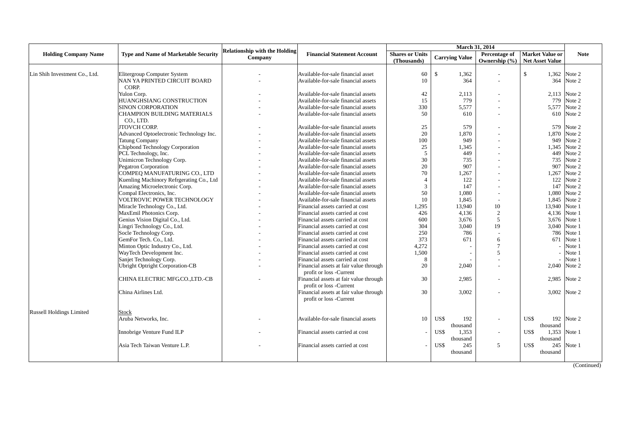| <b>Holding Company Name</b>     | <b>Type and Name of Marketable Security</b> | <b>Relationship with the Holding</b><br>Company | <b>Financial Statement Account</b>     | <b>Shares or Units</b><br>(Thousands) | <b>Carrying Value</b>   | March 31, 2014<br>Percentage of<br>Ownership $(\% )$ | <b>Market Value or</b><br><b>Net Asset Value</b> | <b>Note</b>  |
|---------------------------------|---------------------------------------------|-------------------------------------------------|----------------------------------------|---------------------------------------|-------------------------|------------------------------------------------------|--------------------------------------------------|--------------|
|                                 |                                             |                                                 |                                        |                                       |                         |                                                      |                                                  |              |
| Lin Shih Investment Co., Ltd.   | <b>Elitergroup Computer System</b>          |                                                 | Available-for-sale financial asset     | 60                                    | $\mathbb{S}$<br>1,362   | $\overline{a}$                                       | \$                                               | 1,362 Note 2 |
|                                 | NAN YA PRINTED CIRCUIT BOARD                |                                                 | Available-for-sale financial assets    | 10                                    | 364                     |                                                      |                                                  | 364 Note 2   |
|                                 | CORP.                                       |                                                 |                                        |                                       |                         |                                                      |                                                  |              |
|                                 | Yulon Corp.                                 |                                                 | Available-for-sale financial assets    | 42                                    | 2,113                   |                                                      |                                                  | 2,113 Note 2 |
|                                 | HUANGHSIANG CONSTRUCTION                    |                                                 | Available-for-sale financial assets    | 15                                    | 779                     |                                                      | 779                                              | Note 2       |
|                                 | <b>SINON CORPORATION</b>                    |                                                 | Available-for-sale financial assets    | 330                                   | 5,577                   | $\overline{a}$                                       |                                                  | 5,577 Note 2 |
|                                 | CHAMPION BUILDING MATERIALS                 |                                                 | Available-for-sale financial assets    | 50                                    | 610                     |                                                      |                                                  | 610 Note 2   |
|                                 | CO., LTD.                                   |                                                 |                                        |                                       |                         |                                                      |                                                  |              |
|                                 | <b>JTOVCH CORP.</b>                         |                                                 | Available-for-sale financial assets    | 25                                    | 579                     |                                                      |                                                  | 579 Note 2   |
|                                 | Advanced Optoelectronic Technology Inc.     |                                                 | Available-for-sale financial assets    | 20                                    | 1,870                   |                                                      |                                                  | 1,870 Note 2 |
|                                 | <b>Tatung Company</b>                       |                                                 | Available-for-sale financial assets    | 100                                   | 949                     |                                                      | 949                                              | Note 2       |
|                                 | Chipbond Technology Corporation             |                                                 | Available-for-sale financial assets    | 25                                    | 1,345                   |                                                      | 1,345                                            | Note 2       |
|                                 | PCL Technology, Inc.                        |                                                 | Available-for-sale financial assets    | 5                                     | 449                     |                                                      | 449                                              | Note 2       |
|                                 | Unimicron Technology Corp.                  |                                                 | Available-for-sale financial assets    | 30                                    | 735                     |                                                      | 735                                              | Note 2       |
|                                 | <b>Pegatron Corporation</b>                 |                                                 | Available-for-sale financial assets    | 20                                    | 907                     |                                                      | 907                                              | Note 2       |
|                                 | COMPEO MANUFATURING CO., LTD                |                                                 | Available-for-sale financial assets    | 70                                    | 1,267                   |                                                      | 1,267                                            | Note 2       |
|                                 | Kuenling Machinory Refrgerating Co., Ltd    |                                                 | Available-for-sale financial assets    | $\overline{4}$                        | 122                     |                                                      | 122                                              | Note 2       |
|                                 | Amazing Microelectronic Corp.               |                                                 | Available-for-sale financial assets    | 3                                     | 147                     |                                                      | 147                                              | Note 2       |
|                                 | Compal Electronics, Inc.                    |                                                 | Available-for-sale financial assets    | 50                                    | 1,080                   |                                                      |                                                  | 1.080 Note 2 |
|                                 | VOLTROVIC POWER TECHNOLOGY                  |                                                 | Available-for-sale financial assets    | 10                                    | 1,845                   |                                                      | 1.845                                            | Note 2       |
|                                 | Miracle Technology Co., Ltd.                |                                                 | Financial assets carried at cost       | 1,295                                 | 13.940                  | 10                                                   | 13,940 Note 1                                    |              |
|                                 | MaxEmil Photonics Corp.                     |                                                 | Financial assets carried at cost       | 426                                   | 4,136                   | $\overline{2}$                                       | 4,136                                            | Note 1       |
|                                 | Genius Vision Digital Co., Ltd.             |                                                 | Financial assets carried at cost       | 600                                   | 3,676                   | 5                                                    | 3,676 Note 1                                     |              |
|                                 | Lingri Technology Co., Ltd.                 |                                                 | Financial assets carried at cost       | 304                                   | 3,040                   | 19                                                   | 3,040 Note 1                                     |              |
|                                 | Socle Technology Corp.                      |                                                 | Financial assets carried at cost       | 250                                   | 786                     |                                                      |                                                  | 786 Note 1   |
|                                 | GemFor Tech. Co., Ltd.                      |                                                 | Financial assets carried at cost       | 373                                   | 671                     | 6                                                    | 671                                              | Note 1       |
|                                 | Minton Optic Industry Co., Ltd.             |                                                 | Financial assets carried at cost       | 4,272                                 |                         | $\overline{7}$                                       |                                                  | Note 1       |
|                                 | WayTech Development Inc.                    |                                                 | Financial assets carried at cost       | 1,500                                 |                         | $\overline{5}$                                       |                                                  | Note 1       |
|                                 | Sanjet Technology Corp.                     |                                                 | Financial assets carried at cost       | 8                                     |                         |                                                      |                                                  | Note 1       |
|                                 | <b>Ubright Optright Corporation-CB</b>      |                                                 | Financial assets at fair value through | 20                                    | 2,040                   |                                                      |                                                  | 2,040 Note 2 |
|                                 |                                             |                                                 | profit or loss -Current                |                                       |                         |                                                      |                                                  |              |
|                                 | CHINA ELECTRIC MFGCO.,LTD.-CB               |                                                 | Financial assets at fair value through | 30                                    | 2,985                   |                                                      | 2,985 Note 2                                     |              |
|                                 |                                             |                                                 | profit or loss -Current                |                                       |                         |                                                      |                                                  |              |
|                                 | China Airlines Ltd.                         |                                                 | Financial assets at fair value through | 30                                    | 3,002                   |                                                      | 3,002 Note 2                                     |              |
|                                 |                                             |                                                 | profit or loss -Current                |                                       |                         |                                                      |                                                  |              |
|                                 |                                             |                                                 |                                        |                                       |                         |                                                      |                                                  |              |
| <b>Russell Holdings Limited</b> | Stock                                       |                                                 |                                        |                                       |                         |                                                      |                                                  |              |
|                                 | Aruba Networks, Inc.                        |                                                 | Available-for-sale financial assets    | 10                                    | US\$<br>192             |                                                      | US\$                                             | 192 Note 2   |
|                                 |                                             |                                                 |                                        |                                       | thousand                |                                                      | thousand                                         |              |
|                                 | Innobrige Venture Fund ILP                  |                                                 | Financial assets carried at cost       |                                       | US\$<br>1,353           |                                                      | US\$<br>1,353 Note 1                             |              |
|                                 |                                             |                                                 |                                        |                                       |                         |                                                      |                                                  |              |
|                                 | Asia Tech Taiwan Venture L.P.               |                                                 |                                        |                                       | thousand<br>US\$<br>245 | 5                                                    | thousand<br>US\$                                 | 245 Note 1   |
|                                 |                                             |                                                 | Financial assets carried at cost       |                                       |                         |                                                      |                                                  |              |
|                                 |                                             |                                                 |                                        |                                       | thousand                |                                                      | thousand                                         |              |
|                                 |                                             |                                                 |                                        |                                       |                         |                                                      |                                                  |              |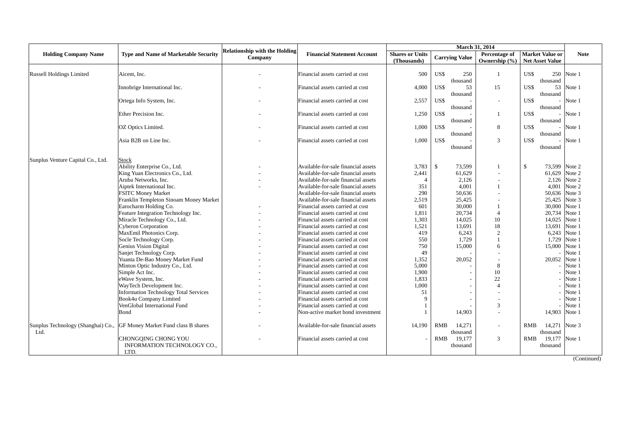| <b>Holding Company Name</b>                | <b>Type and Name of Marketable Security</b>                     | <b>Relationship with the Holding</b><br>Company | <b>Financial Statement Account</b>                                         | <b>Shares or Units</b><br>(Thousands) |               | <b>Carrying Value</b> | Percentage of<br>Ownership (%)   |              | <b>Market Value or</b><br><b>Net Asset Value</b> | <b>Note</b>      |
|--------------------------------------------|-----------------------------------------------------------------|-------------------------------------------------|----------------------------------------------------------------------------|---------------------------------------|---------------|-----------------------|----------------------------------|--------------|--------------------------------------------------|------------------|
|                                            |                                                                 |                                                 |                                                                            |                                       |               |                       |                                  |              |                                                  |                  |
| <b>Russell Holdings Limited</b>            | Aicent. Inc.                                                    |                                                 | Financial assets carried at cost                                           | 500                                   | US\$          | 250<br>thousand       | $\mathbf{1}$                     | US\$         | 250<br>thousand                                  | Note 1           |
|                                            | Innobrige International Inc.                                    |                                                 | Financial assets carried at cost                                           | 4,000                                 | US\$          | 53<br>thousand        | 15                               | US\$         | 53<br>thousand                                   | Note 1           |
|                                            | Ortega Info System, Inc.                                        |                                                 | Financial assets carried at cost                                           | 2,557                                 | US\$          |                       | $\sim$                           | US\$         | $\overline{\phantom{a}}$                         | Note 1           |
|                                            | Ether Precision Inc.                                            |                                                 | Financial assets carried at cost                                           | 1,250                                 | US\$          | thousand              | 1                                | US\$         | thousand<br>$\overline{\phantom{a}}$             | Note 1           |
|                                            | OZ Optics Limited.                                              |                                                 | Financial assets carried at cost                                           | 1,000                                 | US\$          | thousand              | 8                                | US\$         | thousand<br>$\overline{\phantom{a}}$             | Note 1           |
|                                            | Asia B2B on Line Inc.                                           |                                                 | Financial assets carried at cost                                           | 1,000                                 | US\$          | thousand              | 3                                | US\$         | thousand                                         | Note 1           |
|                                            |                                                                 |                                                 |                                                                            |                                       |               | thousand              |                                  |              | thousand                                         |                  |
| Sunplus Venture Capital Co., Ltd.          | <b>Stock</b>                                                    |                                                 |                                                                            |                                       |               |                       |                                  |              |                                                  |                  |
|                                            | Ability Enterprise Co., Ltd.                                    |                                                 | Available-for-sale financial assets                                        | 3,783                                 | $\mathcal{S}$ | 73,599                |                                  | $\mathbb{S}$ | 73,599                                           | Note 2<br>Note 2 |
|                                            | King Yuan Electronics Co., Ltd.<br>Aruba Networks, Inc.         |                                                 | Available-for-sale financial assets                                        | 2,441<br>$\overline{4}$               |               | 61,629<br>2,126       |                                  |              | 61,629<br>2,126                                  | Note 2           |
|                                            |                                                                 |                                                 | Available-for-sale financial assets                                        |                                       |               | 4,001                 | $\mathbf{1}$                     |              | 4,001                                            | Note 2           |
|                                            | Aiptek International Inc.<br><b>FSITC Money Market</b>          |                                                 | Available-for-sale financial assets<br>Available-for-sale financial assets | 351<br>290                            |               | 50,636                |                                  |              | 50,636                                           | Note 3           |
|                                            | Franklin Templeton Sinoam Money Market                          |                                                 |                                                                            |                                       |               | 25,425                |                                  |              | 25,425                                           | Note 3           |
|                                            |                                                                 |                                                 | Available-for-sale financial assets<br>Financial assets carried at cost    | 2,519<br>601                          |               | 30,000                |                                  |              | 30,000                                           | Note 1           |
|                                            | Earocharm Holding Co.                                           |                                                 |                                                                            |                                       |               | 20,734                | $\mathbf{1}$<br>4                |              |                                                  | Note 1           |
|                                            | Feature Integration Technology Inc.                             |                                                 | Financial assets carried at cost                                           | 1,811                                 |               |                       | 10                               |              | 20,734                                           | Note 1           |
|                                            | Miracle Technology Co., Ltd.<br><b>Cyberon Corporation</b>      |                                                 | Financial assets carried at cost<br>Financial assets carried at cost       | 1,303<br>1,521                        |               | 14,025<br>13,691      | 18                               |              | 14,025<br>13,691                                 | Note 1           |
|                                            |                                                                 |                                                 |                                                                            | 419                                   |               |                       |                                  |              |                                                  | Note 1           |
|                                            | MaxEmil Photonics Corp.                                         |                                                 | Financial assets carried at cost<br>Financial assets carried at cost       | 550                                   |               | 6,243<br>1,729        | $\overline{2}$<br>$\overline{1}$ |              | 6,243<br>1,729                                   | Note 1           |
|                                            | Socle Technology Corp.                                          |                                                 |                                                                            |                                       |               |                       |                                  |              |                                                  |                  |
|                                            | Genius Vision Digital                                           |                                                 | Financial assets carried at cost                                           | 750                                   |               | 15,000                | 6                                |              | 15,000                                           | Note 1           |
|                                            | Sanjet Technology Corp.                                         |                                                 | Financial assets carried at cost                                           | 49                                    |               | 20,052                |                                  |              |                                                  | Note 1           |
|                                            | Yuanta De-Bao Money Market Fund                                 |                                                 | Financial assets carried at cost                                           | 1,352                                 |               |                       |                                  |              | 20,052                                           | Note 1           |
|                                            | Minton Optic Industry Co., Ltd.                                 |                                                 | Financial assets carried at cost                                           | 5,000<br>1,900                        |               |                       | 8<br>10                          |              |                                                  | Note 1<br>Note 1 |
|                                            | Simple Act Inc.                                                 |                                                 | Financial assets carried at cost                                           |                                       |               |                       |                                  |              |                                                  |                  |
|                                            | eWave System, Inc.                                              |                                                 | Financial assets carried at cost                                           | 1,833                                 |               |                       | 22                               |              |                                                  | Note 1           |
|                                            | WayTech Development Inc.                                        |                                                 | Financial assets carried at cost                                           | 1,000                                 |               |                       | $\overline{4}$                   |              |                                                  | Note 1           |
|                                            | <b>Information Technology Total Services</b>                    |                                                 | Financial assets carried at cost                                           | 51                                    |               |                       |                                  |              |                                                  | Note 1           |
|                                            | Book4u Company Limited                                          |                                                 | Financial assets carried at cost                                           | $\mathbf Q$                           |               |                       |                                  |              |                                                  | Note 1           |
|                                            | VenGlobal International Fund                                    |                                                 | Financial assets carried at cost                                           | $\mathbf{1}$                          |               |                       | 3                                |              |                                                  | Note 1           |
|                                            | Bond                                                            |                                                 | Non-active market bond investment                                          |                                       |               | 14,903                |                                  |              | 14,903                                           | Note 1           |
| Sunplus Technology (Shanghai) Co.,<br>Ltd. | GF Money Market Fund class B shares                             |                                                 | Available-for-sale financial assets                                        | 14,190                                | <b>RMB</b>    | 14,271<br>thousand    |                                  | <b>RMB</b>   | 14,271<br>thousand                               | Note 3           |
|                                            | CHONGOING CHONG YOU<br><b>INFORMATION TECHNOLOGY CO</b><br>LTD. |                                                 | Financial assets carried at cost                                           |                                       | RMB           | 19,177<br>thousand    | 3                                | RMB          | 19,177<br>thousand                               | Note 1           |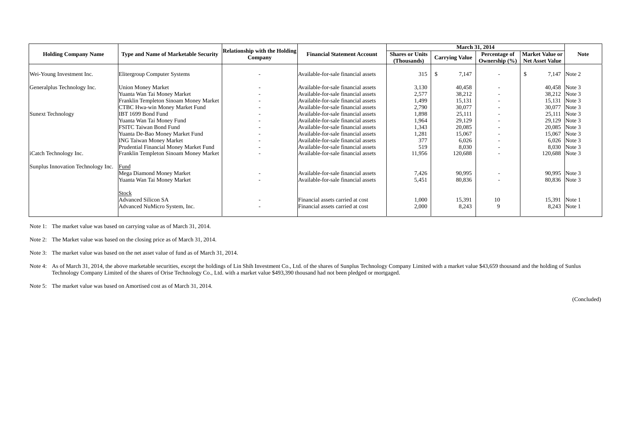|                                    |                                             | <b>Relationship with the Holding</b> |                                     |                                       |                       | March 31, 2014                     |                                                  |              |
|------------------------------------|---------------------------------------------|--------------------------------------|-------------------------------------|---------------------------------------|-----------------------|------------------------------------|--------------------------------------------------|--------------|
| <b>Holding Company Name</b>        | <b>Type and Name of Marketable Security</b> | Company                              | <b>Financial Statement Account</b>  | <b>Shares or Units</b><br>(Thousands) | <b>Carrying Value</b> | Percentage of<br>Ownership $(\% )$ | <b>Market Value or</b><br><b>Net Asset Value</b> | <b>Note</b>  |
| Wei-Young Investment Inc.          | Elitergroup Computer Systems                |                                      | Available-for-sale financial assets | 315                                   | 7,147<br>-8           |                                    |                                                  | 7,147 Note 2 |
| Generalplus Technology Inc.        | <b>Union Money Market</b>                   |                                      | Available-for-sale financial assets | 3,130                                 | 40,458                |                                    | 40,458 Note 3                                    |              |
|                                    | Yuanta Wan Tai Money Market                 |                                      | Available-for-sale financial assets | 2,577                                 | 38,212                |                                    | 38,212                                           | Note 3       |
|                                    | Franklin Templeton Sinoam Money Market      | $\overline{\phantom{0}}$             | Available-for-sale financial assets | 1,499                                 | 15,131                | $\sim$                             | 15,131                                           | Note 3       |
|                                    | CTBC Hwa-win Money Market Fund              |                                      | Available-for-sale financial assets | 2,790                                 | 30,077                | $\sim$                             | 30,077                                           | Note 3       |
| Sunext Technology                  | IBT 1699 Bond Fund                          |                                      | Available-for-sale financial assets | 1,898                                 | 25,111                | $\sim$                             | 25,111                                           | Note 3       |
|                                    | Yuanta Wan Tai Money Fund                   |                                      | Available-for-sale financial assets | 1,964                                 | 29,129                |                                    | 29,129                                           | Note 3       |
|                                    | <b>FSITC Taiwan Bond Fund</b>               |                                      | Available-for-sale financial assets | 1,343                                 | 20,085                |                                    | 20,085                                           | Note 3       |
|                                    | Yuanta De-Bao Money Market Fund             |                                      | Available-for-sale financial assets | 1,281                                 | 15,067                |                                    | 15,067                                           | Note 3       |
|                                    | <b>ING Taiwan Money Market</b>              | $\overline{\phantom{0}}$             | Available-for-sale financial assets | 377                                   | 6,026                 |                                    | 6,026                                            | Note 3       |
|                                    | Prudential Financial Money Market Fund      |                                      | Available-for-sale financial assets | 519                                   | 8,030                 |                                    | 8,030                                            | Note 3       |
| iCatch Technology Inc.             | Franklin Templeton Sinoam Money Market      |                                      | Available-for-sale financial assets | 11,956                                | 120,688               |                                    | 120,688 Note 3                                   |              |
| Sunplus Innovation Technology Inc. | Fund                                        |                                      |                                     |                                       |                       |                                    |                                                  |              |
|                                    | Mega Diamond Money Market                   |                                      | Available-for-sale financial assets | 7,426                                 | 90,995                |                                    | 90,995 Note 3                                    |              |
|                                    | Yuanta Wan Tai Money Market                 |                                      | Available-for-sale financial assets | 5,451                                 | 80,836                |                                    | 80,836                                           | Note 3       |
|                                    | Stock<br><b>Advanced Silicon SA</b>         |                                      | Financial assets carried at cost    | 1,000                                 | 15,391                | 10                                 | 15,391 Note 1                                    |              |
|                                    | Advanced NuMicro System, Inc.               |                                      | Financial assets carried at cost    | 2,000                                 | 8,243                 | 9                                  | 8,243                                            | Note 1       |

Note 1: The market value was based on carrying value as of March 31, 2014.

Note 2: The Market value was based on the closing price as of March 31, 2014.

Note 3: The market value was based on the net asset value of fund as of March 31, 2014.

Note 4: As of March 31, 2014, the above marketable securities, except the holdings of Lin Shih Investment Co., Ltd. of the shares of Sunplus Technology Company Limited with a market value \$43,659 thousand and the holding o Technology Company Limited of the shares of Orise Technology Co., Ltd. with a market value \$493,390 thousand had not been pledged or mortgaged.

Note 5: The market value was based on Amortised cost as of March 31, 2014.

(Concluded)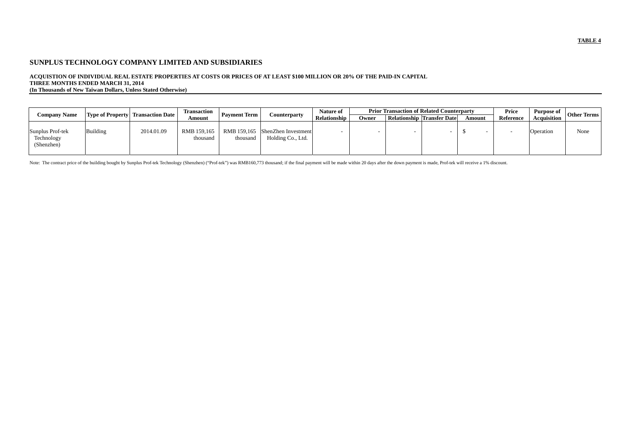# **ACQUISTION OF INDIVIDUAL REAL ESTATE PROPERTIES AT COSTS OR PRICES OF AT LEAST \$100 MILLION OR 20% OF THE PAID-IN CAPITAL THREE MONTHS ENDED MARCH 31, 2014**

**(In Thousands of New Taiwan Dollars, Unless Stated Otherwise)** 

| <b>Company Name</b>                          |          | <b>Type of Property Transaction Date</b> | Transaction             | <b>Payment Term</b> | Counterparty                                         | Nature of           |       | <b>Prior Transaction of Related Counterparty</b> |        | Price     | Purpose of         | <b>Other Terms</b> |
|----------------------------------------------|----------|------------------------------------------|-------------------------|---------------------|------------------------------------------------------|---------------------|-------|--------------------------------------------------|--------|-----------|--------------------|--------------------|
|                                              |          |                                          | Amount                  |                     |                                                      | <b>Relationship</b> | Owner | <b>Relationship Transfer Date</b>                | Amount | Reference | <b>Acquisition</b> |                    |
| Sunplus Prof-tek<br>Technology<br>(Shenzhen) | Building | 2014.01.09                               | RMB 159.165<br>thousand | thousand            | RMB 159,165 ShenZhen Investment<br>Holding Co., Ltd. |                     |       |                                                  |        |           | Operation          | None               |

Note: The contract price of the building bought by Sunplus Prof-tek Technology (Shenzhen) ("Prof-tek") was RMB160,773 thousand; if the final payment will be made within 20 days after the down payment is made, Prof-tek will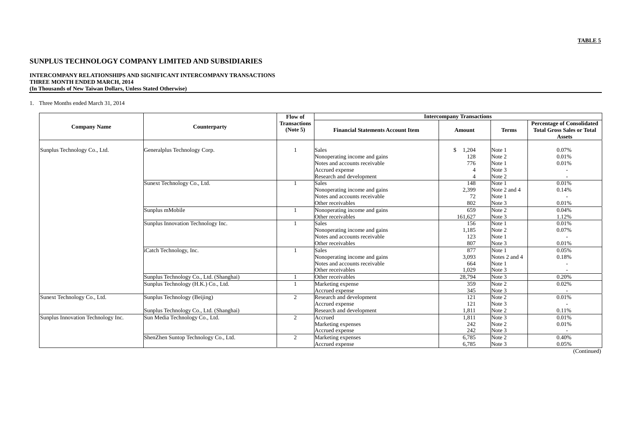#### **INTERCOMPANY RELATIONSHIPS AND SIGNIFICANT INTERCOMPANY TRANSACTIONS THREE MONTH ENDED MARCH, 2014 (In Thousands of New Taiwan Dollars, Unless Stated Otherwise)**

### 1. Three Months ended March 31, 2014

|                                    |                                         | Flow of                         | <b>Intercompany Transactions</b>         |                        |               |                                                                                         |  |  |  |  |  |
|------------------------------------|-----------------------------------------|---------------------------------|------------------------------------------|------------------------|---------------|-----------------------------------------------------------------------------------------|--|--|--|--|--|
| <b>Company Name</b>                | Counterparty                            | <b>Transactions</b><br>(Note 5) | <b>Financial Statements Account Item</b> | Amount                 | <b>Terms</b>  | <b>Percentage of Consolidated</b><br><b>Total Gross Sales or Total</b><br><b>Assets</b> |  |  |  |  |  |
| Sunplus Technology Co., Ltd.       | Generalplus Technology Corp.            |                                 | Sales                                    | $\mathcal{S}$<br>1,204 | Note 1        | 0.07%                                                                                   |  |  |  |  |  |
|                                    |                                         |                                 | Nonoperating income and gains            | 128                    | Note 2        | 0.01%                                                                                   |  |  |  |  |  |
|                                    |                                         |                                 | Notes and accounts receivable            | 776                    | Note 1        | 0.01%                                                                                   |  |  |  |  |  |
|                                    |                                         |                                 | Accrued expense                          |                        | Note 3        |                                                                                         |  |  |  |  |  |
|                                    |                                         |                                 | Research and development                 |                        | Note 2        |                                                                                         |  |  |  |  |  |
|                                    | Sunext Technology Co., Ltd.             |                                 | <b>Sales</b>                             | 148                    | Note 1        | 0.01%                                                                                   |  |  |  |  |  |
|                                    |                                         |                                 | Nonoperating income and gains            | 2,399                  | Note 2 and 4  | 0.14%                                                                                   |  |  |  |  |  |
|                                    |                                         |                                 | Notes and accounts receivable            | 72                     | Note 1        |                                                                                         |  |  |  |  |  |
|                                    |                                         |                                 | Other receivables                        | 802                    | Note 3        | 0.01%                                                                                   |  |  |  |  |  |
|                                    | Sunplus mMobile                         |                                 | Nonoperating income and gains            | 659                    | Note 2        | 0.04%                                                                                   |  |  |  |  |  |
|                                    |                                         |                                 | Other receivables                        | 161,627                | Note 3        | 1.12%                                                                                   |  |  |  |  |  |
|                                    | Sunplus Innovation Technology Inc.      |                                 | <b>Sales</b>                             | 156                    | Note 1        | 0.01%                                                                                   |  |  |  |  |  |
|                                    |                                         |                                 | Nonoperating income and gains            | 1,185                  | Note 2        | 0.07%                                                                                   |  |  |  |  |  |
|                                    |                                         |                                 | Notes and accounts receivable            | 123                    | Note 1        |                                                                                         |  |  |  |  |  |
|                                    |                                         |                                 | Other receivables                        | 807                    | Note 3        | 0.01%                                                                                   |  |  |  |  |  |
|                                    | iCatch Technology, Inc.                 |                                 | Sales                                    | 877                    | Note 1        | 0.05%                                                                                   |  |  |  |  |  |
|                                    |                                         |                                 | Nonoperating income and gains            | 3,093                  | Notes 2 and 4 | 0.18%                                                                                   |  |  |  |  |  |
|                                    |                                         |                                 | Notes and accounts receivable            | 664                    | Note 1        |                                                                                         |  |  |  |  |  |
|                                    |                                         |                                 | Other receivables                        | 1,029                  | Note 3        |                                                                                         |  |  |  |  |  |
|                                    | Sunplus Technology Co., Ltd. (Shanghai) |                                 | Other receivables                        | 28,794                 | Note 3        | 0.20%                                                                                   |  |  |  |  |  |
|                                    | Sunplus Technology (H.K.) Co., Ltd.     |                                 | Marketing expense                        | 359                    | Note 2        | 0.02%                                                                                   |  |  |  |  |  |
|                                    |                                         |                                 | Accrued expense                          | 345                    | Note 3        |                                                                                         |  |  |  |  |  |
| Sunext Technology Co., Ltd.        | Sunplus Technology (Beijing)            | $\overline{2}$                  | Research and development                 | 121                    | Note 2        | 0.01%                                                                                   |  |  |  |  |  |
|                                    |                                         |                                 | Accrued expense                          | 121                    | Note 3        |                                                                                         |  |  |  |  |  |
|                                    | Sunplus Technology Co., Ltd. (Shanghai) |                                 | Research and development                 | 1,811                  | Note 2        | 0.11%                                                                                   |  |  |  |  |  |
| Sunplus Innovation Technology Inc. | Sun Media Technology Co., Ltd.          | $\overline{2}$                  | Accrued                                  | 1,811                  | Note 3        | 0.01%                                                                                   |  |  |  |  |  |
|                                    |                                         |                                 | Marketing expenses                       | 242                    | Note 2        | 0.01%                                                                                   |  |  |  |  |  |
|                                    |                                         |                                 | Accrued expense                          | 242                    | Note 3        |                                                                                         |  |  |  |  |  |
|                                    | ShenZhen Suntop Technology Co., Ltd.    | 2                               | Marketing expenses                       | 6,785                  | Note 2        | 0.40%                                                                                   |  |  |  |  |  |
|                                    |                                         |                                 | Accrued expense                          | 6,785                  | Note 3        | 0.05%                                                                                   |  |  |  |  |  |

(Continued)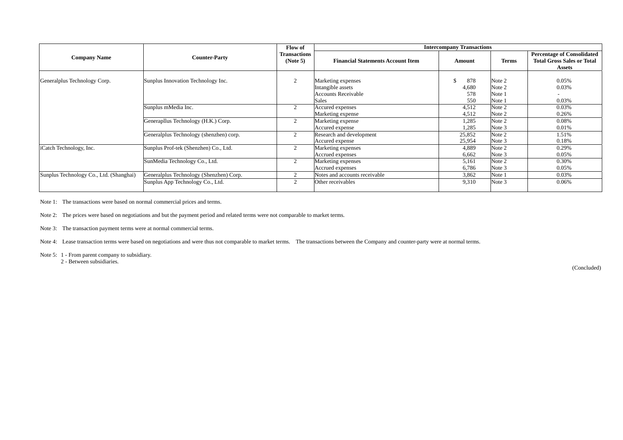|                                         |                                                                             | Flow of                         |                                                                       | <b>Intercompany Transactions</b> |                            |                                                                                         |
|-----------------------------------------|-----------------------------------------------------------------------------|---------------------------------|-----------------------------------------------------------------------|----------------------------------|----------------------------|-----------------------------------------------------------------------------------------|
| <b>Company Name</b>                     | <b>Counter-Party</b>                                                        | <b>Transactions</b><br>(Note 5) | <b>Financial Statements Account Item</b>                              | Amount                           | <b>Terms</b>               | <b>Percentage of Consolidated</b><br><b>Total Gross Sales or Total</b><br><b>Assets</b> |
| Generalplus Technology Corp.            | Sunplus Innovation Technology Inc.                                          | $\overline{2}$                  | Marketing expenses<br>Intangible assets<br><b>Accounts Receivable</b> | 878<br>4,680<br>578              | Note 2<br>Note 2<br>Note 1 | 0.05%<br>0.03%                                                                          |
|                                         | Sunplus mMedia Inc.                                                         | $\overline{2}$                  | Sales<br>Accured expenses<br>Marketing expense                        | 550<br>4,512<br>4,512            | Note 1<br>Note 2<br>Note 2 | 0.03%<br>0.03%<br>0.26%                                                                 |
|                                         | Generapllus Technology (H.K.) Corp.                                         | 2                               | Marketing expense<br>Accured expense                                  | 1,285<br>1,285                   | Note 2<br>Note 3           | 0.08%<br>0.01%                                                                          |
|                                         | Generalplus Technology (shenzhen) corp.                                     | 2                               | Research and development<br>Accured expense                           | 25,852<br>25,954                 | Note 2<br>Note 3           | 1.51%<br>0.18%                                                                          |
| iCatch Technology, Inc.                 | Sunplus Prof-tek (Shenzhen) Co., Ltd.                                       | 2                               | Marketing expenses<br>Accrued expenses                                | 4,889<br>6,662                   | Note 2<br>Note 3           | 0.29%<br>0.05%                                                                          |
|                                         | SunMedia Technology Co., Ltd.                                               | 2                               | Marketing expenses<br>Accrued expenses                                | 5,161<br>6,786                   | Note 2<br>Note 3           | 0.30%<br>0.05%                                                                          |
| Sunplus Technology Co., Ltd. (Shanghai) | Generalplus Technology (Shenzhen) Corp.<br>Sunplus App Technology Co., Ltd. | 2<br>2                          | Notes and accounts receivable<br>Other receivables                    | 3,862<br>9,310                   | Note 1<br>Note 3           | 0.03%<br>0.06%                                                                          |

Note 1: The transactions were based on normal commercial prices and terms.

Note 2: The prices were based on negotiations and but the payment period and related terms were not comparable to market terms.

Note 3: The transaction payment terms were at normal commercial terms.

Note 4: Lease transaction terms were based on negotiations and were thus not comparable to market terms. The transactions between the Company and counter-party were at normal terms.

Note 5: 1 - From parent company to subsidiary.

2 - Between subsidiaries.

(Concluded)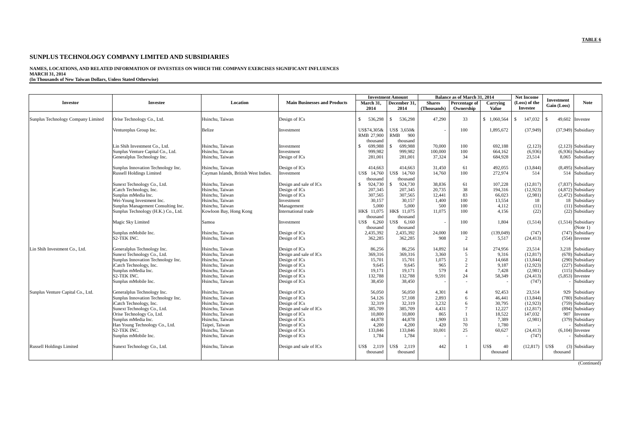# **NAMES, LOCATIONS, AND RELATED INFORMATION OF INVESTEES ON WHICH THE COMPANY EXERCISES SIGNIFICANT INFLUENCES MARCH 31, 2014 (In Thousands of New Taiwan Dollars, Unless Stated Otherwise)**

|                                    |                                     |                                      |                                     |                                       | <b>Investment Amount</b>           |                              | Balance as of March 31, 2014 |                          | <b>Net Income</b>         | Investment     |                                |
|------------------------------------|-------------------------------------|--------------------------------------|-------------------------------------|---------------------------------------|------------------------------------|------------------------------|------------------------------|--------------------------|---------------------------|----------------|--------------------------------|
| Investor                           | <b>Investee</b>                     | Location                             | <b>Main Businesses and Products</b> | March 31,<br>2014                     | December 31,<br>2014               | <b>Shares</b><br>(Thousands) | Percentage of<br>Ownership   | Carrying<br><b>Value</b> | (Loss) of the<br>Investee | Gain (Loss)    | <b>Note</b>                    |
| Sunplus Technology Company Limited | Orise Technology Co., Ltd.          | Hsinchu, Taiwan                      | Design of ICs                       | 536,298<br>-S                         | 536,298<br>-S                      | 47.290                       | 33                           | \$1.060,564              | 147,032<br>-8             | 49,602<br>- \$ | Investee                       |
|                                    | Ventureplus Group Inc.              | Belize                               | Investment                          | US\$74,305&<br>RMB 27,900<br>thousand | US\$ 3.650&<br>RMB 900<br>thousand |                              | 100                          | 1,895,672                | (37,949)                  |                | $(37,949)$ Subsidiary          |
|                                    | Lin Shih Investment Co., Ltd.       | Hsinchu, Taiwan                      | Investment                          | 699,988<br>-8                         | 699,988                            | 70,000                       | 100                          | 692,188                  | (2,123)                   |                | $(2,123)$ Subsidiary           |
|                                    | Sunplus Venture Capital Co., Ltd.   | Hsinchu. Taiwan                      | Investment                          | 999,982                               | 999.982                            | 100,000                      | 100                          | 664.162                  | (6,936)                   |                | $(6.936)$ Subsidiary           |
|                                    | Generalplus Technology Inc.         | Hsinchu, Taiwan                      | Design of ICs                       | 281,001                               | 281.001                            | 37.324                       | 34                           | 684,928                  | 23,514                    | 8,065          | Subsidiary                     |
|                                    | Sunplus Innovation Technology Inc.  | Hsinchu. Taiwan                      | Design of ICs                       | 414,663                               | 414,663                            | 31.450                       | 61                           | 492.055                  | (13, 844)                 |                | $(8,495)$ Subsidiary           |
|                                    | <b>Russell Holdings Limited</b>     | Cayman Islands, British West Indies. | Investment                          | US\$ 14,760<br>thousand               | US\$ 14,760<br>thousand            | 14,760                       | 100                          | 272,974                  | 514                       |                | 514 Subsidiary                 |
|                                    | Sunext Technology Co., Ltd.         | Hsinchu, Taiwan                      | Design and sale of ICs              | 924,730<br>-S                         | 924,730                            | 38,836                       | 61                           | 107,228                  | (12, 817)                 |                | $(7,837)$ Subsidiary           |
|                                    | iCatch Technology, Inc.             | Hsinchu, Taiwan                      | Design of ICs                       | 207,345                               | 207.345                            | 20.735                       | 38                           | 194,316                  | (12, 923)                 |                | $(4,872)$ Subsidiary           |
|                                    | Sunplus mMedia Inc.                 | Hsinchu. Taiwan                      | Design of ICs                       | 307,565                               | 307,565                            | 12,441                       | 83                           | 66,023                   | (2,981)                   |                | $(2,472)$ Subsidiary           |
|                                    | Wei-Young Investment Inc.           | Hsinchu. Taiwan                      | Investment                          | 30,157                                | 30,157                             | 1,400                        | 100                          | 13,554                   | 18                        | 18             | Subsidiary                     |
|                                    | Sunplus Management Consulting Inc.  | Hsinchu. Taiwan                      | Management                          | 5.000                                 | 5.000                              | 500                          | 100                          | 4.112                    | (11)                      |                | $(11)$ Subsidiary              |
|                                    | Sunplus Technology (H.K.) Co., Ltd. | Kowloon Bay, Hong Kong               | International trade                 | HK\$ 11,075<br>thousand               | HK\$ 11,075<br>thousand            | 11,075                       | 100                          | 4,156                    | (22)                      |                | (22) Subsidiary                |
|                                    | Magic Sky Limited                   | Samoa                                | Investment                          | 6.260<br>US\$                         | US\$ 6.160                         |                              | 100                          | 1.804                    | (1,514)                   |                | $(1,514)$ Subsidiary           |
|                                    | Sunplus mMobile Inc.                | Hsinchu, Taiwan                      | Design of ICs                       | thousand<br>2,435,392                 | thousand<br>2,435,392              | 24,000                       | 100                          | (139,049)                | (747)                     |                | (Note 1)<br>$(747)$ Subsidiary |
|                                    | <b>S2-TEK INC.</b>                  | Hsinchu, Taiwan                      | Design of ICs                       | 362,285                               | 362,285                            | 908                          | $\overline{2}$               | 5.517                    | (24, 413)                 |                | $(554)$ Investee               |
| Lin Shih Investment Co., Ltd.      | Generalplus Technology Inc.         | Hsinchu, Taiwan                      | Design of ICs                       | 86.256                                | 86.256                             | 14,892                       | 14                           | 274,956                  | 23.514                    |                | 3,218 Subsidiary               |
|                                    | Sunext Technology Co., Ltd.         | Hsinchu, Taiwan                      | Design and sale of ICs              | 369,316                               | 369,316                            | 3,360                        | 5                            | 9,316                    | (12, 817)                 |                | $(678)$ Subsidiary             |
|                                    | Sunplus Innovation Technology Inc.  | Hsinchu. Taiwan                      | Design of ICs                       | 15,701                                | 15,701                             | 1.075                        | $\overline{2}$               | 14.668                   | (13.844)                  |                | $(290)$ Subsidiary             |
|                                    | iCatch Technology, Inc.             | Hsinchu, Taiwan                      | Design of ICs                       | 9.645                                 | 9.645                              | 965                          | $\overline{c}$               | 9.187                    | (12,923)                  |                | $(227)$ Subsidiary             |
|                                    | Sunplus mMedia Inc.                 | Hsinchu, Taiwan                      | Design of ICs                       | 19,171                                | 19,171                             | 579                          | $\overline{A}$               | 7,428                    | (2,981)                   |                | $(115)$ Subsidiary             |
|                                    | <b>S2-TEK INC.</b>                  | Hsinchu. Taiwan                      | Design of ICs                       | 132,788                               | 132,788                            | 9,591                        | 24                           | 58,349                   | (24, 413)                 |                | $(5,853)$ Investee             |
|                                    | Sunplus mMobile Inc.                | Hsinchu, Taiwan                      | Design of ICs                       | 38,450                                | 38.450                             |                              |                              |                          | (747)                     |                | Subsidiary                     |
| Sunplus Venture Capital Co., Ltd.  | Generalplus Technology Inc.         | Hsinchu. Taiwan                      | Design of ICs                       | 56,050                                | 56,050                             | 4,301                        | $\overline{A}$               | 92,453                   | 23,514                    |                | 929 Subsidiary                 |
|                                    | Sunplus Innovation Technology Inc.  | Hsinchu, Taiwan                      | Design of ICs                       | 54,126                                | 57,108                             | 2,893                        | 6                            | 46,441                   | (13, 844)                 |                | (780) Subsidiary               |
|                                    | iCatch Technology, Inc.             | Hsinchu, Taiwan                      | Design of ICs                       | 32.319                                | 32.319                             | 3.232                        | 6                            | 30.795                   | (12.923)                  |                | (759) Subsidiary               |
|                                    | Sunext Technology Co., Ltd.         | Hsinchu. Taiwan                      | Design and sale of ICs              | 385,709                               | 385,709                            | 4,431                        | $\overline{7}$               | 12.227                   | (12, 817)                 |                | (894) Subsidiary               |
|                                    | Orise Technology Co, Ltd.           | Hsinchu. Taiwan                      | Design of ICs                       | 10,800                                | 10.800                             | 865                          |                              | 18,522                   | 147,032                   | 907            | Investee                       |
|                                    | Sunplus mMedia Inc.                 | Hsinchu, Taiwan                      | Design of ICs                       | 44,878                                | 44,878                             | 1,909                        | 13                           | 7,389                    | (2,981)                   |                | $(379)$ Subsidiary             |
|                                    | Han Young Technology Co., Ltd.      | Taipei, Taiwan                       | Design of ICs                       | 4,200                                 | 4.200                              | 420                          | 70                           | 1,780                    |                           |                | Subsidiary                     |
|                                    | S2-TEK INC.                         | Hsinchu, Taiwan                      | Design of ICs                       | 133,846                               | 133,846                            | 10,001                       | 25                           | 60,627                   | (24, 413)                 |                | $(6,104)$ Investee             |
|                                    | Sunplus mMobile Inc.                | Hsinchu, Taiwan                      | Design of ICs                       | 1,784                                 | 1,784                              |                              | $\overline{\phantom{a}}$     | $\overline{\phantom{a}}$ | (747)                     |                | Subsidiary                     |
| <b>Russell Holdings Limited</b>    | Sunext Technology Co., Ltd.         | Hsinchu, Taiwan                      | Design and sale of ICs              | US\$<br>2,119                         | US\$ 2.119                         | 442                          |                              | US\$<br>40               | (12, 817)                 | US\$           | (3) Subsidiary                 |
|                                    |                                     |                                      |                                     | thousand                              | thousand                           |                              |                              | thousand                 |                           | thousand       |                                |
|                                    |                                     |                                      |                                     |                                       |                                    |                              |                              |                          |                           |                | (Continued)                    |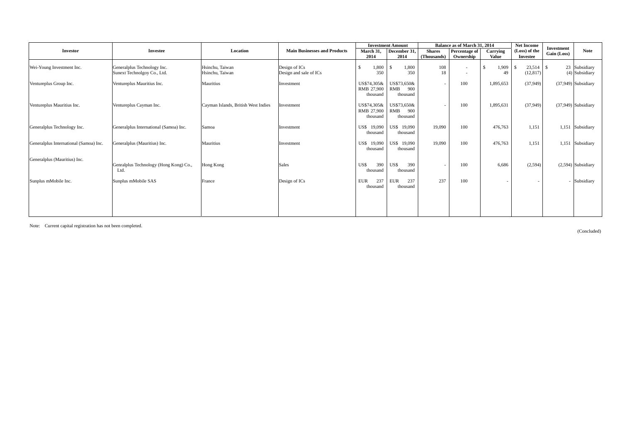|                                        |                                                            |                                     |                                         |                                       | <b>Investment Amount</b>              |                          | Balance as of March 31, 2014 |                    | <b>Net Income</b> | Investment  |                                 |
|----------------------------------------|------------------------------------------------------------|-------------------------------------|-----------------------------------------|---------------------------------------|---------------------------------------|--------------------------|------------------------------|--------------------|-------------------|-------------|---------------------------------|
| <b>Investor</b>                        | <b>Investee</b>                                            | Location                            | <b>Main Businesses and Products</b>     | March 31,                             | December 31,                          | <b>Shares</b>            | Percentage of                | Carrying           | (Loss) of the     | Gain (Loss) | <b>Note</b>                     |
|                                        |                                                            |                                     |                                         | 2014                                  | 2014                                  | (Thousands)              | Ownership                    | <b>Value</b>       | Investee          |             |                                 |
| Wei-Young Investment Inc.              | Generalplus Technology Inc.<br>Sunext Technolgoy Co., Ltd. | Hsinchu. Taiwan<br>Hsinchu, Taiwan  | Design of ICs<br>Design and sale of ICs | 1,800<br>350                          | 1,800<br>-S<br>350                    | 108<br>18                | $\sim$                       | 1,909<br>-\$<br>49 | - \$<br>(12, 817) |             | 23 Subsidiary<br>(4) Subsidiary |
| Ventureplus Group Inc.                 | Ventureplus Mauritius Inc.                                 | Mauritius                           | Investment                              | US\$74,305&<br>RMB 27,900<br>thousand | US\$73,650&<br>RMB<br>900<br>thousand | $\overline{\phantom{a}}$ | 100                          | 1,895,653          | (37,949)          |             | (37,949) Subsidiary             |
| Ventureplus Mauritius Inc.             | Ventureplus Cayman Inc.                                    | Cayman Islands, British West Indies | Investment                              | US\$74,305&<br>RMB 27,900<br>thousand | US\$73.650&<br>RMB<br>900<br>thousand | $\overline{\phantom{a}}$ | 100                          | 1,895,631          | (37,949)          |             | $(37,949)$ Subsidiary           |
| Generalplus Technology Inc.            | Generalplus International (Samoa) Inc.                     | Samoa                               | Investment                              | US\$ 19,090<br>thousand               | US\$ 19,090<br>thousand               | 19,090                   | 100                          | 476,763            | 1,151             |             | 1,151 Subsidiary                |
| Generalplus International (Samoa) Inc. | Generalplus (Mauritius) Inc.                               | Mauritius                           | Investment                              | US\$ 19,090<br>thousand               | US\$ 19,090<br>thousand               | 19,090                   | 100                          | 476,763            | 1,151             |             | 1,151 Subsidiary                |
| Generalplus (Mauritius) Inc.           | Genralplus Technology (Hong Kong) Co.,<br>Ltd.             | Hong Kong                           | <b>Sales</b>                            | US\$<br>390<br>thousand               | 390<br>US\$<br>thousand               | $\overline{\phantom{a}}$ | 100                          | 6,686              | (2,594)           |             | $(2,594)$ Subsidiary            |
| Sunplus mMobile Inc.                   | Sunplus mMobile SAS                                        | France                              | Design of ICs                           | 237<br><b>EUR</b><br>thousand         | 237<br>EUR<br>thousand                | 237                      | 100                          |                    |                   |             | - Subsidiary                    |
|                                        |                                                            |                                     |                                         |                                       |                                       |                          |                              |                    |                   |             |                                 |

Note: Current capital registration has not been completed.

(Concluded)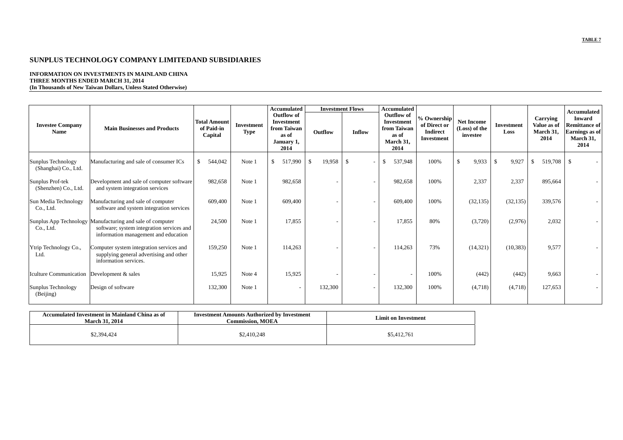#### **INFORMATION ON INVESTMENTS IN MAINLAND CHINA THREE MONTHS ENDED MARCH 31, 2014 (In Thousands of New Taiwan Dollars, Unless Stated Otherwise)**

|                                              |                                                                                                                                                |                                              |                    | <b>Accumulated</b>                                                            |                         | <b>Investment Flows</b> |                                                                                     | <b>Accumulated</b> |                                                                     |                                                |                       |                                              | Accumulated                                                                  |  |
|----------------------------------------------|------------------------------------------------------------------------------------------------------------------------------------------------|----------------------------------------------|--------------------|-------------------------------------------------------------------------------|-------------------------|-------------------------|-------------------------------------------------------------------------------------|--------------------|---------------------------------------------------------------------|------------------------------------------------|-----------------------|----------------------------------------------|------------------------------------------------------------------------------|--|
| <b>Investee Company</b><br><b>Name</b>       | <b>Main Businesses and Products</b>                                                                                                            | <b>Total Amount</b><br>of Paid-in<br>Capital | Investment<br>Type | Outflow of<br><b>Investment</b><br>from Taiwan<br>as of<br>January 1,<br>2014 | Outflow                 | Inflow                  | <b>Outflow</b> of<br><b>Investment</b><br>from Taiwan<br>as of<br>March 31,<br>2014 |                    | % Ownership<br>of Direct or<br><b>Indirect</b><br><b>Investment</b> | <b>Net Income</b><br>(Loss) of the<br>investee | Investment<br>Loss    | Carrying<br>Value as of<br>March 31,<br>2014 | <b>Inward</b><br><b>Remittance of</b><br>Earnings as of<br>March 31,<br>2014 |  |
| Sunplus Technology<br>(Shanghai) Co., Ltd.   | Manufacturing and sale of consumer ICs                                                                                                         | \$<br>544,042                                | Note 1             | 517,990<br>\$                                                                 | 19,958<br><sup>\$</sup> | $\mathbb{S}$            |                                                                                     | 537,948            | 100%                                                                | 9,933<br>\$                                    | $\mathbb{S}$<br>9,927 | 519,708<br>\$                                | S.                                                                           |  |
| Sunplus Prof-tek<br>(Shenzhen) Co., Ltd.     | Development and sale of computer software<br>and system integration services                                                                   | 982,658                                      | Note 1             | 982,658                                                                       |                         |                         |                                                                                     | 982,658            | 100%                                                                | 2,337                                          | 2,337                 | 895,664                                      |                                                                              |  |
| Sun Media Technology<br>Co., Ltd.            | Manufacturing and sale of computer<br>software and system integration services                                                                 | 609,400                                      | Note 1             | 609,400                                                                       |                         |                         |                                                                                     | 609,400            | 100%                                                                | (32, 135)                                      | (32, 135)             | 339,576                                      |                                                                              |  |
| Co., Ltd.                                    | Sunplus App Technology Manufacturing and sale of computer<br>software; system integration services and<br>information management and education | 24,500                                       | Note 1             | 17,855                                                                        |                         |                         |                                                                                     | 17,855             | 80%                                                                 | (3,720)                                        | (2,976)               | 2,032                                        |                                                                              |  |
| Ytrip Technology Co.,<br>Ltd.                | Computer system integration services and<br>supplying general advertising and other<br>information services.                                   | 159,250                                      | Note 1             | 114,263                                                                       |                         |                         |                                                                                     | 114,263            | 73%                                                                 | (14, 321)                                      | (10, 383)             | 9,577                                        |                                                                              |  |
| Iculture Communication   Development & sales |                                                                                                                                                | 15,925                                       | Note 4             | 15,925                                                                        |                         |                         |                                                                                     |                    | 100%                                                                | (442)                                          | (442)                 | 9,663                                        |                                                                              |  |
| Sunplus Technology<br>(Beijing)              | Design of software                                                                                                                             | 132,300                                      | Note 1             | $\overline{\phantom{a}}$                                                      | 132,300                 |                         |                                                                                     | 132,300            | 100%                                                                | (4,718)                                        | (4,718)               | 127,653                                      |                                                                              |  |

| Accumulated Investment in Mainland China as of<br>March 31, 2014 | <b>Investment Amounts Authorized by Investment</b><br><b>Commission. MOEA</b> | Limit on Investment |
|------------------------------------------------------------------|-------------------------------------------------------------------------------|---------------------|
| \$2.394.424                                                      | \$2,410,248                                                                   | \$5,412,761         |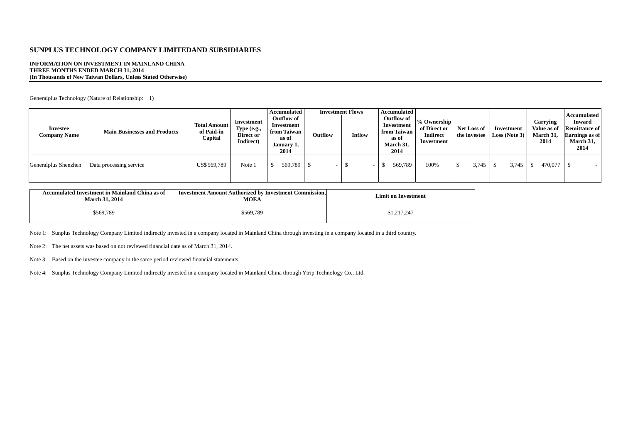#### **INFORMATION ON INVESTMENT IN MAINLAND CHINA THREE MONTHS ENDED MARCH 31, 2014 (In Thousands of New Taiwan Dollars, Unless Stated Otherwise)**

Generalplus Technology (Nature of Relationship: 1)

| Investee<br><b>Company Name</b> | <b>Main Businesses and Products</b> | <b>Total Amount</b><br>of Paid-in<br>Capital | Investment<br>Type (e.g.,<br>Direct or<br>Indirect) | Accumulated<br>Outflow of<br>Investment<br>from Taiwan<br>as of<br>January 1,<br>2014 | Outflow | <b>Investment Flows</b><br>Inflow | Accumulated<br>Outflow of<br>Investment<br>from Taiwan<br>as of<br>March 31,<br>2014 | % Ownership<br>of Direct or<br><b>Indirect</b><br>Investment | <b>Net Loss of</b><br>the investee | Investment<br>Loss (Note 3) | Carrying<br>Value as of<br>March 31,<br>2014 | Accumulated<br><b>Inward</b><br><b>Remittance of</b><br><b>Earnings</b> as of<br>March 31,<br>2014 |
|---------------------------------|-------------------------------------|----------------------------------------------|-----------------------------------------------------|---------------------------------------------------------------------------------------|---------|-----------------------------------|--------------------------------------------------------------------------------------|--------------------------------------------------------------|------------------------------------|-----------------------------|----------------------------------------------|----------------------------------------------------------------------------------------------------|
| Generalplus Shenzhen            | Data processing service             | US\$569,789                                  | Note 1                                              | 569,789                                                                               |         |                                   | 569,789                                                                              | 100%                                                         | 3,745                              | 3,745                       | 470,077                                      |                                                                                                    |

| Accumulated Investment in Mainland China as of<br><b>March 31, 2014</b> | <b>Investment Amount Authorized by Investment Commission,</b><br><b>MOEA</b> | <b>Limit on Investment</b> |
|-------------------------------------------------------------------------|------------------------------------------------------------------------------|----------------------------|
| \$569,789                                                               | \$569,789                                                                    | \$1,217,247                |

Note 1: Sunplus Technology Company Limited indirectly invested in a company located in Mainland China through investing in a company located in a third country.

Note 2: The net assets was based on not reviewed financial date as of March 31, 2014.

Note 3: Based on the investee company in the same period reviewed financial statements.

Note 4: Sunplus Technology Company Limited indirectly invested in a company located in Mainland China through Ytrip Technology Co., Ltd.